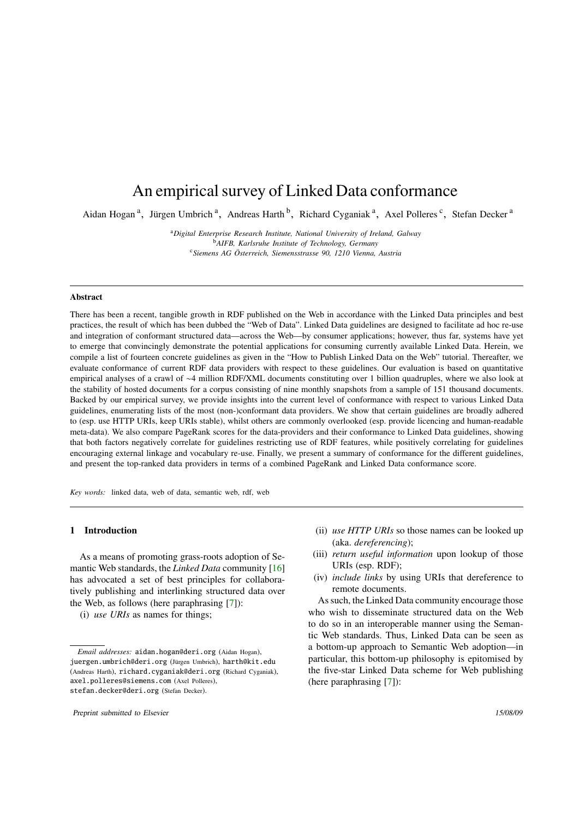# An empirical survey of Linked Data conformance

Aidan Hogan<sup>a</sup>, Jürgen Umbrich<sup>a</sup>, Andreas Harth<sup>b</sup>, Richard Cyganiak<sup>a</sup>, Axel Polleres<sup>c</sup>, Stefan Decker<sup>a</sup>

<sup>a</sup>*Digital Enterprise Research Institute, National University of Ireland, Galway* <sup>b</sup>*AIFB, Karlsruhe Institute of Technology, Germany* <sup>c</sup>*Siemens AG Österreich, Siemensstrasse 90, 1210 Vienna, Austria*

#### Abstract

There has been a recent, tangible growth in RDF published on the Web in accordance with the Linked Data principles and best practices, the result of which has been dubbed the "Web of Data". Linked Data guidelines are designed to facilitate ad hoc re-use and integration of conformant structured data—across the Web—by consumer applications; however, thus far, systems have yet to emerge that convincingly demonstrate the potential applications for consuming currently available Linked Data. Herein, we compile a list of fourteen concrete guidelines as given in the "How to Publish Linked Data on the Web" tutorial. Thereafter, we evaluate conformance of current RDF data providers with respect to these guidelines. Our evaluation is based on quantitative empirical analyses of a crawl of ∼4 million RDF/XML documents constituting over 1 billion quadruples, where we also look at the stability of hosted documents for a corpus consisting of nine monthly snapshots from a sample of 151 thousand documents. Backed by our empirical survey, we provide insights into the current level of conformance with respect to various Linked Data guidelines, enumerating lists of the most (non-)conformant data providers. We show that certain guidelines are broadly adhered to (esp. use HTTP URIs, keep URIs stable), whilst others are commonly overlooked (esp. provide licencing and human-readable meta-data). We also compare PageRank scores for the data-providers and their conformance to Linked Data guidelines, showing that both factors negatively correlate for guidelines restricting use of RDF features, while positively correlating for guidelines encouraging external linkage and vocabulary re-use. Finally, we present a summary of conformance for the different guidelines, and present the top-ranked data providers in terms of a combined PageRank and Linked Data conformance score.

*Key words:* linked data, web of data, semantic web, rdf, web

# 1 Introduction

As a means of promoting grass-roots adoption of Semantic Web standards, the *Linked Data* community [\[16\]](#page-38-0) has advocated a set of best principles for collaboratively publishing and interlinking structured data over the Web, as follows (here paraphrasing [\[7\]](#page-38-1)):

(i) *use URIs* as names for things;

- (iii) *return useful information* upon lookup of those URIs (esp. RDF);
- (iv) *include links* by using URIs that dereference to remote documents.

As such, the Linked Data community encourage those who wish to disseminate structured data on the Web to do so in an interoperable manner using the Semantic Web standards. Thus, Linked Data can be seen as a bottom-up approach to Semantic Web adoption—in particular, this bottom-up philosophy is epitomised by the five-star Linked Data scheme for Web publishing (here paraphrasing [\[7\]](#page-38-1)):

*Email addresses:* aidan.hogan@deri.org (Aidan Hogan), juergen.umbrich@deri.org (Jürgen Umbrich), harth@kit.edu (Andreas Harth), richard.cyganiak@deri.org (Richard Cyganiak), axel.polleres@siemens.com (Axel Polleres), stefan.decker@deri.org (Stefan Decker).

<sup>(</sup>ii) *use HTTP URIs* so those names can be looked up (aka. *dereferencing*);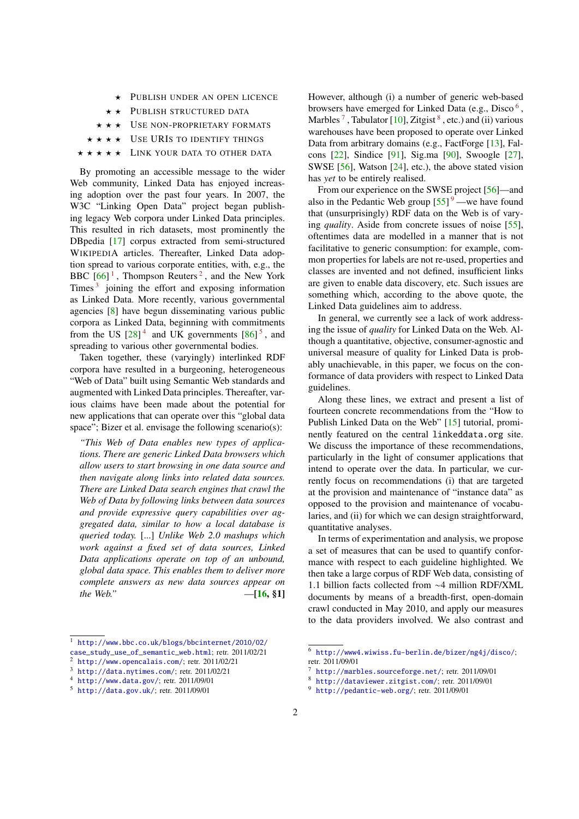- PUBLISH UNDER AN OPEN LICENCE
- PUBLISH STRUCTURED DATA
- USE NON-PROPRIETARY FORMATS
- USE URIS TO IDENTIFY THINGS
- LINK YOUR DATA TO OTHER DATA

By promoting an accessible message to the wider Web community, Linked Data has enjoyed increasing adoption over the past four years. In 2007, the W3C "Linking Open Data" project began publishing legacy Web corpora under Linked Data principles. This resulted in rich datasets, most prominently the DBpedia [\[17\]](#page-38-2) corpus extracted from semi-structured WIKIPEDIA articles. Thereafter, Linked Data adoption spread to various corporate entities, with, e.g., the BBC  $[66]$ <sup>[1](#page-1-0)</sup>, Thompson Reuters<sup>[2](#page-1-1)</sup>, and the New York Times<sup>[3](#page-1-2)</sup> joining the effort and exposing information as Linked Data. More recently, various governmental agencies [\[8\]](#page-38-3) have begun disseminating various public corpora as Linked Data, beginning with commitments from the US  $[28]^4$  $[28]^4$  $[28]^4$  and UK governments  $[86]^5$  $[86]^5$  $[86]^5$ , and spreading to various other governmental bodies.

Taken together, these (varyingly) interlinked RDF corpora have resulted in a burgeoning, heterogeneous "Web of Data" built using Semantic Web standards and augmented with Linked Data principles. Thereafter, various claims have been made about the potential for new applications that can operate over this "global data space"; Bizer et al. envisage the following scenario(s):

*"This Web of Data enables new types of applications. There are generic Linked Data browsers which allow users to start browsing in one data source and then navigate along links into related data sources. There are Linked Data search engines that crawl the Web of Data by following links between data sources and provide expressive query capabilities over aggregated data, similar to how a local database is queried today.* [...] *Unlike Web 2.0 mashups which work against a fixed set of data sources, Linked Data applications operate on top of an unbound, global data space. This enables them to deliver more complete answers as new data sources appear on the Web.*"  $-16, \$1]$ 

However, although (i) a number of generic web-based browsers have emerged for Linked Data (e.g., Disco<sup>[6](#page-1-5)</sup>, Marbles<sup>[7](#page-1-6)</sup>, Tabulator [\[10\]](#page-38-5), Zitgist<sup>[8](#page-1-7)</sup>, etc.) and (ii) various warehouses have been proposed to operate over Linked Data from arbitrary domains (e.g., FactForge [\[13\]](#page-38-6), Falcons [\[22\]](#page-38-7), Sindice [\[91\]](#page-40-2), Sig.ma [\[90\]](#page-40-3), Swoogle [\[27\]](#page-38-8), SWSE [\[56\]](#page-39-0), Watson [\[24\]](#page-38-9), etc.), the above stated vision has *yet* to be entirely realised.

From our experience on the SWSE project [\[56\]](#page-39-0)—and also in the Pedantic Web group  $[55]$ <sup>[9](#page-1-8)</sup> —we have found that (unsurprisingly) RDF data on the Web is of varying *quality*. Aside from concrete issues of noise [\[55\]](#page-39-1), oftentimes data are modelled in a manner that is not facilitative to generic consumption: for example, common properties for labels are not re-used, properties and classes are invented and not defined, insufficient links are given to enable data discovery, etc. Such issues are something which, according to the above quote, the Linked Data guidelines aim to address.

In general, we currently see a lack of work addressing the issue of *quality* for Linked Data on the Web. Although a quantitative, objective, consumer-agnostic and universal measure of quality for Linked Data is probably unachievable, in this paper, we focus on the conformance of data providers with respect to Linked Data guidelines.

Along these lines, we extract and present a list of fourteen concrete recommendations from the "How to Publish Linked Data on the Web" [\[15\]](#page-38-10) tutorial, prominently featured on the central linkeddata.org site. We discuss the importance of these recommendations, particularly in the light of consumer applications that intend to operate over the data. In particular, we currently focus on recommendations (i) that are targeted at the provision and maintenance of "instance data" as opposed to the provision and maintenance of vocabularies, and (ii) for which we can design straightforward, quantitative analyses.

In terms of experimentation and analysis, we propose a set of measures that can be used to quantify conformance with respect to each guideline highlighted. We then take a large corpus of RDF Web data, consisting of 1.1 billion facts collected from ∼4 million RDF/XML documents by means of a breadth-first, open-domain crawl conducted in May 2010, and apply our measures to the data providers involved. We also contrast and

<span id="page-1-0"></span><sup>1</sup> [http://www.bbc.co.uk/blogs/bbcinternet/2010/02/](http://www.bbc.co.uk/blogs/bbcinternet/2010/02/case_study_use_of_semantic_web.html) [case\\_study\\_use\\_of\\_semantic\\_web.html](http://www.bbc.co.uk/blogs/bbcinternet/2010/02/case_study_use_of_semantic_web.html); retr. 2011/02/21

<span id="page-1-1"></span><sup>2</sup> <http://www.opencalais.com/>; retr. 2011/02/21

<span id="page-1-2"></span><sup>3</sup> <http://data.nytimes.com/>; retr. 2011/02/21

<span id="page-1-3"></span><sup>4</sup> <http://www.data.gov/>; retr. 2011/09/01

<span id="page-1-4"></span><sup>5</sup> <http://data.gov.uk/>; retr. 2011/09/01

<span id="page-1-5"></span><sup>6</sup> <http://www4.wiwiss.fu-berlin.de/bizer/ng4j/disco/>; retr. 2011/09/01

<span id="page-1-6"></span><sup>7</sup> <http://marbles.sourceforge.net/>; retr. 2011/09/01

<span id="page-1-7"></span><sup>8</sup> <http://dataviewer.zitgist.com/>; retr. 2011/09/01

<span id="page-1-8"></span><sup>9</sup> <http://pedantic-web.org/>; retr. 2011/09/01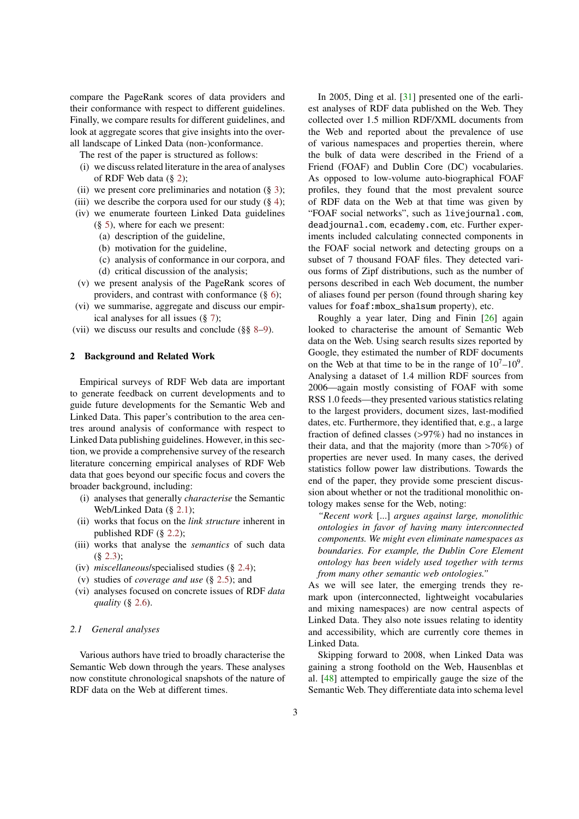compare the PageRank scores of data providers and their conformance with respect to different guidelines. Finally, we compare results for different guidelines, and look at aggregate scores that give insights into the overall landscape of Linked Data (non-)conformance.

The rest of the paper is structured as follows:

- (i) we discuss related literature in the area of analyses of RDF Web data (§ [2\)](#page-2-0);
- (ii) we present core preliminaries and notation  $(\S 3)$  $(\S 3)$ ;
- (iii) we describe the corpora used for our study  $(\S 4)$  $(\S 4)$ ;
- (iv) we enumerate fourteen Linked Data guidelines
	- (§ [5\)](#page-12-0), where for each we present:
	- (a) description of the guideline,
	- (b) motivation for the guideline,
	- (c) analysis of conformance in our corpora, and (d) critical discussion of the analysis;
- (v) we present analysis of the PageRank scores of
- providers, and contrast with conformance  $(\S 6)$  $(\S 6)$ ; (vi) we summarise, aggregate and discuss our empir-
- ical analyses for all issues (§ [7\)](#page-31-0); (vii) we discuss our results and conclude (§§ [8–](#page-36-0)[9\)](#page-37-0).

# <span id="page-2-0"></span>2 Background and Related Work

Empirical surveys of RDF Web data are important to generate feedback on current developments and to guide future developments for the Semantic Web and Linked Data. This paper's contribution to the area centres around analysis of conformance with respect to Linked Data publishing guidelines. However, in this section, we provide a comprehensive survey of the research literature concerning empirical analyses of RDF Web data that goes beyond our specific focus and covers the broader background, including:

- (i) analyses that generally *characterise* the Semantic Web/Linked Data (§ [2.1\)](#page-2-1);
- (ii) works that focus on the *link structure* inherent in published RDF (§ [2.2\)](#page-3-0);
- (iii) works that analyse the *semantics* of such data (§ [2.3\)](#page-3-1);
- (iv) *miscellaneous*/specialised studies (§ [2.4\)](#page-5-0);
- (v) studies of *coverage and use* (§ [2.5\)](#page-5-1); and
- (vi) analyses focused on concrete issues of RDF *data quality* (§ [2.6\)](#page-6-0).

## <span id="page-2-1"></span>*2.1 General analyses*

Various authors have tried to broadly characterise the Semantic Web down through the years. These analyses now constitute chronological snapshots of the nature of RDF data on the Web at different times.

In 2005, Ding et al. [\[31\]](#page-38-11) presented one of the earliest analyses of RDF data published on the Web. They collected over 1.5 million RDF/XML documents from the Web and reported about the prevalence of use of various namespaces and properties therein, where the bulk of data were described in the Friend of a Friend (FOAF) and Dublin Core (DC) vocabularies. As opposed to low-volume auto-biographical FOAF profiles, they found that the most prevalent source of RDF data on the Web at that time was given by "FOAF social networks", such as livejournal.com, deadjournal.com, ecademy.com, etc. Further experiments included calculating connected components in the FOAF social network and detecting groups on a subset of 7 thousand FOAF files. They detected various forms of Zipf distributions, such as the number of persons described in each Web document, the number of aliases found per person (found through sharing key values for foaf:mbox\_sha1sum property), etc.

Roughly a year later, Ding and Finin [\[26\]](#page-38-12) again looked to characterise the amount of Semantic Web data on the Web. Using search results sizes reported by Google, they estimated the number of RDF documents on the Web at that time to be in the range of  $10<sup>7</sup>-10<sup>9</sup>$ . Analysing a dataset of 1.4 million RDF sources from 2006—again mostly consisting of FOAF with some RSS 1.0 feeds—they presented various statistics relating to the largest providers, document sizes, last-modified dates, etc. Furthermore, they identified that, e.g., a large fraction of defined classes (>97%) had no instances in their data, and that the majority (more than >70%) of properties are never used. In many cases, the derived statistics follow power law distributions. Towards the end of the paper, they provide some prescient discussion about whether or not the traditional monolithic ontology makes sense for the Web, noting:

*"Recent work* [...] *argues against large, monolithic ontologies in favor of having many interconnected components. We might even eliminate namespaces as boundaries. For example, the Dublin Core Element ontology has been widely used together with terms from many other semantic web ontologies."*

As we will see later, the emerging trends they remark upon (interconnected, lightweight vocabularies and mixing namespaces) are now central aspects of Linked Data. They also note issues relating to identity and accessibility, which are currently core themes in Linked Data.

Skipping forward to 2008, when Linked Data was gaining a strong foothold on the Web, Hausenblas et al. [\[48\]](#page-39-2) attempted to empirically gauge the size of the Semantic Web. They differentiate data into schema level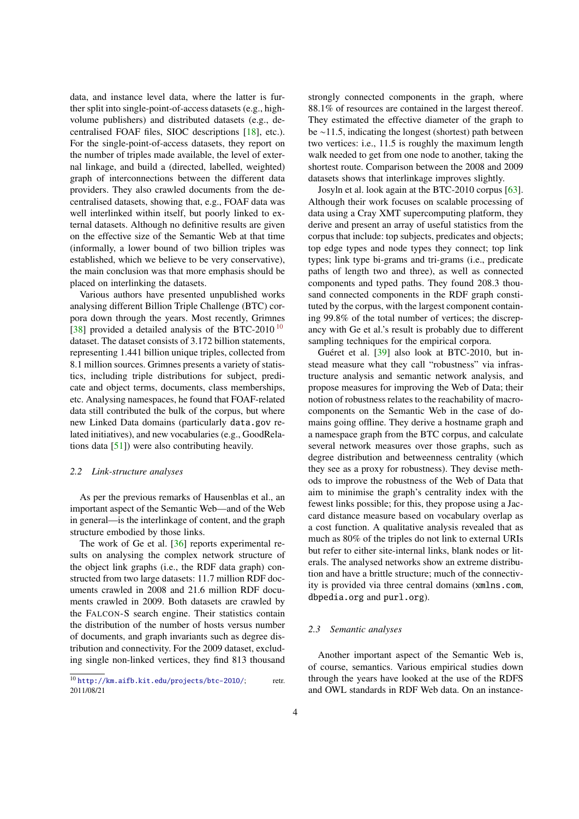data, and instance level data, where the latter is further split into single-point-of-access datasets (e.g., highvolume publishers) and distributed datasets (e.g., decentralised FOAF files, SIOC descriptions [\[18\]](#page-38-13), etc.). For the single-point-of-access datasets, they report on the number of triples made available, the level of external linkage, and build a (directed, labelled, weighted) graph of interconnections between the different data providers. They also crawled documents from the decentralised datasets, showing that, e.g., FOAF data was well interlinked within itself, but poorly linked to external datasets. Although no definitive results are given on the effective size of the Semantic Web at that time (informally, a lower bound of two billion triples was established, which we believe to be very conservative), the main conclusion was that more emphasis should be placed on interlinking the datasets.

Various authors have presented unpublished works analysing different Billion Triple Challenge (BTC) corpora down through the years. Most recently, Grimnes [\[38\]](#page-39-3) provided a detailed analysis of the BTC-20[10](#page-3-2)<sup>10</sup> dataset. The dataset consists of 3.172 billion statements, representing 1.441 billion unique triples, collected from 8.1 million sources. Grimnes presents a variety of statistics, including triple distributions for subject, predicate and object terms, documents, class memberships, etc. Analysing namespaces, he found that FOAF-related data still contributed the bulk of the corpus, but where new Linked Data domains (particularly data.gov related initiatives), and new vocabularies (e.g., GoodRelations data [\[51\]](#page-39-4)) were also contributing heavily.

#### <span id="page-3-0"></span>*2.2 Link-structure analyses*

As per the previous remarks of Hausenblas et al., an important aspect of the Semantic Web—and of the Web in general—is the interlinkage of content, and the graph structure embodied by those links.

The work of Ge et al. [\[36\]](#page-39-5) reports experimental results on analysing the complex network structure of the object link graphs (i.e., the RDF data graph) constructed from two large datasets: 11.7 million RDF documents crawled in 2008 and 21.6 million RDF documents crawled in 2009. Both datasets are crawled by the FALCON-S search engine. Their statistics contain the distribution of the number of hosts versus number of documents, and graph invariants such as degree distribution and connectivity. For the 2009 dataset, excluding single non-linked vertices, they find 813 thousand

strongly connected components in the graph, where 88.1% of resources are contained in the largest thereof. They estimated the effective diameter of the graph to be ∼11.5, indicating the longest (shortest) path between two vertices: i.e., 11.5 is roughly the maximum length walk needed to get from one node to another, taking the shortest route. Comparison between the 2008 and 2009 datasets shows that interlinkage improves slightly.

Josyln et al. look again at the BTC-2010 corpus [\[63\]](#page-39-6). Although their work focuses on scalable processing of data using a Cray XMT supercomputing platform, they derive and present an array of useful statistics from the corpus that include: top subjects, predicates and objects; top edge types and node types they connect; top link types; link type bi-grams and tri-grams (i.e., predicate paths of length two and three), as well as connected components and typed paths. They found 208.3 thousand connected components in the RDF graph constituted by the corpus, with the largest component containing 99.8% of the total number of vertices; the discrepancy with Ge et al.'s result is probably due to different sampling techniques for the empirical corpora.

Guéret et al. [\[39\]](#page-39-7) also look at BTC-2010, but instead measure what they call "robustness" via infrastructure analysis and semantic network analysis, and propose measures for improving the Web of Data; their notion of robustness relates to the reachability of macrocomponents on the Semantic Web in the case of domains going offline. They derive a hostname graph and a namespace graph from the BTC corpus, and calculate several network measures over those graphs, such as degree distribution and betweenness centrality (which they see as a proxy for robustness). They devise methods to improve the robustness of the Web of Data that aim to minimise the graph's centrality index with the fewest links possible; for this, they propose using a Jaccard distance measure based on vocabulary overlap as a cost function. A qualitative analysis revealed that as much as 80% of the triples do not link to external URIs but refer to either site-internal links, blank nodes or literals. The analysed networks show an extreme distribution and have a brittle structure; much of the connectivity is provided via three central domains (xmlns.com, dbpedia.org and purl.org).

#### <span id="page-3-1"></span>*2.3 Semantic analyses*

Another important aspect of the Semantic Web is, of course, semantics. Various empirical studies down through the years have looked at the use of the RDFS and OWL standards in RDF Web data. On an instance-

<span id="page-3-2"></span> $10$  <http://km.aifb.kit.edu/projects/btc-2010/>; retr. 2011/08/21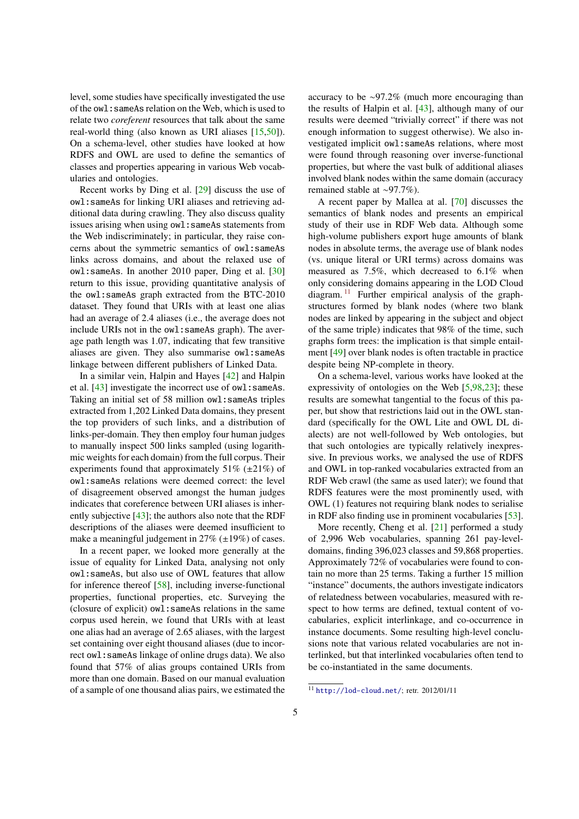level, some studies have specifically investigated the use of the owl:sameAs relation on the Web, which is used to relate two *coreferent* resources that talk about the same real-world thing (also known as URI aliases [\[15,](#page-38-10)[50\]](#page-39-8)). On a schema-level, other studies have looked at how RDFS and OWL are used to define the semantics of classes and properties appearing in various Web vocabularies and ontologies.

Recent works by Ding et al. [\[29\]](#page-38-14) discuss the use of owl:sameAs for linking URI aliases and retrieving additional data during crawling. They also discuss quality issues arising when using owl:sameAs statements from the Web indiscriminately; in particular, they raise concerns about the symmetric semantics of owl:sameAs links across domains, and about the relaxed use of owl:sameAs. In another 2010 paper, Ding et al. [\[30\]](#page-38-15) return to this issue, providing quantitative analysis of the owl:sameAs graph extracted from the BTC-2010 dataset. They found that URIs with at least one alias had an average of 2.4 aliases (i.e., the average does not include URIs not in the owl:sameAs graph). The average path length was 1.07, indicating that few transitive aliases are given. They also summarise owl:sameAs linkage between different publishers of Linked Data.

In a similar vein, Halpin and Hayes [\[42\]](#page-39-9) and Halpin et al. [\[43\]](#page-39-10) investigate the incorrect use of owl:sameAs. Taking an initial set of 58 million owl:sameAs triples extracted from 1,202 Linked Data domains, they present the top providers of such links, and a distribution of links-per-domain. They then employ four human judges to manually inspect 500 links sampled (using logarithmic weights for each domain) from the full corpus. Their experiments found that approximately  $51\%$  ( $\pm 21\%$ ) of owl:sameAs relations were deemed correct: the level of disagreement observed amongst the human judges indicates that coreference between URI aliases is inherently subjective [\[43\]](#page-39-10); the authors also note that the RDF descriptions of the aliases were deemed insufficient to make a meaningful judgement in  $27\%$  ( $\pm 19\%$ ) of cases.

In a recent paper, we looked more generally at the issue of equality for Linked Data, analysing not only owl:sameAs, but also use of OWL features that allow for inference thereof [\[58\]](#page-39-11), including inverse-functional properties, functional properties, etc. Surveying the (closure of explicit) owl:sameAs relations in the same corpus used herein, we found that URIs with at least one alias had an average of 2.65 aliases, with the largest set containing over eight thousand aliases (due to incorrect owl:sameAs linkage of online drugs data). We also found that 57% of alias groups contained URIs from more than one domain. Based on our manual evaluation of a sample of one thousand alias pairs, we estimated the

accuracy to be ∼97.2% (much more encouraging than the results of Halpin et al. [\[43\]](#page-39-10), although many of our results were deemed "trivially correct" if there was not enough information to suggest otherwise). We also investigated implicit owl:sameAs relations, where most were found through reasoning over inverse-functional properties, but where the vast bulk of additional aliases involved blank nodes within the same domain (accuracy remained stable at ∼97.7%).

A recent paper by Mallea at al. [\[70\]](#page-40-4) discusses the semantics of blank nodes and presents an empirical study of their use in RDF Web data. Although some high-volume publishers export huge amounts of blank nodes in absolute terms, the average use of blank nodes (vs. unique literal or URI terms) across domains was measured as 7.5%, which decreased to 6.1% when only considering domains appearing in the LOD Cloud diagram.  $11$  Further empirical analysis of the graphstructures formed by blank nodes (where two blank nodes are linked by appearing in the subject and object of the same triple) indicates that 98% of the time, such graphs form trees: the implication is that simple entailment [\[49\]](#page-39-12) over blank nodes is often tractable in practice despite being NP-complete in theory.

On a schema-level, various works have looked at the expressivity of ontologies on the Web [\[5](#page-38-16)[,98](#page-40-5)[,23\]](#page-38-17); these results are somewhat tangential to the focus of this paper, but show that restrictions laid out in the OWL standard (specifically for the OWL Lite and OWL DL dialects) are not well-followed by Web ontologies, but that such ontologies are typically relatively inexpressive. In previous works, we analysed the use of RDFS and OWL in top-ranked vocabularies extracted from an RDF Web crawl (the same as used later); we found that RDFS features were the most prominently used, with OWL (1) features not requiring blank nodes to serialise in RDF also finding use in prominent vocabularies [\[53\]](#page-39-13).

More recently, Cheng et al. [\[21\]](#page-38-18) performed a study of 2,996 Web vocabularies, spanning 261 pay-leveldomains, finding 396,023 classes and 59,868 properties. Approximately 72% of vocabularies were found to contain no more than 25 terms. Taking a further 15 million "instance" documents, the authors investigate indicators of relatedness between vocabularies, measured with respect to how terms are defined, textual content of vocabularies, explicit interlinkage, and co-occurrence in instance documents. Some resulting high-level conclusions note that various related vocabularies are not interlinked, but that interlinked vocabularies often tend to be co-instantiated in the same documents.

<span id="page-4-0"></span><sup>11</sup> <http://lod-cloud.net/>; retr. 2012/01/11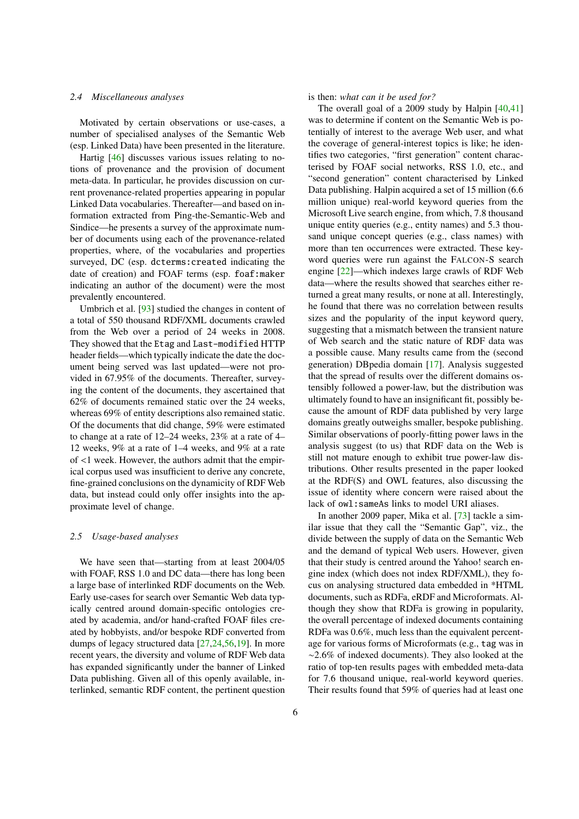#### <span id="page-5-0"></span>*2.4 Miscellaneous analyses*

Motivated by certain observations or use-cases, a number of specialised analyses of the Semantic Web (esp. Linked Data) have been presented in the literature.

Hartig [\[46\]](#page-39-14) discusses various issues relating to notions of provenance and the provision of document meta-data. In particular, he provides discussion on current provenance-related properties appearing in popular Linked Data vocabularies. Thereafter—and based on information extracted from Ping-the-Semantic-Web and Sindice—he presents a survey of the approximate number of documents using each of the provenance-related properties, where, of the vocabularies and properties surveyed, DC (esp. dcterms:created indicating the date of creation) and FOAF terms (esp. foaf:maker indicating an author of the document) were the most prevalently encountered.

Umbrich et al. [\[93\]](#page-40-6) studied the changes in content of a total of 550 thousand RDF/XML documents crawled from the Web over a period of 24 weeks in 2008. They showed that the Etag and Last-modified HTTP header fields—which typically indicate the date the document being served was last updated—were not provided in 67.95% of the documents. Thereafter, surveying the content of the documents, they ascertained that 62% of documents remained static over the 24 weeks, whereas 69% of entity descriptions also remained static. Of the documents that did change, 59% were estimated to change at a rate of 12–24 weeks, 23% at a rate of 4– 12 weeks, 9% at a rate of 1–4 weeks, and 9% at a rate of <<sup>1</sup> week. However, the authors admit that the empirical corpus used was insufficient to derive any concrete, fine-grained conclusions on the dynamicity of RDF Web data, but instead could only offer insights into the approximate level of change.

#### <span id="page-5-1"></span>*2.5 Usage-based analyses*

We have seen that—starting from at least 2004/05 with FOAF, RSS 1.0 and DC data—there has long been a large base of interlinked RDF documents on the Web. Early use-cases for search over Semantic Web data typically centred around domain-specific ontologies created by academia, and/or hand-crafted FOAF files created by hobbyists, and/or bespoke RDF converted from dumps of legacy structured data [\[27](#page-38-8)[,24,](#page-38-9)[56,](#page-39-0)[19\]](#page-38-19). In more recent years, the diversity and volume of RDF Web data has expanded significantly under the banner of Linked Data publishing. Given all of this openly available, interlinked, semantic RDF content, the pertinent question is then: *what can it be used for?*

The overall goal of a 2009 study by Halpin [\[40](#page-39-15)[,41\]](#page-39-16) was to determine if content on the Semantic Web is potentially of interest to the average Web user, and what the coverage of general-interest topics is like; he identifies two categories, "first generation" content characterised by FOAF social networks, RSS 1.0, etc., and "second generation" content characterised by Linked Data publishing. Halpin acquired a set of 15 million (6.6 million unique) real-world keyword queries from the Microsoft Live search engine, from which, 7.8 thousand unique entity queries (e.g., entity names) and 5.3 thousand unique concept queries (e.g., class names) with more than ten occurrences were extracted. These keyword queries were run against the FALCON-S search engine [\[22\]](#page-38-7)—which indexes large crawls of RDF Web data—where the results showed that searches either returned a great many results, or none at all. Interestingly, he found that there was no correlation between results sizes and the popularity of the input keyword query, suggesting that a mismatch between the transient nature of Web search and the static nature of RDF data was a possible cause. Many results came from the (second generation) DBpedia domain [\[17\]](#page-38-2). Analysis suggested that the spread of results over the different domains ostensibly followed a power-law, but the distribution was ultimately found to have an insignificant fit, possibly because the amount of RDF data published by very large domains greatly outweighs smaller, bespoke publishing. Similar observations of poorly-fitting power laws in the analysis suggest (to us) that RDF data on the Web is still not mature enough to exhibit true power-law distributions. Other results presented in the paper looked at the RDF(S) and OWL features, also discussing the issue of identity where concern were raised about the lack of owl:sameAs links to model URI aliases.

In another 2009 paper, Mika et al. [\[73\]](#page-40-7) tackle a similar issue that they call the "Semantic Gap", viz., the divide between the supply of data on the Semantic Web and the demand of typical Web users. However, given that their study is centred around the Yahoo! search engine index (which does not index RDF/XML), they focus on analysing structured data embedded in \*HTML documents, such as RDFa, eRDF and Microformats. Although they show that RDFa is growing in popularity, the overall percentage of indexed documents containing RDFa was 0.6%, much less than the equivalent percentage for various forms of Microformats (e.g., tag was in ∼2.6% of indexed documents). They also looked at the ratio of top-ten results pages with embedded meta-data for 7.6 thousand unique, real-world keyword queries. Their results found that 59% of queries had at least one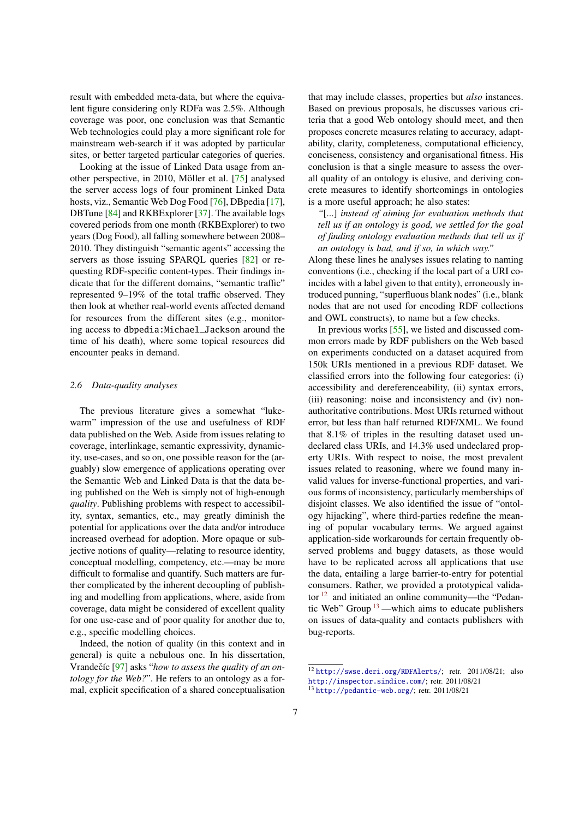result with embedded meta-data, but where the equivalent figure considering only RDFa was 2.5%. Although coverage was poor, one conclusion was that Semantic Web technologies could play a more significant role for mainstream web-search if it was adopted by particular sites, or better targeted particular categories of queries.

Looking at the issue of Linked Data usage from another perspective, in 2010, Möller et al. [\[75\]](#page-40-8) analysed the server access logs of four prominent Linked Data hosts, viz., Semantic Web Dog Food [\[76\]](#page-40-9), DBpedia [\[17\]](#page-38-2), DBTune [\[84\]](#page-40-10) and RKBExplorer [\[37\]](#page-39-17). The available logs covered periods from one month (RKBExplorer) to two years (Dog Food), all falling somewhere between 2008– 2010. They distinguish "semantic agents" accessing the servers as those issuing SPARQL queries [\[82\]](#page-40-11) or requesting RDF-specific content-types. Their findings indicate that for the different domains, "semantic traffic" represented 9–19% of the total traffic observed. They then look at whether real-world events affected demand for resources from the different sites (e.g., monitoring access to dbpedia:Michael\_Jackson around the time of his death), where some topical resources did encounter peaks in demand.

#### <span id="page-6-0"></span>*2.6 Data-quality analyses*

The previous literature gives a somewhat "lukewarm" impression of the use and usefulness of RDF data published on the Web. Aside from issues relating to coverage, interlinkage, semantic expressivity, dynamicity, use-cases, and so on, one possible reason for the (arguably) slow emergence of applications operating over the Semantic Web and Linked Data is that the data being published on the Web is simply not of high-enough *quality*. Publishing problems with respect to accessibility, syntax, semantics, etc., may greatly diminish the potential for applications over the data and/or introduce increased overhead for adoption. More opaque or subjective notions of quality—relating to resource identity, conceptual modelling, competency, etc.—may be more difficult to formalise and quantify. Such matters are further complicated by the inherent decoupling of publishing and modelling from applications, where, aside from coverage, data might be considered of excellent quality for one use-case and of poor quality for another due to, e.g., specific modelling choices.

Indeed, the notion of quality (in this context and in general) is quite a nebulous one. In his dissertation, Vrandečíc [[97\]](#page-40-12) asks "how to assess the quality of an on*tology for the Web?*". He refers to an ontology as a formal, explicit specification of a shared conceptualisation

that may include classes, properties but *also* instances. Based on previous proposals, he discusses various criteria that a good Web ontology should meet, and then proposes concrete measures relating to accuracy, adaptability, clarity, completeness, computational efficiency, conciseness, consistency and organisational fitness. His conclusion is that a single measure to assess the overall quality of an ontology is elusive, and deriving concrete measures to identify shortcomings in ontologies is a more useful approach; he also states:

*"*[...] *instead of aiming for evaluation methods that tell us if an ontology is good, we settled for the goal of finding ontology evaluation methods that tell us if an ontology is bad, and if so, in which way."*

Along these lines he analyses issues relating to naming conventions (i.e., checking if the local part of a URI coincides with a label given to that entity), erroneously introduced punning, "superfluous blank nodes" (i.e., blank nodes that are not used for encoding RDF collections and OWL constructs), to name but a few checks.

In previous works [\[55\]](#page-39-1), we listed and discussed common errors made by RDF publishers on the Web based on experiments conducted on a dataset acquired from 150k URIs mentioned in a previous RDF dataset. We classified errors into the following four categories: (i) accessibility and dereferenceability, (ii) syntax errors, (iii) reasoning: noise and inconsistency and (iv) nonauthoritative contributions. Most URIs returned without error, but less than half returned RDF/XML. We found that 8.1% of triples in the resulting dataset used undeclared class URIs, and 14.3% used undeclared property URIs. With respect to noise, the most prevalent issues related to reasoning, where we found many invalid values for inverse-functional properties, and various forms of inconsistency, particularly memberships of disjoint classes. We also identified the issue of "ontology hijacking", where third-parties redefine the meaning of popular vocabulary terms. We argued against application-side workarounds for certain frequently observed problems and buggy datasets, as those would have to be replicated across all applications that use the data, entailing a large barrier-to-entry for potential consumers. Rather, we provided a prototypical validator [12](#page-6-1) and initiated an online community—the "Pedantic Web" Group  $13$  —which aims to educate publishers on issues of data-quality and contacts publishers with bug-reports.

<span id="page-6-2"></span><span id="page-6-1"></span><sup>12</sup> <http://swse.deri.org/RDFAlerts/>; retr. 2011/08/21; also <http://inspector.sindice.com/>; retr. 2011/08/21 <sup>13</sup> <http://pedantic-web.org/>; retr. 2011/08/21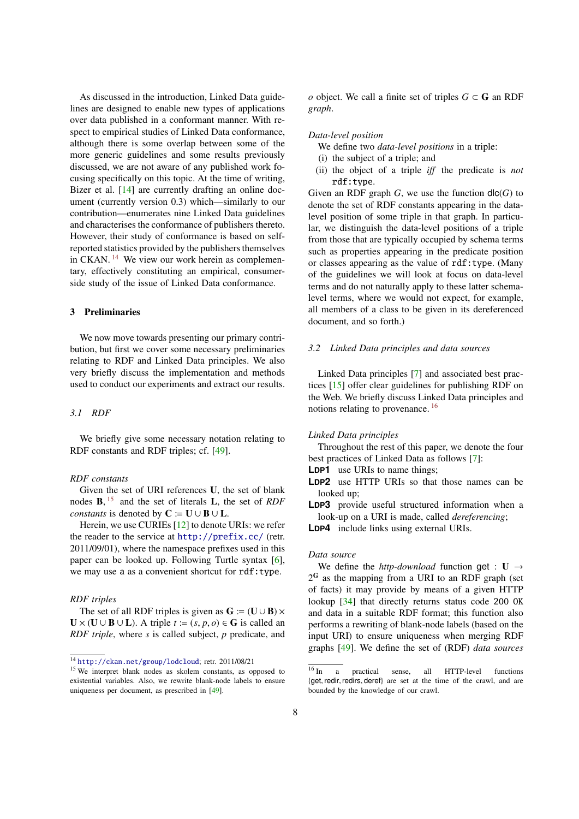As discussed in the introduction, Linked Data guidelines are designed to enable new types of applications over data published in a conformant manner. With respect to empirical studies of Linked Data conformance, although there is some overlap between some of the more generic guidelines and some results previously discussed, we are not aware of any published work focusing specifically on this topic. At the time of writing, Bizer et al. [\[14\]](#page-38-20) are currently drafting an online document (currently version 0.3) which—similarly to our contribution—enumerates nine Linked Data guidelines and characterises the conformance of publishers thereto. However, their study of conformance is based on selfreported statistics provided by the publishers themselves in CKAN. [14](#page-7-1) We view our work herein as complementary, effectively constituting an empirical, consumerside study of the issue of Linked Data conformance.

#### <span id="page-7-0"></span>3 Preliminaries

We now move towards presenting our primary contribution, but first we cover some necessary preliminaries relating to RDF and Linked Data principles. We also very briefly discuss the implementation and methods used to conduct our experiments and extract our results.

#### *3.1 RDF*

We briefly give some necessary notation relating to RDF constants and RDF triples; cf. [\[49\]](#page-39-12).

#### *RDF constants*

Given the set of URI references U, the set of blank nodes B, [15](#page-7-2) and the set of literals L, the set of *RDF constants* is denoted by  $C := U \cup B \cup L$ .

Herein, we use CURIEs [\[12\]](#page-38-21) to denote URIs: we refer the reader to the service at <http://prefix.cc/> (retr. 2011/09/01), where the namespace prefixes used in this paper can be looked up. Following Turtle syntax [\[6\]](#page-38-22), we may use a as a convenient shortcut for rdf:type.

#### *RDF triples*

The set of all RDF triples is given as  $G := (U \cup B) \times$  $U \times (U \cup B \cup L)$ . A triple  $t := (s, p, o) \in G$  is called an *RDF triple*, where *s* is called subject, *p* predicate, and *o* object. We call a finite set of triples  $G \subset \mathbf{G}$  an RDF *graph*.

#### *Data-level position*

- We define two *data-level positions* in a triple:
- (i) the subject of a triple; and
- (ii) the object of a triple *iff* the predicate is *not* rdf:type.

Given an RDF graph  $G$ , we use the function  $\text{dlc}(G)$  to denote the set of RDF constants appearing in the datalevel position of some triple in that graph. In particular, we distinguish the data-level positions of a triple from those that are typically occupied by schema terms such as properties appearing in the predicate position or classes appearing as the value of rdf:type. (Many of the guidelines we will look at focus on data-level terms and do not naturally apply to these latter schemalevel terms, where we would not expect, for example, all members of a class to be given in its dereferenced document, and so forth.)

#### <span id="page-7-4"></span>*3.2 Linked Data principles and data sources*

Linked Data principles [\[7\]](#page-38-1) and associated best practices [\[15\]](#page-38-10) offer clear guidelines for publishing RDF on the Web. We briefly discuss Linked Data principles and notions relating to provenance. [16](#page-7-3)

#### *Linked Data principles*

Throughout the rest of this paper, we denote the four best practices of Linked Data as follows [\[7\]](#page-38-1):

**LDP1** use URIs to name things;

- **LDP2** use HTTP URIs so that those names can be looked up;
- **LDP3** provide useful structured information when a look-up on a URI is made, called *dereferencing*;

**LDP4** include links using external URIs.

#### *Data source*

We define the *http-download* function get : U  $\rightarrow$  $2<sup>G</sup>$  as the mapping from a URI to an RDF graph (set of facts) it may provide by means of a given HTTP lookup [\[34\]](#page-39-18) that directly returns status code 200 OK and data in a suitable RDF format; this function also performs a rewriting of blank-node labels (based on the input URI) to ensure uniqueness when merging RDF graphs [\[49\]](#page-39-12). We define the set of (RDF) *data sources*

<span id="page-7-1"></span><sup>14</sup> <http://ckan.net/group/lodcloud>; retr. 2011/08/21

<span id="page-7-2"></span><sup>15</sup> We interpret blank nodes as skolem constants, as opposed to existential variables. Also, we rewrite blank-node labels to ensure uniqueness per document, as prescribed in [\[49\]](#page-39-12).

<span id="page-7-3"></span> $\frac{16}{16}$  In a practical sense, all HTTP-level functions {get, redir, redirs, deref} are set at the time of the crawl, and are bounded by the knowledge of our crawl.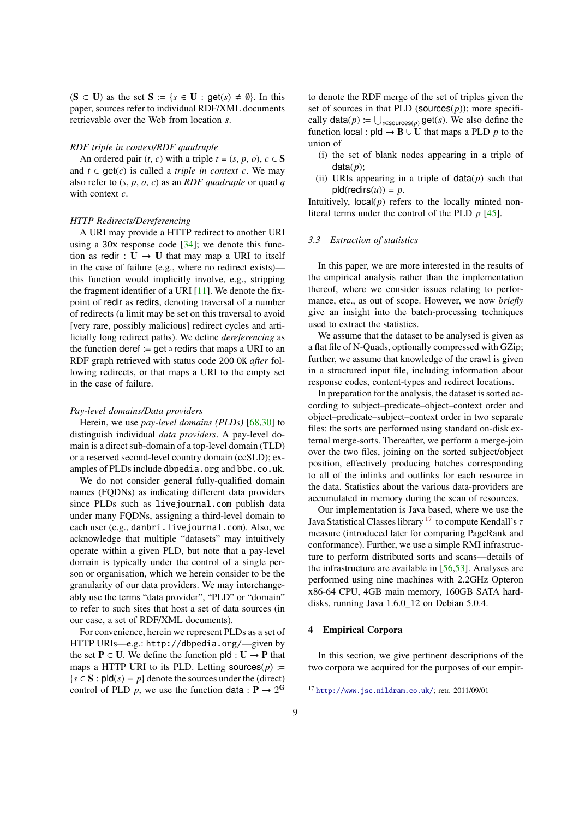$(S \subset U)$  as the set  $S := \{s \in U : \text{get}(s) \neq \emptyset\}$ . In this paper, sources refer to individual RDF/XML documents retrievable over the Web from location *s*.

## *RDF triple in context/RDF quadruple*

An ordered pair  $(t, c)$  with a triple  $t = (s, p, o), c \in S$ and  $t \in \text{get}(c)$  is called a *triple in context c*. We may also refer to (*s*, *p*, *o*, *c*) as an *RDF quadruple* or quad *q* with context *c*.

## *HTTP Redirects/Dereferencing*

A URI may provide a HTTP redirect to another URI using a 30x response code [\[34\]](#page-39-18); we denote this function as redir :  $U \rightarrow U$  that may map a URI to itself in the case of failure (e.g., where no redirect exists) this function would implicitly involve, e.g., stripping the fragment identifier of a URI  $[11]$ . We denote the fixpoint of redir as redirs, denoting traversal of a number of redirects (a limit may be set on this traversal to avoid [very rare, possibly malicious] redirect cycles and artificially long redirect paths). We define *dereferencing* as the function deref := get  $\circ$  redirs that maps a URI to an RDF graph retrieved with status code 200 OK *after* following redirects, or that maps a URI to the empty set in the case of failure.

#### *Pay-level domains/Data providers*

Herein, we use *pay-level domains (PLDs)* [\[68,](#page-40-13)[30\]](#page-38-15) to distinguish individual *data providers*. A pay-level domain is a direct sub-domain of a top-level domain (TLD) or a reserved second-level country domain (ccSLD); examples of PLDs include dbpedia.org and bbc.co.uk.

We do not consider general fully-qualified domain names (FQDNs) as indicating different data providers since PLDs such as livejournal.com publish data under many FQDNs, assigning a third-level domain to each user (e.g., danbri.livejournal.com). Also, we acknowledge that multiple "datasets" may intuitively operate within a given PLD, but note that a pay-level domain is typically under the control of a single person or organisation, which we herein consider to be the granularity of our data providers. We may interchangeably use the terms "data provider", "PLD" or "domain" to refer to such sites that host a set of data sources (in our case, a set of RDF/XML documents).

For convenience, herein we represent PLDs as a set of HTTP URIs—e.g.: http://dbpedia.org/—given by the set  $P \subset U$ . We define the function pld :  $U \to P$  that maps a HTTP URI to its PLD. Letting sources $(p)$  :=  ${s \in S : p \mid d(s) = p}$  denote the sources under the (direct) control of PLD p, we use the function data :  $P \rightarrow 2^G$ 

to denote the RDF merge of the set of triples given the set of sources in that PLD (sources $(p)$ ); more specifically  $data(p) := \bigcup_{s \in sources(p)} get(s)$ . We also define the function local : pld  $\rightarrow$  **B**  $\cup$  **U** that maps a PLD *p* to the union of

- (i) the set of blank nodes appearing in a triple of data(*p*);
- (ii) URIs appearing in a triple of  $data(p)$  such that  $pld(redirs(u)) = p.$

Intuitively,  $\text{local}(p)$  refers to the locally minted nonliteral terms under the control of the PLD *p* [\[45\]](#page-39-19).

## *3.3 Extraction of statistics*

In this paper, we are more interested in the results of the empirical analysis rather than the implementation thereof, where we consider issues relating to performance, etc., as out of scope. However, we now *briefly* give an insight into the batch-processing techniques used to extract the statistics.

We assume that the dataset to be analysed is given as a flat file of N-Quads, optionally compressed with GZip; further, we assume that knowledge of the crawl is given in a structured input file, including information about response codes, content-types and redirect locations.

In preparation for the analysis, the dataset is sorted according to subject–predicate–object–context order and object–predicate–subject–context order in two separate files: the sorts are performed using standard on-disk external merge-sorts. Thereafter, we perform a merge-join over the two files, joining on the sorted subject/object position, effectively producing batches corresponding to all of the inlinks and outlinks for each resource in the data. Statistics about the various data-providers are accumulated in memory during the scan of resources.

Our implementation is Java based, where we use the Java Statistical Classes library <sup>[17](#page-8-1)</sup> to compute Kendall's  $\tau$ measure (introduced later for comparing PageRank and conformance). Further, we use a simple RMI infrastructure to perform distributed sorts and scans—details of the infrastructure are available in [\[56,](#page-39-0)[53\]](#page-39-13). Analyses are performed using nine machines with 2.2GHz Opteron x86-64 CPU, 4GB main memory, 160GB SATA harddisks, running Java 1.6.0\_12 on Debian 5.0.4.

#### <span id="page-8-0"></span>4 Empirical Corpora

In this section, we give pertinent descriptions of the two corpora we acquired for the purposes of our empir-

<span id="page-8-1"></span><sup>17</sup> <http://www.jsc.nildram.co.uk/>; retr. 2011/09/01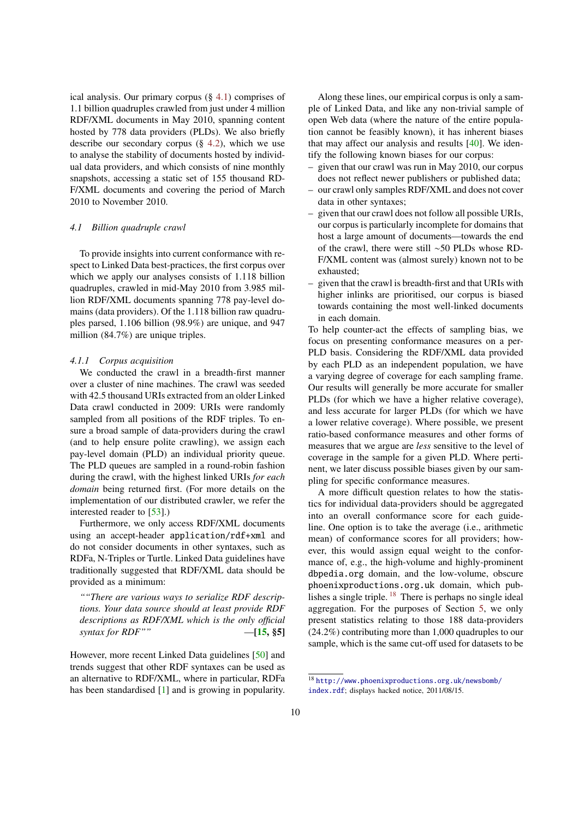ical analysis. Our primary corpus  $(\S$  [4.1\)](#page-9-0) comprises of 1.1 billion quadruples crawled from just under 4 million RDF/XML documents in May 2010, spanning content hosted by 778 data providers (PLDs). We also briefly describe our secondary corpus  $(\S$  [4.2\)](#page-12-1), which we use to analyse the stability of documents hosted by individual data providers, and which consists of nine monthly snapshots, accessing a static set of 155 thousand RD-F/XML documents and covering the period of March 2010 to November 2010.

#### <span id="page-9-0"></span>*4.1 Billion quadruple crawl*

To provide insights into current conformance with respect to Linked Data best-practices, the first corpus over which we apply our analyses consists of 1.118 billion quadruples, crawled in mid-May 2010 from 3.985 million RDF/XML documents spanning 778 pay-level domains (data providers). Of the 1.118 billion raw quadruples parsed, 1.106 billion (98.9%) are unique, and 947 million (84.7%) are unique triples.

#### <span id="page-9-2"></span>*4.1.1 Corpus acquisition*

We conducted the crawl in a breadth-first manner over a cluster of nine machines. The crawl was seeded with 42.5 thousand URIs extracted from an older Linked Data crawl conducted in 2009: URIs were randomly sampled from all positions of the RDF triples. To ensure a broad sample of data-providers during the crawl (and to help ensure polite crawling), we assign each pay-level domain (PLD) an individual priority queue. The PLD queues are sampled in a round-robin fashion during the crawl, with the highest linked URIs *for each domain* being returned first. (For more details on the implementation of our distributed crawler, we refer the interested reader to [\[53\]](#page-39-13).)

Furthermore, we only access RDF/XML documents using an accept-header application/rdf+xml and do not consider documents in other syntaxes, such as RDFa, N-Triples or Turtle. Linked Data guidelines have traditionally suggested that RDF/XML data should be provided as a minimum:

*""There are various ways to serialize RDF descriptions. Your data source should at least provide RDF descriptions as RDF/XML which is the only official syntax for RDF""* —[\[15,](#page-38-10) §5]

However, more recent Linked Data guidelines [\[50\]](#page-39-8) and trends suggest that other RDF syntaxes can be used as an alternative to RDF/XML, where in particular, RDFa has been standardised [\[1\]](#page-38-24) and is growing in popularity.

Along these lines, our empirical corpus is only a sample of Linked Data, and like any non-trivial sample of open Web data (where the nature of the entire population cannot be feasibly known), it has inherent biases that may affect our analysis and results [\[40\]](#page-39-15). We identify the following known biases for our corpus:

- given that our crawl was run in May 2010, our corpus does not reflect newer publishers or published data;
- our crawl only samples RDF/XML and does not cover data in other syntaxes;
- given that our crawl does not follow all possible URIs, our corpus is particularly incomplete for domains that host a large amount of documents—towards the end of the crawl, there were still ∼50 PLDs whose RD-F/XML content was (almost surely) known not to be exhausted;
- given that the crawl is breadth-first and that URIs with higher inlinks are prioritised, our corpus is biased towards containing the most well-linked documents in each domain.

To help counter-act the effects of sampling bias, we focus on presenting conformance measures on a per-PLD basis. Considering the RDF/XML data provided by each PLD as an independent population, we have a varying degree of coverage for each sampling frame. Our results will generally be more accurate for smaller PLDs (for which we have a higher relative coverage), and less accurate for larger PLDs (for which we have a lower relative coverage). Where possible, we present ratio-based conformance measures and other forms of measures that we argue are *less* sensitive to the level of coverage in the sample for a given PLD. Where pertinent, we later discuss possible biases given by our sampling for specific conformance measures.

A more difficult question relates to how the statistics for individual data-providers should be aggregated into an overall conformance score for each guideline. One option is to take the average (i.e., arithmetic mean) of conformance scores for all providers; however, this would assign equal weight to the conformance of, e.g., the high-volume and highly-prominent dbpedia.org domain, and the low-volume, obscure phoenixproductions.org.uk domain, which publishes a single triple. [18](#page-9-1) There is perhaps no single ideal aggregation. For the purposes of Section [5,](#page-12-0) we only present statistics relating to those 188 data-providers (24.2%) contributing more than 1,000 quadruples to our sample, which is the same cut-off used for datasets to be

<span id="page-9-1"></span><sup>18</sup> [http://www.phoenixproductions.org.uk/newsbomb/](http://www.phoenixproductions.org.uk/newsbomb/index.rdf) [index.rdf](http://www.phoenixproductions.org.uk/newsbomb/index.rdf); displays hacked notice, 2011/08/15.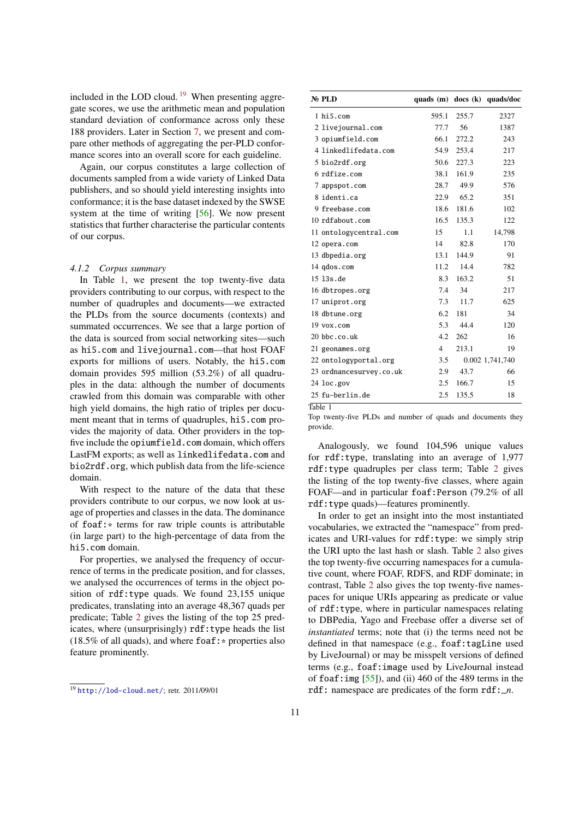included in the LOD cloud.<sup>[19](#page-10-0)</sup> When presenting aggregate scores, we use the arithmetic mean and population standard deviation of conformance across only these 188 providers. Later in Section [7,](#page-31-0) we present and compare other methods of aggregating the per-PLD conformance scores into an overall score for each guideline.

Again, our corpus constitutes a large collection of documents sampled from a wide variety of Linked Data publishers, and so should yield interesting insights into conformance; it is the base dataset indexed by the SWSE system at the time of writing [\[56\]](#page-39-0). We now present statistics that further characterise the particular contents of our corpus.

#### *4.1.2 Corpus summary*

In Table [1,](#page-10-1) we present the top twenty-five data providers contributing to our corpus, with respect to the number of quadruples and documents—we extracted the PLDs from the source documents (contexts) and summated occurrences. We see that a large portion of the data is sourced from social networking sites—such as hi5.com and livejournal.com—that host FOAF exports for millions of users. Notably, the hi5.com domain provides 595 million (53.2%) of all quadruples in the data: although the number of documents crawled from this domain was comparable with other high yield domains, the high ratio of triples per document meant that in terms of quadruples, hi5.com provides the majority of data. Other providers in the topfive include the opiumfield.com domain, which offers LastFM exports; as well as linkedlifedata.com and bio2rdf.org, which publish data from the life-science domain.

With respect to the nature of the data that these providers contribute to our corpus, we now look at usage of properties and classes in the data. The dominance of foaf:\* terms for raw triple counts is attributable (in large part) to the high-percentage of data from the hi5.com domain.

For properties, we analysed the frequency of occurrence of terms in the predicate position, and for classes, we analysed the occurrences of terms in the object position of rdf:type quads. We found 23,155 unique predicates, translating into an average 48,367 quads per predicate; Table [2](#page-11-0) gives the listing of the top 25 predicates, where (unsurprisingly) rdf:type heads the list  $(18.5\% \text{ of all quads})$ , and where foaf: \* properties also feature prominently.

| № PLD                   | quads (m) docs (k) quads/doc |           |                 |
|-------------------------|------------------------------|-----------|-----------------|
| 1 hi5.com               | 595.1                        | 255.7     | 2327            |
| 2 livejournal.com       | 77.7                         | 56        | 1387            |
| 3 opiumfield.com        | 66.1                         | 272.2     | 243             |
| 4 linkedlifedata.com    | 54.9                         | 253.4     | 217             |
| 5 bio2rdf.org           | 50.6                         | 227.3     | 223             |
| 6 rdfize.com            | 38.1                         | 161.9     | 235             |
| 7 appspot.com           | 28.7                         | 49.9      | 576             |
| 8 identi.ca             |                              | 22.9 65.2 | 351             |
| 9 freebase.com          | 18.6                         | 181.6     | 102             |
| 10 rdfabout.com         | 16.5                         | 135.3     | 122             |
| 11 ontologycentral.com  | 15                           | 1.1       | 14,798          |
| 12 opera.com            | 14                           | 82.8      | 170             |
| 13 dbpedia.org          | 13.1                         | 144.9     | 91              |
| 14 qdos.com             | 11.2                         | 14.4      | 782             |
| 15 13s.de               | 8.3                          | 163.2     | 51              |
| 16 dbtropes.org         | 7.4                          | 34        | 217             |
| 17 uniprot.org          | 7.3                          | 11.7      | 625             |
| 18 dbtune.org           | 6.2                          | 181       | 34              |
| 19 vox.com              | 5.3                          | 44.4      | 120             |
| 20 bbc.co.uk            | 4.2                          | 262       | 16              |
| 21 geonames.org         | $\overline{4}$               | 213.1     | 19              |
| 22 ontologyportal.org   | 3.5                          |           | 0.002 1,741,740 |
| 23 ordnancesurvey.co.uk | 2.9                          | 43.7      | 66              |
| 24 loc.gov              | 2.5                          | 166.7     | 15              |
| 25 fu-berlin.de         | 2.5                          | 135.5     | 18              |
| Table 1                 |                              |           |                 |

<span id="page-10-1"></span>Top twenty-five PLDs and number of quads and documents they provide.

Analogously, we found 104,596 unique values for rdf:type, translating into an average of 1,977 rdf:type quadruples per class term; Table [2](#page-11-0) gives the listing of the top twenty-five classes, where again FOAF—and in particular foaf:Person (79.2% of all rdf:type quads)—features prominently.

In order to get an insight into the most instantiated vocabularies, we extracted the "namespace" from predicates and URI-values for rdf:type: we simply strip the URI upto the last hash or slash. Table [2](#page-11-0) also gives the top twenty-five occurring namespaces for a cumulative count, where FOAF, RDFS, and RDF dominate; in contrast, Table [2](#page-11-0) also gives the top twenty-five namespaces for unique URIs appearing as predicate or value of rdf:type, where in particular namespaces relating to DBPedia, Yago and Freebase offer a diverse set of *instantiated* terms; note that (i) the terms need not be defined in that namespace (e.g., foaf:tagLine used by LiveJournal) or may be misspelt versions of defined terms (e.g., foaf:image used by LiveJournal instead of foaf: img  $[55]$ ), and (ii) 460 of the 489 terms in the rdf: namespace are predicates of the form rdf:\_*n*.

<span id="page-10-0"></span><sup>19</sup> <http://lod-cloud.net/>; retr. 2011/09/01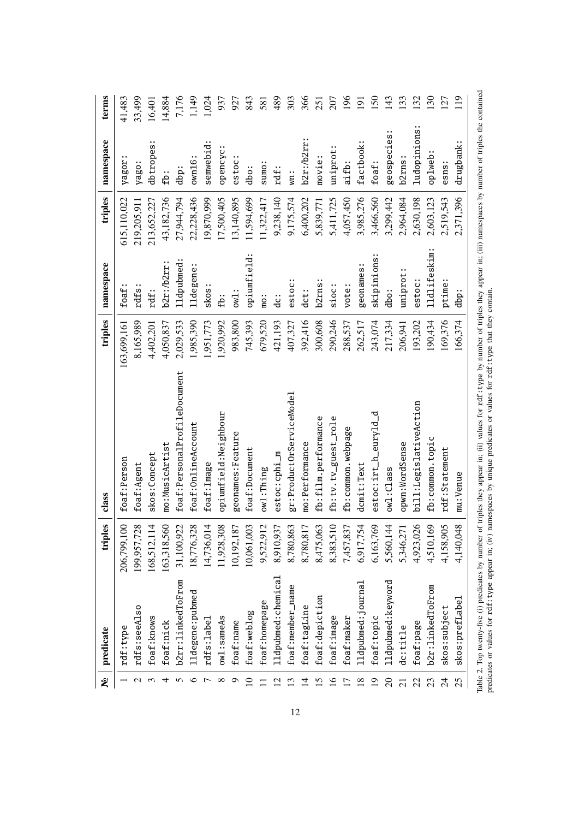| .<br>گ                   | predicate          | triples     | class                        | triples     | namespace         | triples     | namespace        | terms            |
|--------------------------|--------------------|-------------|------------------------------|-------------|-------------------|-------------|------------------|------------------|
|                          | rdf:type           | 206,799,100 | foaf:Person                  | 163,699,161 | foaf:             | 615,110,022 | yagor:           | 41,483           |
|                          | rdfs:seeAlso       | 199,957,728 | foaf: Agent                  | 8,165,989   | rdfs:             | 219,205,911 | yago:            | 33,499           |
|                          | foaf:knows         | 168,512,114 | skos:Concept                 | 4,402,201   | rdf:              | 213,652,227 | dbtropes:        | 16,401           |
|                          | foaf:nick          | 163,318,560 | mo:MusicArtist               | 4,050,837   | b2r:/b2rr:        | 43,182,736  | .<br>£           | 14,884           |
|                          | b2rr:linkedToFrom  | 31,100,922  | foaf:PersonalProfileDocument | 2,029,533   | 11dpubmed:        | 27,944,794  | dbp:             | 7,176            |
|                          | 11degene:pubmed    | 18,776,328  | foaf:OnlineAccount           | ,985,390    | lldegene:         | 22,228,436  | own16:           | 1,149            |
|                          | rdfs:label         | 14,736,014  | foaf: Image                  | ,951,773    | skos:             | 19,870,999  | semwebid:        | 1,024            |
| ∞                        | owl:sameAs         | 11,928,308  | opiumfield:Neighbour         | .,920,992   | fb:               | 17,500,405  | opencyc:         | 937              |
| ٥                        | foaf:name          | 10,192,187  | geonames: Feature            | 983,800     | owl:              | 13,140,895  | estoc:           | 927              |
| $\supseteq$              | foaf:weblog        | 10,061,003  | foaf:Document                | 745,393     | opiumfield:       | 1,594,699   | dbo:             | 843              |
|                          | foaf: homepage     | 9,522,912   | owl:Thing                    | 679,520     | ino:              | 1,322,417   | sumo:            | 581              |
| $\mathcal{C}_{1}$        | 11dpubmed:chemical | 8,910,937   | estoc:cphi_m                 | 421,193     | dc:               | 9,238,140   | rdf:             | 489              |
|                          | foaf:member_name   | 8,780,863   | gr:ProductOrServiceModel     | 407,327     | estoc:            | 9,175,574   | $\sum_{i=1}^{n}$ | 303              |
| 4                        | foaf:tagLine       | 8,780,817   | mo:Performance               | 392,416     | dct:              | 6,400,202   | b2r:/b2rr        | 366              |
|                          | foaf:depiction     | 8,475,063   | fb:film.performance          | 300,608     | b <sub>2rns</sub> | 5,839,771   | movie:           | 251              |
| $\overline{6}$           | foaf:image         | 8,383,510   | fb:tv.tv_guest_role          | 290,246     | sioc:             | 5,411,725   | uniprot:         | 207              |
|                          | foaf:maker         | 7,457,837   | fb: common.webpage           | 288,537     | vote:             | 4,057,450   | aifb:            | 196              |
|                          | 11dpubmed:journal  | 6,917,754   | dcmit:Text                   | 262,517     | geonames:         | 3,985,276   | factbook:        | $\overline{191}$ |
| ഉ                        | foaf:topic         | 6,163,769   | estoc:irt_h_euryld_d         | 243,074     | skipinions        | 3,466,560   | foaf:            | <b>SO</b>        |
| $\Omega$                 | 11dpubmed:keyword  | 5,560,144   | owl:Class                    | 217,334     | dbo:              | 3,299,442   | geospecies:      | 143              |
|                          | dc:title           | 5,346,271   | opwn:WordSense               | 206,941     | uniprot:          | 2,964,084   | b2rns:           | 133              |
| 22                       | foaf:page          | 4,923,026   | bill:LegislativeAction       | 193,202     | estoc:            | 2,630,198   | ludopinions      | 132              |
| 23                       | b2r:linkedToFrom   | 4,510,169   | fb:common.topic              | 190,434     | 11dlifeskim:      | 2,603,123   | oplweb:          | 130              |
| $\overline{\mathcal{L}}$ | skos:subject       | 4,158,905   | rdf:Statement                | 169,376     | ptime:            | 2,519,543   | esns:            | 127              |
| 25                       | skos:prefLabel     | 4,140,048   | mu:Venue                     | 166,374     | dbp:              | 2,371,396   | drugbank:        | 19               |
|                          |                    |             |                              |             |                   |             |                  |                  |

<span id="page-11-0"></span>Table 2. Top twenty-five (i) predicates by number of triples they appear in; (ii) values for rdf:type by number of triples they appear in; (iii) namespaces by number of triples the contained<br>predicates or values for rdf:ty Table 2. Top twenty-five (i) predicates by number of triples they appear in; (ii) values for rdf:type by number of triples they appear in; (iii) namespaces by number of triples the contained predicates or values for rdf:type appear in; (iv) namespaces by unique predicates or values for rdf:type that they contain.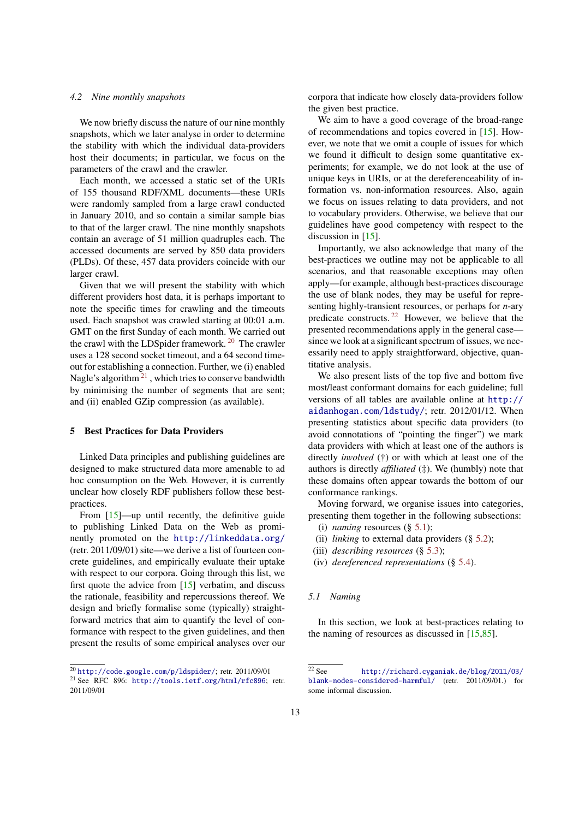#### <span id="page-12-1"></span>*4.2 Nine monthly snapshots*

We now briefly discuss the nature of our nine monthly snapshots, which we later analyse in order to determine the stability with which the individual data-providers host their documents; in particular, we focus on the parameters of the crawl and the crawler.

Each month, we accessed a static set of the URIs of 155 thousand RDF/XML documents—these URIs were randomly sampled from a large crawl conducted in January 2010, and so contain a similar sample bias to that of the larger crawl. The nine monthly snapshots contain an average of 51 million quadruples each. The accessed documents are served by 850 data providers (PLDs). Of these, 457 data providers coincide with our larger crawl.

Given that we will present the stability with which different providers host data, it is perhaps important to note the specific times for crawling and the timeouts used. Each snapshot was crawled starting at 00:01 a.m. GMT on the first Sunday of each month. We carried out the crawl with the LDSpider framework. [20](#page-12-2) The crawler uses a 128 second socket timeout, and a 64 second timeout for establishing a connection. Further, we (i) enabled Nagle's algorithm<sup>[21](#page-12-3)</sup>, which tries to conserve bandwidth by minimising the number of segments that are sent; and (ii) enabled GZip compression (as available).

# <span id="page-12-0"></span>5 Best Practices for Data Providers

Linked Data principles and publishing guidelines are designed to make structured data more amenable to ad hoc consumption on the Web. However, it is currently unclear how closely RDF publishers follow these bestpractices.

From [\[15\]](#page-38-10)—up until recently, the definitive guide to publishing Linked Data on the Web as prominently promoted on the <http://linkeddata.org/> (retr. 2011/09/01) site—we derive a list of fourteen concrete guidelines, and empirically evaluate their uptake with respect to our corpora. Going through this list, we first quote the advice from [\[15\]](#page-38-10) verbatim, and discuss the rationale, feasibility and repercussions thereof. We design and briefly formalise some (typically) straightforward metrics that aim to quantify the level of conformance with respect to the given guidelines, and then present the results of some empirical analyses over our corpora that indicate how closely data-providers follow the given best practice.

We aim to have a good coverage of the broad-range of recommendations and topics covered in [\[15\]](#page-38-10). However, we note that we omit a couple of issues for which we found it difficult to design some quantitative experiments; for example, we do not look at the use of unique keys in URIs, or at the dereferenceability of information vs. non-information resources. Also, again we focus on issues relating to data providers, and not to vocabulary providers. Otherwise, we believe that our guidelines have good competency with respect to the discussion in  $[15]$ .

Importantly, we also acknowledge that many of the best-practices we outline may not be applicable to all scenarios, and that reasonable exceptions may often apply—for example, although best-practices discourage the use of blank nodes, they may be useful for representing highly-transient resources, or perhaps for *n*-ary predicate constructs. [22](#page-12-4) However, we believe that the presented recommendations apply in the general case since we look at a significant spectrum of issues, we necessarily need to apply straightforward, objective, quantitative analysis.

We also present lists of the top five and bottom five most/least conformant domains for each guideline; full versions of all tables are available online at [http://](http://aidanhogan.com/ldstudy/) [aidanhogan.com/ldstudy/](http://aidanhogan.com/ldstudy/); retr. 2012/01/12. When presenting statistics about specific data providers (to avoid connotations of "pointing the finger") we mark data providers with which at least one of the authors is directly *involved* (†) or with which at least one of the authors is directly *affiliated* (‡). We (humbly) note that these domains often appear towards the bottom of our conformance rankings.

Moving forward, we organise issues into categories, presenting them together in the following subsections:

- (i) *naming* resources  $(\S 5.1)$  $(\S 5.1)$ ;
- (ii) *linking* to external data providers (§ [5.2\)](#page-18-0);
- (iii) *describing resources* (§ [5.3\)](#page-21-0);
- (iv) *dereferenced representations* (§ [5.4\)](#page-24-0).

## <span id="page-12-5"></span>*5.1 Naming*

In this section, we look at best-practices relating to the naming of resources as discussed in [\[15](#page-38-10)[,85\]](#page-40-14).

<span id="page-12-3"></span><span id="page-12-2"></span><sup>20</sup> <http://code.google.com/p/ldspider/>; retr. 2011/09/01 <sup>21</sup> See RFC 896: <http://tools.ietf.org/html/rfc896>; retr. 2011/09/01

<span id="page-12-4"></span> $\overline{\text{22} \text{ See}}$  [http://richard.cyganiak.de/blog/2011/03/](http://richard.cyganiak.de/blog/2011/03/blank-nodes-considered-harmful/) [blank-nodes-considered-harmful/](http://richard.cyganiak.de/blog/2011/03/blank-nodes-considered-harmful/) (retr. 2011/09/01.) for some informal discussion.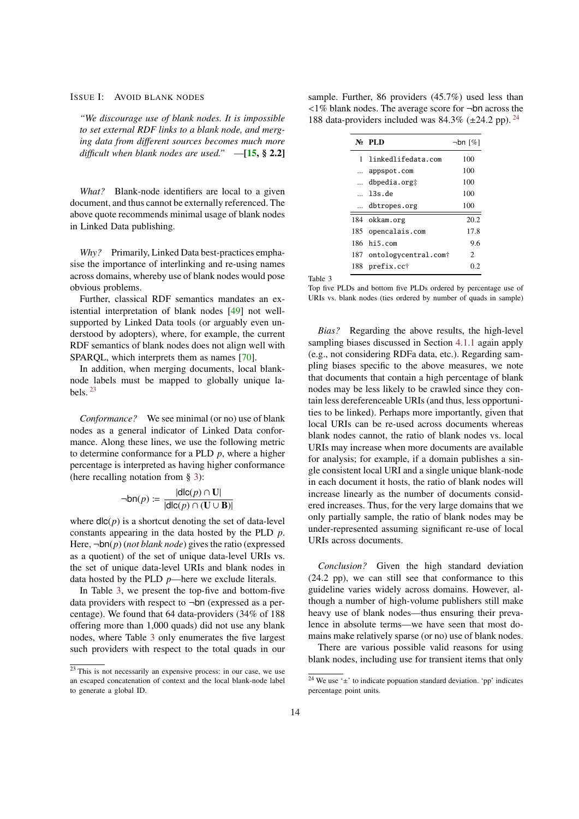#### <span id="page-13-3"></span>ISSUE I: AVOID BLANK NODES

*"We discourage use of blank nodes. It is impossible to set external RDF links to a blank node, and merging data from different sources becomes much more difficult when blank nodes are used."* —[\[15,](#page-38-10) § 2.2]

*What?* Blank-node identifiers are local to a given document, and thus cannot be externally referenced. The above quote recommends minimal usage of blank nodes in Linked Data publishing.

*Why?* Primarily, Linked Data best-practices emphasise the importance of interlinking and re-using names across domains, whereby use of blank nodes would pose obvious problems.

Further, classical RDF semantics mandates an existential interpretation of blank nodes [\[49\]](#page-39-12) not wellsupported by Linked Data tools (or arguably even understood by adopters), where, for example, the current RDF semantics of blank nodes does not align well with SPARQL, which interprets them as names [\[70\]](#page-40-4).

In addition, when merging documents, local blanknode labels must be mapped to globally unique labels. [23](#page-13-0)

*Conformance?* We see minimal (or no) use of blank nodes as a general indicator of Linked Data conformance. Along these lines, we use the following metric to determine conformance for a PLD *p*, where a higher percentage is interpreted as having higher conformance (here recalling notation from § [3\)](#page-7-0):

$$
\neg \mathsf{bn}(p) := \frac{|\mathsf{dlc}(p) \cap \mathbf{U}|}{|\mathsf{dlc}(p) \cap (\mathbf{U} \cup \mathbf{B})|}
$$

where  $dlc(p)$  is a shortcut denoting the set of data-level constants appearing in the data hosted by the PLD *p*. Here, ¬bn(*p*) (*not blank node*) gives the ratio (expressed as a quotient) of the set of unique data-level URIs vs. the set of unique data-level URIs and blank nodes in data hosted by the PLD *p*—here we exclude literals.

In Table [3,](#page-13-1) we present the top-five and bottom-five data providers with respect to  $\neg$ bn (expressed as a percentage). We found that 64 data-providers (34% of 188 offering more than 1,000 quads) did not use any blank nodes, where Table [3](#page-13-1) only enumerates the five largest such providers with respect to the total quads in our sample. Further, 86 providers (45.7%) used less than <1% blank nodes. The average score for <sup>¬</sup>bn across the 188 data-providers included was  $84.3\%$  ( $\pm 24.2$  $\pm 24.2$  $\pm 24.2$  pp). <sup>24</sup>

|     | $N_0$ PLD            | $\neg$ bn [%] |
|-----|----------------------|---------------|
| 1   | linkedlifedata.com   | 100           |
|     | appspot.com          | 100           |
|     | dbpedia.org:         | 100           |
|     | 13s.de               | 100           |
|     | dbtropes.org         | 100           |
|     | 184 okkam.org        | 20.2          |
|     | 185 opencalais.com   | 17.8          |
|     | 186 hi5.com          | 9.6           |
| 187 | ontologycentral.com+ | 2             |
| 188 | prefix.cct           | 0.2           |

Table 3

<span id="page-13-1"></span>Top five PLDs and bottom five PLDs ordered by percentage use of URIs vs. blank nodes (ties ordered by number of quads in sample)

*Bias?* Regarding the above results, the high-level sampling biases discussed in Section [4.1.1](#page-9-2) again apply (e.g., not considering RDFa data, etc.). Regarding sampling biases specific to the above measures, we note that documents that contain a high percentage of blank nodes may be less likely to be crawled since they contain less dereferenceable URIs (and thus, less opportunities to be linked). Perhaps more importantly, given that local URIs can be re-used across documents whereas blank nodes cannot, the ratio of blank nodes vs. local URIs may increase when more documents are available for analysis; for example, if a domain publishes a single consistent local URI and a single unique blank-node in each document it hosts, the ratio of blank nodes will increase linearly as the number of documents considered increases. Thus, for the very large domains that we only partially sample, the ratio of blank nodes may be under-represented assuming significant re-use of local URIs across documents.

*Conclusion?* Given the high standard deviation (24.2 pp), we can still see that conformance to this guideline varies widely across domains. However, although a number of high-volume publishers still make heavy use of blank nodes—thus ensuring their prevalence in absolute terms—we have seen that most domains make relatively sparse (or no) use of blank nodes.

There are various possible valid reasons for using blank nodes, including use for transient items that only

<span id="page-13-0"></span> $23$  This is not necessarily an expensive process: in our case, we use an escaped concatenation of context and the local blank-node label to generate a global ID.

<span id="page-13-2"></span> $24$  We use ' $\pm$ ' to indicate popuation standard deviation. 'pp' indicates percentage point units.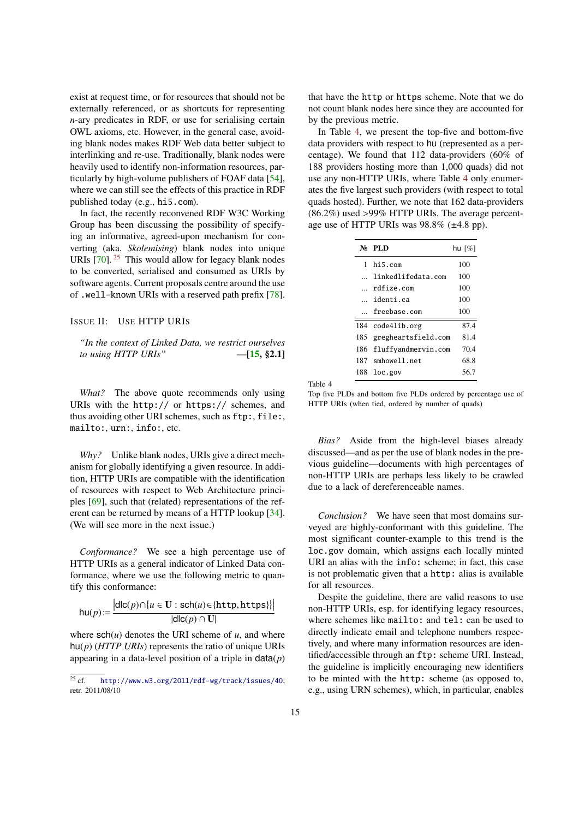exist at request time, or for resources that should not be externally referenced, or as shortcuts for representing *n*-ary predicates in RDF, or use for serialising certain OWL axioms, etc. However, in the general case, avoiding blank nodes makes RDF Web data better subject to interlinking and re-use. Traditionally, blank nodes were heavily used to identify non-information resources, particularly by high-volume publishers of FOAF data [\[54\]](#page-39-20), where we can still see the effects of this practice in RDF published today (e.g., hi5.com).

In fact, the recently reconvened RDF W3C Working Group has been discussing the possibility of specifying an informative, agreed-upon mechanism for converting (aka. *Skolemising*) blank nodes into unique URIs  $[70]$ . <sup>[25](#page-14-0)</sup> This would allow for legacy blank nodes to be converted, serialised and consumed as URIs by software agents. Current proposals centre around the use of .well-known URIs with a reserved path prefix [\[78\]](#page-40-15).

<span id="page-14-2"></span>ISSUE II: USE HTTP URIS

*"In the context of Linked Data, we restrict ourselves to using HTTP URIs"* —[\[15,](#page-38-10) §2.1]

*What?* The above quote recommends only using URIs with the http:// or https:// schemes, and thus avoiding other URI schemes, such as ftp:, file:, mailto:, urn:, info:, etc.

*Why?* Unlike blank nodes, URIs give a direct mechanism for globally identifying a given resource. In addition, HTTP URIs are compatible with the identification of resources with respect to Web Architecture principles [\[69\]](#page-40-16), such that (related) representations of the referent can be returned by means of a HTTP lookup [\[34\]](#page-39-18). (We will see more in the next issue.)

*Conformance?* We see a high percentage use of HTTP URIs as a general indicator of Linked Data conformance, where we use the following metric to quantify this conformance:

$$
\mathsf{hu}(p) := \frac{|\mathsf{dlc}(p) \cap \{u \in \mathbf{U} : \mathsf{sch}(u) \in \{\mathsf{http}, \mathsf{https}\}\}|}{|\mathsf{dlc}(p) \cap \mathbf{U}|}
$$

where  $sch(u)$  denotes the URI scheme of  $u$ , and where hu(*p*) (*HTTP URIs*) represents the ratio of unique URIs appearing in a data-level position of a triple in data(*p*) that have the http or https scheme. Note that we do not count blank nodes here since they are accounted for by the previous metric.

In Table [4,](#page-14-1) we present the top-five and bottom-five data providers with respect to hu (represented as a percentage). We found that 112 data-providers (60% of 188 providers hosting more than 1,000 quads) did not use any non-HTTP URIs, where Table [4](#page-14-1) only enumerates the five largest such providers (with respect to total quads hosted). Further, we note that 162 data-providers (86.2%) used >99% HTTP URIs. The average percentage use of HTTP URIs was  $98.8\%$  ( $\pm 4.8$  pp).

|     | N <sub>o</sub> PLD  | hu $\lceil\% \rceil$ |
|-----|---------------------|----------------------|
| 1   | hi5.com             | 100                  |
|     | linkedlifedata.com  | 100                  |
|     | rdfize.com          | 100                  |
|     | identi.ca           | 100                  |
|     | freebase.com        | 100                  |
| 184 | code4lib.org        | 87.4                 |
| 185 | gregheartsfield.com | 814                  |
| 186 | fluffyandmervin.com | 70.4                 |
| 187 | smhowell net        | 68.8                 |
| 188 | loc.gov             | 56.7                 |

Table 4

<span id="page-14-1"></span>Top five PLDs and bottom five PLDs ordered by percentage use of HTTP URIs (when tied, ordered by number of quads)

*Bias?* Aside from the high-level biases already discussed—and as per the use of blank nodes in the previous guideline—documents with high percentages of non-HTTP URIs are perhaps less likely to be crawled due to a lack of dereferenceable names.

*Conclusion?* We have seen that most domains surveyed are highly-conformant with this guideline. The most significant counter-example to this trend is the loc.gov domain, which assigns each locally minted URI an alias with the info: scheme; in fact, this case is not problematic given that a http: alias is available for all resources.

Despite the guideline, there are valid reasons to use non-HTTP URIs, esp. for identifying legacy resources, where schemes like mailto: and tel: can be used to directly indicate email and telephone numbers respectively, and where many information resources are identified/accessible through an ftp: scheme URI. Instead, the guideline is implicitly encouraging new identifiers to be minted with the http: scheme (as opposed to, e.g., using URN schemes), which, in particular, enables

<span id="page-14-0"></span> $\frac{25}{25}$  cf. <http://www.w3.org/2011/rdf-wg/track/issues/40>; retr. 2011/08/10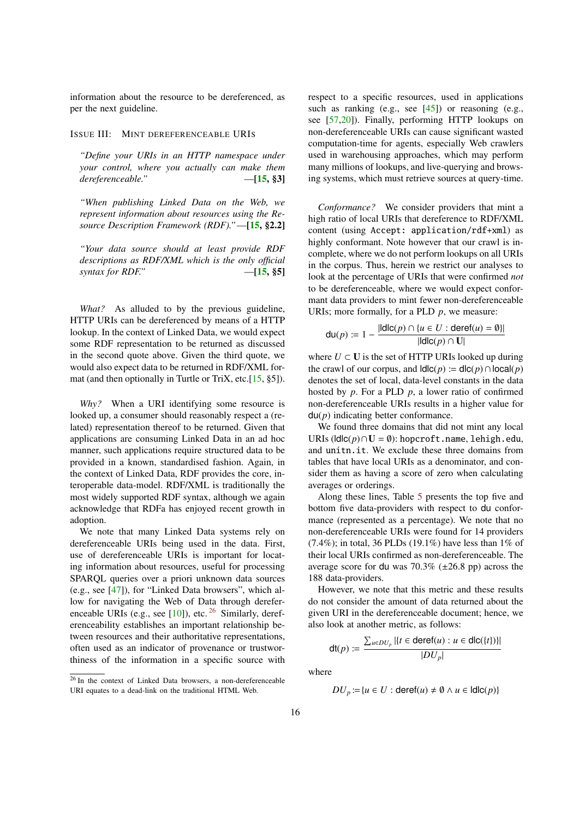information about the resource to be dereferenced, as per the next guideline.

#### <span id="page-15-1"></span>ISSUE III: MINT DEREFERENCEABLE URIS

*"Define your URIs in an HTTP namespace under your control, where you actually can make them dereferenceable."* —[\[15,](#page-38-10) §3]

*"When publishing Linked Data on the Web, we represent information about resources using the Resource Description Framework (RDF)."*—[\[15,](#page-38-10) §2.2]

*"Your data source should at least provide RDF descriptions as RDF/XML which is the only official syntax for RDF.*" — [\[15,](#page-38-10) \$5]

*What?* As alluded to by the previous guideline, HTTP URIs can be dereferenced by means of a HTTP lookup. In the context of Linked Data, we would expect some RDF representation to be returned as discussed in the second quote above. Given the third quote, we would also expect data to be returned in RDF/XML format (and then optionally in Turtle or TriX, etc. $[15, §5]$  $[15, §5]$ ).

*Why?* When a URI identifying some resource is looked up, a consumer should reasonably respect a (related) representation thereof to be returned. Given that applications are consuming Linked Data in an ad hoc manner, such applications require structured data to be provided in a known, standardised fashion. Again, in the context of Linked Data, RDF provides the core, interoperable data-model. RDF/XML is traditionally the most widely supported RDF syntax, although we again acknowledge that RDFa has enjoyed recent growth in adoption.

We note that many Linked Data systems rely on dereferenceable URIs being used in the data. First, use of dereferenceable URIs is important for locating information about resources, useful for processing SPARQL queries over a priori unknown data sources (e.g., see [\[47\]](#page-39-21)), for "Linked Data browsers", which allow for navigating the Web of Data through derefer-enceable URIs (e.g., see [\[10\]](#page-38-5)), etc. <sup>[26](#page-15-0)</sup> Similarly, dereferenceability establishes an important relationship between resources and their authoritative representations, often used as an indicator of provenance or trustworthiness of the information in a specific source with

<span id="page-15-0"></span><sup>26</sup> In the context of Linked Data browsers, a non-dereferenceable URI equates to a dead-link on the traditional HTML Web.

respect to a specific resources, used in applications such as ranking (e.g., see  $[45]$ ) or reasoning (e.g., see [\[57](#page-39-22)[,20\]](#page-38-25)). Finally, performing HTTP lookups on non-dereferenceable URIs can cause significant wasted computation-time for agents, especially Web crawlers used in warehousing approaches, which may perform many millions of lookups, and live-querying and browsing systems, which must retrieve sources at query-time.

*Conformance?* We consider providers that mint a high ratio of local URIs that dereference to RDF/XML content (using Accept: application/rdf+xml) as highly conformant. Note however that our crawl is incomplete, where we do not perform lookups on all URIs in the corpus. Thus, herein we restrict our analyses to look at the percentage of URIs that were confirmed *not* to be dereferenceable, where we would expect conformant data providers to mint fewer non-dereferenceable URIs; more formally, for a PLD *p*, we measure:

$$
\mathsf{du}(p) \coloneqq 1 - \frac{|\mathsf{ldlc}(p) \cap \{u \in U : \mathsf{deref}(u) = \emptyset\}|}{|\mathsf{ldlc}(p) \cap U|}
$$

where  $U \subset U$  is the set of HTTP URIs looked up during the crawl of our corpus, and  $\text{ldlc}(p) := \text{dlc}(p) \cap \text{local}(p)$ denotes the set of local, data-level constants in the data hosted by *p*. For a PLD *p*, a lower ratio of confirmed non-dereferenceable URIs results in a higher value for du(*p*) indicating better conformance.

We found three domains that did not mint any local URIs ( $\text{Idlc}(p) \cap U = ∅$ ): hopcroft.name, lehigh.edu, and unitn.it. We exclude these three domains from tables that have local URIs as a denominator, and consider them as having a score of zero when calculating averages or orderings.

Along these lines, Table [5](#page-16-0) presents the top five and bottom five data-providers with respect to du conformance (represented as a percentage). We note that no non-dereferenceable URIs were found for 14 providers  $(7.4\%)$ ; in total, 36 PLDs  $(19.1\%)$  have less than 1% of their local URIs confirmed as non-dereferenceable. The average score for du was  $70.3\%$  ( $\pm 26.8$  pp) across the 188 data-providers.

However, we note that this metric and these results do not consider the amount of data returned about the given URI in the dereferenceable document; hence, we also look at another metric, as follows:

$$
\mathsf{dt}(p) := \frac{\sum_{u \in DU_p} |\{t \in \mathsf{deref}(u) : u \in \mathsf{dlc}(\{t\})\}|}{|DU_p|}
$$

where

$$
DU_p := \{ u \in U : \text{deref}(u) \neq \emptyset \land u \in \text{ldlc}(p) \}
$$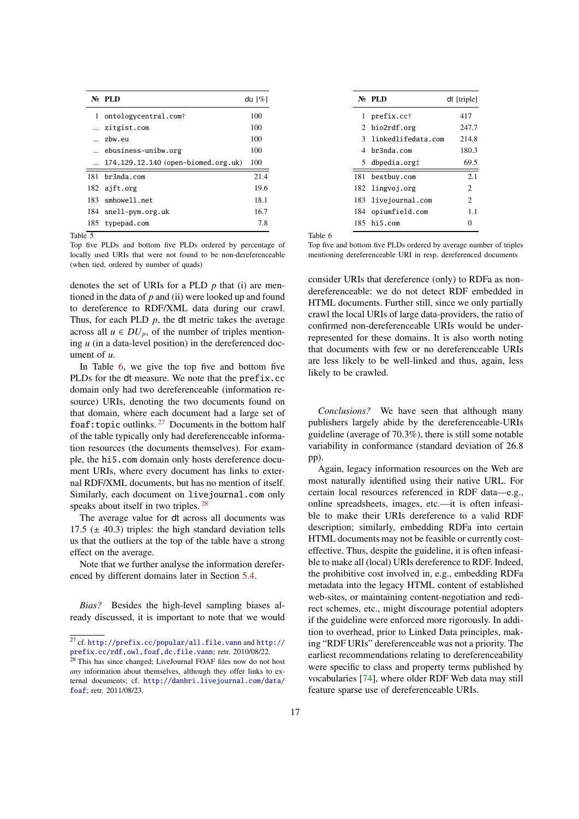|          | $\mathbf{N}^{\circ}$ PLD            | du $\lceil \% \rceil$ |
|----------|-------------------------------------|-----------------------|
| 1        | ontologycentral.com <sup>+</sup>    | 100                   |
| $\cdots$ | zitgist.com                         | 100                   |
| $\sim$   | zbw.eu                              | 100                   |
|          | ebusiness-unibw.org                 | 100                   |
|          | 174.129.12.140 (open-biomed.org.uk) | 100                   |
| 181      | br3nda.com                          | 21.4                  |
|          | 182 ajft.org                        | 19.6                  |
| 183      | smhowell.net                        | 18.1                  |
| 184      | snell-pym.org.uk                    | 16.7                  |
| 185      | typepad.com                         | 7.8                   |

Table 5

<span id="page-16-0"></span>Top five PLDs and bottom five PLDs ordered by percentage of locally used URIs that were not found to be non-dereferenceable (when tied, ordered by number of quads)

denotes the set of URIs for a PLD *p* that (i) are mentioned in the data of *p* and (ii) were looked up and found to dereference to RDF/XML data during our crawl. Thus, for each PLD  $p$ , the dt metric takes the average across all  $u \in DU_p$ , of the number of triples mentioning *u* (in a data-level position) in the dereferenced document of *u*.

In Table [6,](#page-16-1) we give the top five and bottom five PLDs for the dt measure. We note that the prefix.cc domain only had two dereferenceable (information resource) URIs, denoting the two documents found on that domain, where each document had a large set of foaf:topic outlinks.  $27$  Documents in the bottom half of the table typically only had dereferenceable information resources (the documents themselves). For example, the hi5.com domain only hosts dereference document URIs, where every document has links to external RDF/XML documents, but has no mention of itself. Similarly, each document on livejournal.com only speaks about itself in two triples. <sup>[28](#page-16-3)</sup>

The average value for dt across all documents was 17.5 ( $\pm$  40.3) triples: the high standard deviation tells us that the outliers at the top of the table have a strong effect on the average.

Note that we further analyse the information dereferenced by different domains later in Section [5.4.](#page-24-0)

*Bias?* Besides the high-level sampling biases already discussed, it is important to note that we would

|     | $N_2$ PLD          | dt [triple]                 |
|-----|--------------------|-----------------------------|
| 1   | prefix.cc†         | 417                         |
|     | 2 bio2rdf.org      | 247.7                       |
| ٩   | linkedlifedata.com | 214.8                       |
|     | 4 br3nda.com       | 180.3                       |
| 5   | dbpedia.org:       | 69.5                        |
| 181 | bestbuy.com        | 2.1                         |
|     | 182 lingvoj.org    | $\mathcal{D}_{\mathcal{L}}$ |
| 183 | livejournal.com    | $\overline{c}$              |
| 184 | opiumfield.com     | 1.1                         |
|     | 185 hi5.com        | Ω                           |

Table 6

<span id="page-16-1"></span>Top five and bottom five PLDs ordered by average number of triples mentioning dereferenceable URI in resp. dereferenced documents

consider URIs that dereference (only) to RDFa as nondereferenceable: we do not detect RDF embedded in HTML documents. Further still, since we only partially crawl the local URIs of large data-providers, the ratio of confirmed non-dereferenceable URIs would be underrepresented for these domains. It is also worth noting that documents with few or no dereferenceable URIs are less likely to be well-linked and thus, again, less likely to be crawled.

*Conclusions?* We have seen that although many publishers largely abide by the dereferenceable-URIs guideline (average of 70.3%), there is still some notable variability in conformance (standard deviation of 26.8 pp).

Again, legacy information resources on the Web are most naturally identified using their native URL. For certain local resources referenced in RDF data—e.g., online spreadsheets, images, etc.—it is often infeasible to make their URIs dereference to a valid RDF description; similarly, embedding RDFa into certain HTML documents may not be feasible or currently costeffective. Thus, despite the guideline, it is often infeasible to make all (local) URIs dereference to RDF. Indeed, the prohibitive cost involved in, e.g., embedding RDFa metadata into the legacy HTML content of established web-sites, or maintaining content-negotiation and redirect schemes, etc., might discourage potential adopters if the guideline were enforced more rigorously. In addition to overhead, prior to Linked Data principles, making "RDF URIs" dereferenceable was not a priority. The earliest recommendations relating to dereferenceability were specific to class and property terms published by vocabularies [\[74\]](#page-40-17), where older RDF Web data may still feature sparse use of dereferenceable URIs.

<span id="page-16-2"></span><sup>27</sup> cf. <http://prefix.cc/popular/all.file.vann> and [http://](http://prefix.cc/rdf,owl,foaf,dc.file.vann) [prefix.cc/rdf,owl,foaf,dc.file.vann](http://prefix.cc/rdf,owl,foaf,dc.file.vann); retr. 2010/08/22.

<span id="page-16-3"></span><sup>&</sup>lt;sup>28</sup> This has since changed; LiveJournal FOAF files now do not host *any* information about themselves, although they offer links to external documents; cf. [http://danbri.livejournal.com/data/](http://danbri.livejournal.com/data/foaf) [foaf](http://danbri.livejournal.com/data/foaf); retr. 2011/08/23.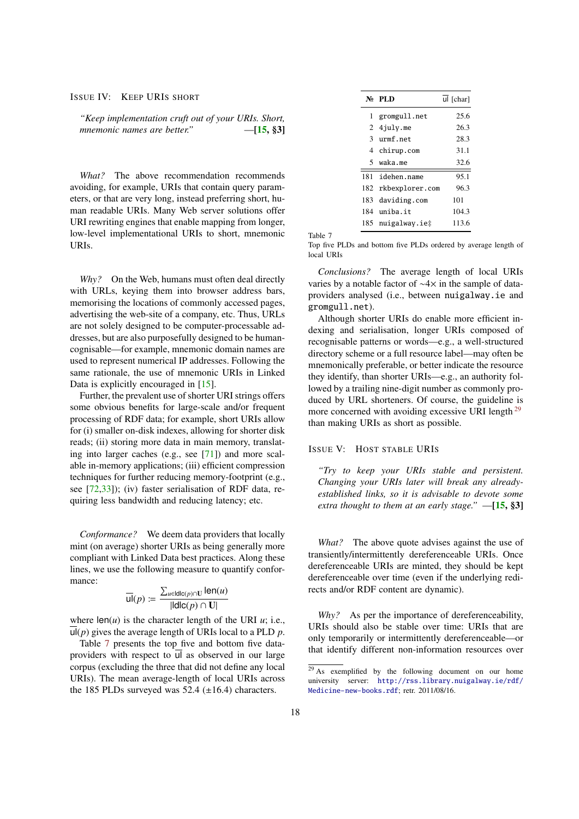<span id="page-17-2"></span>ISSUE IV: KEEP URIS SHORT

*"Keep implementation cruft out of your URIs. Short, mnemonic names are better.*" — [\[15,](#page-38-10) §3]

*What?* The above recommendation recommends avoiding, for example, URIs that contain query parameters, or that are very long, instead preferring short, human readable URIs. Many Web server solutions offer URI rewriting engines that enable mapping from longer, low-level implementational URIs to short, mnemonic URIs.

*Why?* On the Web, humans must often deal directly with URLs, keying them into browser address bars, memorising the locations of commonly accessed pages, advertising the web-site of a company, etc. Thus, URLs are not solely designed to be computer-processable addresses, but are also purposefully designed to be humancognisable—for example, mnemonic domain names are used to represent numerical IP addresses. Following the same rationale, the use of mnemonic URIs in Linked Data is explicitly encouraged in [\[15\]](#page-38-10).

Further, the prevalent use of shorter URI strings offers some obvious benefits for large-scale and/or frequent processing of RDF data; for example, short URIs allow for (i) smaller on-disk indexes, allowing for shorter disk reads; (ii) storing more data in main memory, translating into larger caches (e.g., see [\[71\]](#page-40-18)) and more scalable in-memory applications; (iii) efficient compression techniques for further reducing memory-footprint (e.g., see [\[72](#page-40-19)[,33\]](#page-38-26)); (iv) faster serialisation of RDF data, requiring less bandwidth and reducing latency; etc.

*Conformance?* We deem data providers that locally mint (on average) shorter URIs as being generally more compliant with Linked Data best practices. Along these lines, we use the following measure to quantify conformance:

$$
\overline{\mathsf{ul}}(p) := \frac{\sum_{u \in \mathsf{Idlc}(p) \cap \mathsf{U}} \mathsf{len}(u)}{|\mathsf{Idlc}(p) \cap \mathsf{U}|}
$$

where  $len(u)$  is the character length of the URI  $u$ ; i.e.,  $\overline{u}(p)$  gives the average length of URIs local to a PLD p.

Table [7](#page-17-0) presents the top five and bottom five dataproviders with respect to ul as observed in our large corpus (excluding the three that did not define any local URIs). The mean average-length of local URIs across the 185 PLDs surveyed was 52.4  $(\pm 16.4)$  characters.

|      | $N_0$ PLD           | ul [char] |
|------|---------------------|-----------|
| 1    | gromgull.net        | 25.6      |
|      | 2 4july.me          | 26.3      |
| 3    | urmf.net            | 28.3      |
| 4    | chirup.com          | 31.1      |
| 5.   | waka.me             | 32.6      |
| 181  | idehen.name         | 95.1      |
|      | 182 rkbexplorer.com | 96.3      |
|      | 183 daviding.com    | 101       |
| 184  | uniha it            | 104.3     |
| 185. | nuigalway.ie:       | 113.6     |

<span id="page-17-0"></span>Top five PLDs and bottom five PLDs ordered by average length of local URIs

*Conclusions?* The average length of local URIs varies by a notable factor of ∼4× in the sample of dataproviders analysed (i.e., between nuigalway.ie and gromgull.net).

Although shorter URIs do enable more efficient indexing and serialisation, longer URIs composed of recognisable patterns or words—e.g., a well-structured directory scheme or a full resource label—may often be mnemonically preferable, or better indicate the resource they identify, than shorter URIs—e.g., an authority followed by a trailing nine-digit number as commonly produced by URL shorteners. Of course, the guideline is more concerned with avoiding excessive URI length <sup>[29](#page-17-1)</sup> than making URIs as short as possible.

## <span id="page-17-3"></span>ISSUE V: HOST STABLE URIS

Table 7

*"Try to keep your URIs stable and persistent. Changing your URIs later will break any alreadyestablished links, so it is advisable to devote some extra thought to them at an early stage."* —[\[15,](#page-38-10) §3]

*What?* The above quote advises against the use of transiently/intermittently dereferenceable URIs. Once dereferenceable URIs are minted, they should be kept dereferenceable over time (even if the underlying redirects and/or RDF content are dynamic).

*Why?* As per the importance of dereferenceability, URIs should also be stable over time: URIs that are only temporarily or intermittently dereferenceable—or that identify different non-information resources over

<span id="page-17-1"></span> $29$  As exemplified by the following document on our home university server: [http://rss.library.nuigalway.ie/rdf/](http://rss.library.nuigalway.ie/rdf/Medicine-new-books.rdf) [Medicine-new-books.rdf](http://rss.library.nuigalway.ie/rdf/Medicine-new-books.rdf); retr. 2011/08/16.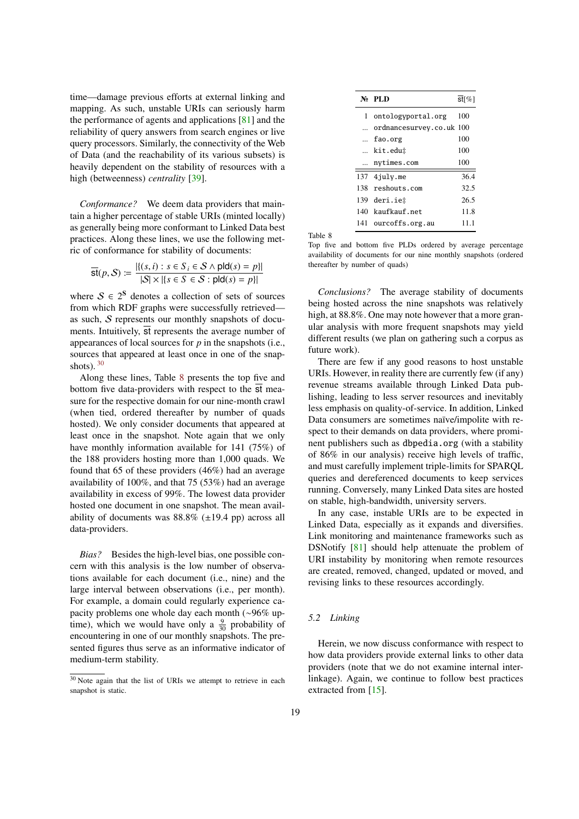time—damage previous efforts at external linking and mapping. As such, unstable URIs can seriously harm the performance of agents and applications [\[81\]](#page-40-20) and the reliability of query answers from search engines or live query processors. Similarly, the connectivity of the Web of Data (and the reachability of its various subsets) is heavily dependent on the stability of resources with a high (betweenness) *centrality* [\[39\]](#page-39-7).

*Conformance?* We deem data providers that maintain a higher percentage of stable URIs (minted locally) as generally being more conformant to Linked Data best practices. Along these lines, we use the following metric of conformance for stability of documents:

$$
\overline{st}(p, S) := \frac{|\{(s, i) : s \in S_i \in S \land \mathsf{pld}(s) = p\}|}{|S| \times |\{s \in S \in S : \mathsf{pld}(s) = p\}|}
$$

where  $S \in 2^S$  denotes a collection of sets of sources from which RDF graphs were successfully retrieved as such, S represents our monthly snapshots of documents. Intuitively,  $\overline{st}$  represents the average number of appearances of local sources for *p* in the snapshots (i.e., sources that appeared at least once in one of the snap-shots). [30](#page-18-1)

Along these lines, Table [8](#page-18-2) presents the top five and bottom five data-providers with respect to the  $\overline{st}$  measure for the respective domain for our nine-month crawl (when tied, ordered thereafter by number of quads hosted). We only consider documents that appeared at least once in the snapshot. Note again that we only have monthly information available for 141 (75%) of the 188 providers hosting more than 1,000 quads. We found that 65 of these providers (46%) had an average availability of 100%, and that 75 (53%) had an average availability in excess of 99%. The lowest data provider hosted one document in one snapshot. The mean availability of documents was  $88.8\%$  ( $\pm 19.4$  pp) across all data-providers.

*Bias?* Besides the high-level bias, one possible concern with this analysis is the low number of observations available for each document (i.e., nine) and the large interval between observations (i.e., per month). For example, a domain could regularly experience capacity problems one whole day each month (∼96% uptime), which we would have only a  $\frac{9}{30}$  probability of encountering in one of our monthly snapshots. The presented figures thus serve as an informative indicator of medium-term stability.

|              | $N_0$ PLD                | st[%] |
|--------------|--------------------------|-------|
| $\mathbf{1}$ | ontologyportal.org       | 100   |
|              | ordnancesurvey.co.uk 100 |       |
|              | fao.org                  | 100   |
|              | … kit.edu‡               | 100   |
|              | nytimes.com              | 100   |
|              | $137$ $4$ july.me        | 36.4  |
|              | 138 reshouts.com         | 32.5  |
|              | 139 deri.ie‡             | 26.5  |
|              | 140 kaufkauf.net         | 11.8  |
|              | 141 ourcoffs.org.au      | 11.1  |

Table 8

<span id="page-18-2"></span>Top five and bottom five PLDs ordered by average percentage availability of documents for our nine monthly snapshots (ordered thereafter by number of quads)

*Conclusions?* The average stability of documents being hosted across the nine snapshots was relatively high, at 88.8%. One may note however that a more granular analysis with more frequent snapshots may yield different results (we plan on gathering such a corpus as future work).

There are few if any good reasons to host unstable URIs. However, in reality there are currently few (if any) revenue streams available through Linked Data publishing, leading to less server resources and inevitably less emphasis on quality-of-service. In addition, Linked Data consumers are sometimes naïve/impolite with respect to their demands on data providers, where prominent publishers such as dbpedia.org (with a stability of 86% in our analysis) receive high levels of traffic, and must carefully implement triple-limits for SPARQL queries and dereferenced documents to keep services running. Conversely, many Linked Data sites are hosted on stable, high-bandwidth, university servers.

In any case, instable URIs are to be expected in Linked Data, especially as it expands and diversifies. Link monitoring and maintenance frameworks such as DSNotify [\[81\]](#page-40-20) should help attenuate the problem of URI instability by monitoring when remote resources are created, removed, changed, updated or moved, and revising links to these resources accordingly.

#### <span id="page-18-0"></span>*5.2 Linking*

Herein, we now discuss conformance with respect to how data providers provide external links to other data providers (note that we do not examine internal interlinkage). Again, we continue to follow best practices extracted from [\[15\]](#page-38-10).

<span id="page-18-1"></span><sup>&</sup>lt;sup>30</sup> Note again that the list of URIs we attempt to retrieve in each snapshot is static.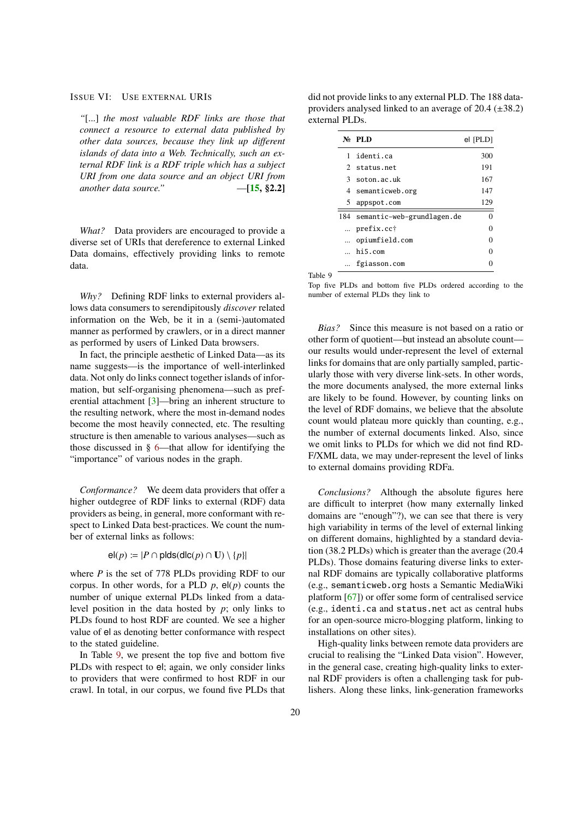## <span id="page-19-1"></span>ISSUE VI: USE EXTERNAL URIS

*"*[...] *the most valuable RDF links are those that connect a resource to external data published by other data sources, because they link up different islands of data into a Web. Technically, such an external RDF link is a RDF triple which has a subject URI from one data source and an object URI from another data source."* —[\[15,](#page-38-10) §2.2]

*What?* Data providers are encouraged to provide a diverse set of URIs that dereference to external Linked Data domains, effectively providing links to remote data.

*Why?* Defining RDF links to external providers allows data consumers to serendipitously *discover* related information on the Web, be it in a (semi-)automated manner as performed by crawlers, or in a direct manner as performed by users of Linked Data browsers.

In fact, the principle aesthetic of Linked Data—as its name suggests—is the importance of well-interlinked data. Not only do links connect together islands of information, but self-organising phenomena—such as preferential attachment [\[3\]](#page-38-27)—bring an inherent structure to the resulting network, where the most in-demand nodes become the most heavily connected, etc. The resulting structure is then amenable to various analyses—such as those discussed in § [6—](#page-30-0)that allow for identifying the "importance" of various nodes in the graph.

*Conformance?* We deem data providers that offer a higher outdegree of RDF links to external (RDF) data providers as being, in general, more conformant with respect to Linked Data best-practices. We count the number of external links as follows:

$$
\mathsf{el}(p) \coloneqq |P \cap \mathsf{plds}(\mathsf{dlc}(p) \cap \mathbf{U}) \setminus \{p\}|
$$

where *P* is the set of 778 PLDs providing RDF to our corpus. In other words, for a PLD  $p$ ,  $el(p)$  counts the number of unique external PLDs linked from a datalevel position in the data hosted by *p*; only links to PLDs found to host RDF are counted. We see a higher value of el as denoting better conformance with respect to the stated guideline.

In Table [9,](#page-19-0) we present the top five and bottom five PLDs with respect to el; again, we only consider links to providers that were confirmed to host RDF in our crawl. In total, in our corpus, we found five PLDs that did not provide links to any external PLD. The 188 dataproviders analysed linked to an average of  $20.4$  ( $\pm 38.2$ ) external PLDs.

|                             | N <sub>o</sub> PLD         | el [PLD] |
|-----------------------------|----------------------------|----------|
|                             | identi.ca                  | 300      |
| $\mathcal{D}_{\mathcal{L}}$ | status.net                 | 191      |
| 3                           | soton.ac.uk                | 167      |
| 4                           | semanticweb.org            | 147      |
| 5                           | appspot.com                | 129      |
| 184                         | semantic-web-grundlagen.de | 0        |
|                             | prefix.cct                 | 0        |
|                             | opiumfield.com             | 0        |
|                             | hi5.com                    | 0        |
|                             | fgiasson.com               |          |

Table 9

<span id="page-19-0"></span>Top five PLDs and bottom five PLDs ordered according to the number of external PLDs they link to

*Bias?* Since this measure is not based on a ratio or other form of quotient—but instead an absolute count our results would under-represent the level of external links for domains that are only partially sampled, particularly those with very diverse link-sets. In other words, the more documents analysed, the more external links are likely to be found. However, by counting links on the level of RDF domains, we believe that the absolute count would plateau more quickly than counting, e.g., the number of external documents linked. Also, since we omit links to PLDs for which we did not find RD-F/XML data, we may under-represent the level of links to external domains providing RDFa.

*Conclusions?* Although the absolute figures here are difficult to interpret (how many externally linked domains are "enough"?), we can see that there is very high variability in terms of the level of external linking on different domains, highlighted by a standard deviation (38.2 PLDs) which is greater than the average (20.4 PLDs). Those domains featuring diverse links to external RDF domains are typically collaborative platforms (e.g., semanticweb.org hosts a Semantic MediaWiki platform [\[67\]](#page-40-21)) or offer some form of centralised service (e.g., identi.ca and status.net act as central hubs for an open-source micro-blogging platform, linking to installations on other sites).

High-quality links between remote data providers are crucial to realising the "Linked Data vision". However, in the general case, creating high-quality links to external RDF providers is often a challenging task for publishers. Along these links, link-generation frameworks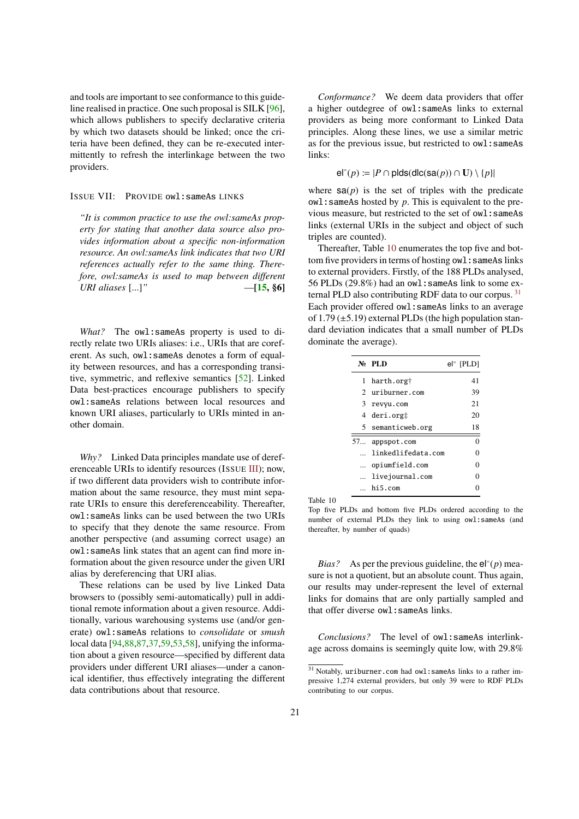and tools are important to see conformance to this guideline realised in practice. One such proposal is SILK [\[96\]](#page-40-22), which allows publishers to specify declarative criteria by which two datasets should be linked; once the criteria have been defined, they can be re-executed intermittently to refresh the interlinkage between the two providers.

# <span id="page-20-2"></span>ISSUE VII: PROVIDE owl:sameAs LINKS

*"It is common practice to use the owl:sameAs property for stating that another data source also provides information about a specific non-information resource. An owl:sameAs link indicates that two URI references actually refer to the same thing. Therefore, owl:sameAs is used to map between different URI aliases* [...]*"* —[\[15,](#page-38-10) §6]

*What?* The owl:sameAs property is used to directly relate two URIs aliases: i.e., URIs that are coreferent. As such, owl:sameAs denotes a form of equality between resources, and has a corresponding transitive, symmetric, and reflexive semantics [\[52\]](#page-39-23). Linked Data best-practices encourage publishers to specify owl:sameAs relations between local resources and known URI aliases, particularly to URIs minted in another domain.

*Why?* Linked Data principles mandate use of dereferenceable URIs to identify resources (ISSUE [III\)](#page-15-1); now, if two different data providers wish to contribute information about the same resource, they must mint separate URIs to ensure this dereferenceability. Thereafter, owl:sameAs links can be used between the two URIs to specify that they denote the same resource. From another perspective (and assuming correct usage) an owl:sameAs link states that an agent can find more information about the given resource under the given URI alias by dereferencing that URI alias.

These relations can be used by live Linked Data browsers to (possibly semi-automatically) pull in additional remote information about a given resource. Additionally, various warehousing systems use (and/or generate) owl:sameAs relations to *consolidate* or *smush* local data [\[94](#page-40-23)[,88](#page-40-24)[,87](#page-40-25)[,37](#page-39-17)[,59](#page-39-24)[,53](#page-39-13)[,58\]](#page-39-11), unifying the information about a given resource—specified by different data providers under different URI aliases—under a canonical identifier, thus effectively integrating the different data contributions about that resource.

*Conformance?* We deem data providers that offer a higher outdegree of owl:sameAs links to external providers as being more conformant to Linked Data principles. Along these lines, we use a similar metric as for the previous issue, but restricted to owl:sameAs links:

$$
\mathsf{el}^=(p) \coloneqq |P \cap \mathsf{plds}(\mathsf{dlc}(\mathsf{sa}(p)) \cap \mathbf{U}) \setminus \{p\}|
$$

where  $sa(p)$  is the set of triples with the predicate owl:sameAs hosted by *p*. This is equivalent to the previous measure, but restricted to the set of owl:sameAs links (external URIs in the subject and object of such triples are counted).

Thereafter, Table [10](#page-20-0) enumerates the top five and bottom five providers in terms of hosting owl: sameAs links to external providers. Firstly, of the 188 PLDs analysed, 56 PLDs (29.8%) had an owl:sameAs link to some external PLD also contributing RDF data to our corpus. [31](#page-20-1) Each provider offered owl:sameAs links to an average of 1.79  $(\pm 5.19)$  external PLDs (the high population standard deviation indicates that a small number of PLDs dominate the average).

|               | N <sub>o</sub> PLD | $el = [PLD]$ |
|---------------|--------------------|--------------|
| 1             | harth.org†         | 41           |
| $\mathcal{P}$ | uriburner.com      | 39           |
| 3             | revyu.com          | 21           |
| 4             | deri.org:          | 20           |
| 5             | semanticweb.org    | 18           |
| 57            | appspot.com        | 0            |
|               | linkedlifedata.com |              |
|               | opiumfield.com     | 0            |
|               | livejournal.com    |              |
|               | hi5.com            |              |
|               |                    |              |

Table 10

<span id="page-20-0"></span>Top five PLDs and bottom five PLDs ordered according to the number of external PLDs they link to using owl:sameAs (and thereafter, by number of quads)

*Bias?* As per the previous guideline, the  $el^=(p)$  measure is not a quotient, but an absolute count. Thus again, our results may under-represent the level of external links for domains that are only partially sampled and that offer diverse owl:sameAs links.

*Conclusions?* The level of owl:sameAs interlinkage across domains is seemingly quite low, with 29.8%

<span id="page-20-1"></span><sup>31</sup> Notably, uriburner.com had owl:sameAs links to a rather impressive 1,274 external providers, but only 39 were to RDF PLDs contributing to our corpus.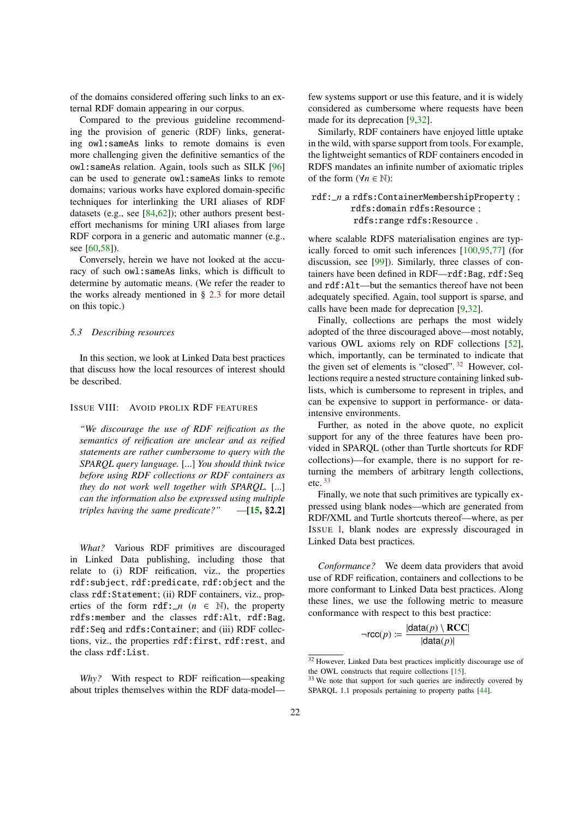of the domains considered offering such links to an external RDF domain appearing in our corpus.

Compared to the previous guideline recommending the provision of generic (RDF) links, generating owl:sameAs links to remote domains is even more challenging given the definitive semantics of the owl:sameAs relation. Again, tools such as SILK [\[96\]](#page-40-22) can be used to generate owl:sameAs links to remote domains; various works have explored domain-specific techniques for interlinking the URI aliases of RDF datasets (e.g., see  $[84,62]$  $[84,62]$ ); other authors present besteffort mechanisms for mining URI aliases from large RDF corpora in a generic and automatic manner (e.g., see [\[60](#page-39-26)[,58\]](#page-39-11)).

Conversely, herein we have not looked at the accuracy of such owl:sameAs links, which is difficult to determine by automatic means. (We refer the reader to the works already mentioned in § [2.3](#page-3-1) for more detail on this topic.)

#### <span id="page-21-0"></span>*5.3 Describing resources*

In this section, we look at Linked Data best practices that discuss how the local resources of interest should be described.

# <span id="page-21-3"></span>ISSUE VIII: AVOID PROLIX RDF FEATURES

*"We discourage the use of RDF reification as the semantics of reification are unclear and as reified statements are rather cumbersome to query with the SPARQL query language.* [...] *You should think twice before using RDF collections or RDF containers as they do not work well together with SPARQL.* [...] *can the information also be expressed using multiple triples having the same predicate?"* —[\[15,](#page-38-10) §2.2]

*What?* Various RDF primitives are discouraged in Linked Data publishing, including those that relate to (i) RDF reification, viz., the properties rdf:subject, rdf:predicate, rdf:object and the class rdf:Statement; (ii) RDF containers, viz., properties of the form  $\text{rdf: } n \in \mathbb{N}$ , the property rdfs:member and the classes rdf:Alt, rdf:Bag, rdf:Seq and rdfs:Container; and (iii) RDF collections, viz., the properties rdf:first, rdf:rest, and the class rdf:List.

*Why?* With respect to RDF reification—speaking about triples themselves within the RDF data-modelfew systems support or use this feature, and it is widely considered as cumbersome where requests have been made for its deprecation [\[9](#page-38-28)[,32\]](#page-38-29).

Similarly, RDF containers have enjoyed little uptake in the wild, with sparse support from tools. For example, the lightweight semantics of RDF containers encoded in RDFS mandates an infinite number of axiomatic triples of the form ( $\forall n \in \mathbb{N}$ ):

# rdf:\_*n* a rdfs:ContainerMembershipProperty ; rdfs:domain rdfs:Resource ; rdfs:range rdfs:Resource .

where scalable RDFS materialisation engines are typically forced to omit such inferences [\[100,](#page-40-26)[95,](#page-40-27)[77\]](#page-40-28) (for discussion, see [\[99\]](#page-40-29)). Similarly, three classes of containers have been defined in RDF—rdf:Bag, rdf:Seq and rdf:Alt—but the semantics thereof have not been adequately specified. Again, tool support is sparse, and calls have been made for deprecation [\[9,](#page-38-28)[32\]](#page-38-29).

Finally, collections are perhaps the most widely adopted of the three discouraged above—most notably, various OWL axioms rely on RDF collections [\[52\]](#page-39-23), which, importantly, can be terminated to indicate that the given set of elements is "closed". <sup>[32](#page-21-1)</sup> However, collections require a nested structure containing linked sublists, which is cumbersome to represent in triples, and can be expensive to support in performance- or dataintensive environments.

Further, as noted in the above quote, no explicit support for any of the three features have been provided in SPARQL (other than Turtle shortcuts for RDF collections)—for example, there is no support for returning the members of arbitrary length collections, etc. [33](#page-21-2)

Finally, we note that such primitives are typically expressed using blank nodes—which are generated from RDF/XML and Turtle shortcuts thereof—where, as per ISSUE [I,](#page-13-3) blank nodes are expressly discouraged in Linked Data best practices.

*Conformance?* We deem data providers that avoid use of RDF reification, containers and collections to be more conformant to Linked Data best practices. Along these lines, we use the following metric to measure conformance with respect to this best practice:

$$
\neg\mathsf{rcc}(p) \coloneqq \frac{|\mathsf{data}(p) \setminus \mathbf{RCC}|}{|\mathsf{data}(p)|}
$$

<span id="page-21-1"></span><sup>32</sup> However, Linked Data best practices implicitly discourage use of the OWL constructs that require collections [\[15\]](#page-38-10).

<span id="page-21-2"></span><sup>&</sup>lt;sup>33</sup> We note that support for such queries are indirectly covered by SPARQL 1.1 proposals pertaining to property paths [\[44\]](#page-39-27).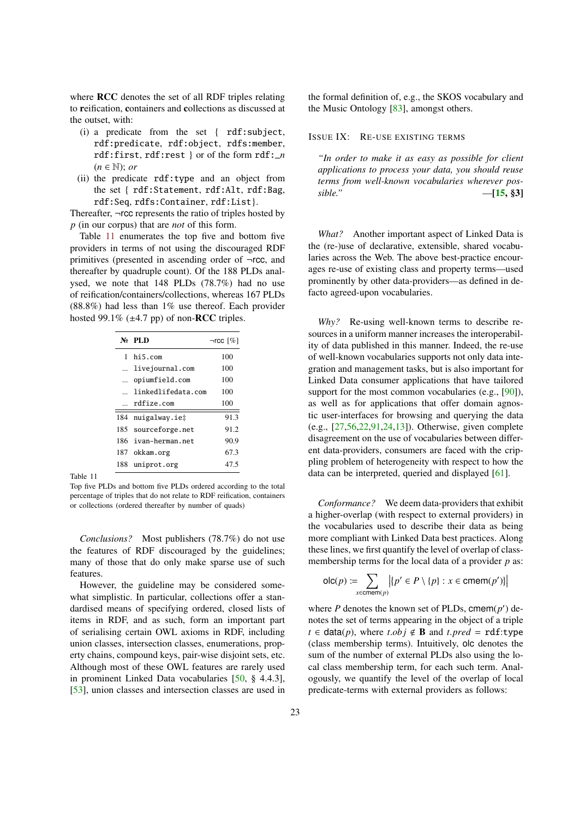where RCC denotes the set of all RDF triples relating to reification, containers and collections as discussed at the outset, with:

- (i) a predicate from the set { rdf:subject, rdf:predicate, rdf:object, rdfs:member, rdf:first, rdf:rest } or of the form rdf:\_*n* (*n* ∈ N); *or*
- (ii) the predicate rdf:type and an object from the set { rdf:Statement, rdf:Alt, rdf:Bag, rdf:Seq, rdfs:Container, rdf:List}.

Thereafter, ¬rcc represents the ratio of triples hosted by *p* (in our corpus) that are *not* of this form.

Table [11](#page-22-0) enumerates the top five and bottom five providers in terms of not using the discouraged RDF primitives (presented in ascending order of ¬rcc, and thereafter by quadruple count). Of the 188 PLDs analysed, we note that 148 PLDs (78.7%) had no use of reification/containers/collections, whereas 167 PLDs (88.8%) had less than 1% use thereof. Each provider hosted 99.1%  $(\pm 4.7 \text{ pp})$  of non-RCC triples.

|     | $N_0$ PLD                          | $\neg$ rcc [%] |
|-----|------------------------------------|----------------|
| 1   | $h$ <sub>15.<math>com</math></sub> | 100            |
|     | livejournal.com                    | 100            |
|     | opiumfield.com                     | 100            |
|     | linkedlifedata.com                 | 100            |
|     | rdfize.com                         | 100            |
| 184 | nuigalway.ie:                      | 91.3           |
|     | 185 sourceforge.net                | 91.2           |
|     | 186 ivan-herman.net                | 90.9           |
|     | 187 okkam.org                      | 67.3           |
|     | 188 uniprot.org                    | 47.5           |

Table 11

<span id="page-22-0"></span>Top five PLDs and bottom five PLDs ordered according to the total percentage of triples that do not relate to RDF reification, containers or collections (ordered thereafter by number of quads)

*Conclusions?* Most publishers (78.7%) do not use the features of RDF discouraged by the guidelines; many of those that do only make sparse use of such features.

However, the guideline may be considered somewhat simplistic. In particular, collections offer a standardised means of specifying ordered, closed lists of items in RDF, and as such, form an important part of serialising certain OWL axioms in RDF, including union classes, intersection classes, enumerations, property chains, compound keys, pair-wise disjoint sets, etc. Although most of these OWL features are rarely used in prominent Linked Data vocabularies [\[50,](#page-39-8) § 4.4.3], [\[53\]](#page-39-13), union classes and intersection classes are used in the formal definition of, e.g., the SKOS vocabulary and the Music Ontology [\[83\]](#page-40-30), amongst others.

#### <span id="page-22-1"></span>ISSUE IX: RE-USE EXISTING TERMS

*"In order to make it as easy as possible for client applications to process your data, you should reuse terms from well-known vocabularies wherever possible."* —[\[15,](#page-38-10) §3]

*What?* Another important aspect of Linked Data is the (re-)use of declarative, extensible, shared vocabularies across the Web. The above best-practice encourages re-use of existing class and property terms—used prominently by other data-providers—as defined in defacto agreed-upon vocabularies.

*Why?* Re-using well-known terms to describe resources in a uniform manner increases the interoperability of data published in this manner. Indeed, the re-use of well-known vocabularies supports not only data integration and management tasks, but is also important for Linked Data consumer applications that have tailored support for the most common vocabularies (e.g., [\[90\]](#page-40-3)), as well as for applications that offer domain agnostic user-interfaces for browsing and querying the data (e.g., [\[27,](#page-38-8)[56,](#page-39-0)[22,](#page-38-7)[91,](#page-40-2)[24,](#page-38-9)[13\]](#page-38-6)). Otherwise, given complete disagreement on the use of vocabularies between different data-providers, consumers are faced with the crippling problem of heterogeneity with respect to how the data can be interpreted, queried and displayed [\[61\]](#page-39-28).

*Conformance?* We deem data-providers that exhibit a higher-overlap (with respect to external providers) in the vocabularies used to describe their data as being more compliant with Linked Data best practices. Along these lines, we first quantify the level of overlap of classmembership terms for the local data of a provider *p* as:

$$
\mathsf{olc}(p) := \sum_{x \in \mathsf{cmem}(p)} \big| \{ p' \in P \setminus \{ p \} : x \in \mathsf{cmem}(p') \} \big|
$$

where  $P$  denotes the known set of PLDs, cmem $(p')$  denotes the set of terms appearing in the object of a triple *t* ∈ data(*p*), where *t*.*obj* ∉ **B** and *t*.*pred* = rdf:type (class membership terms). Intuitively, olc denotes the sum of the number of external PLDs also using the local class membership term, for each such term. Analogously, we quantify the level of the overlap of local predicate-terms with external providers as follows: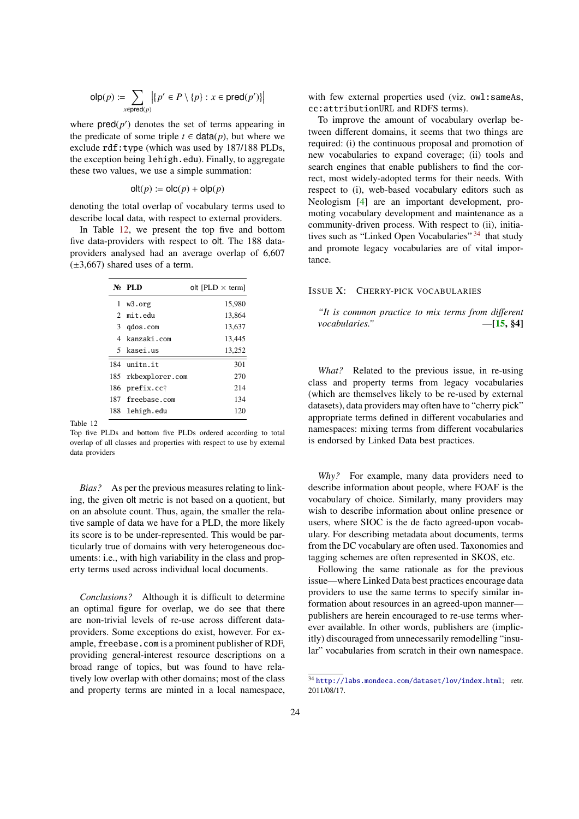$$
\mathsf{olp}(p) \coloneqq \sum_{x \in \mathsf{pred}(p)} \bigl| \{ p' \in P \setminus \{p\} : x \in \mathsf{pred}(p') \} \bigr|
$$

where  $pred(p')$  denotes the set of terms appearing in the predicate of some triple  $t \in data(p)$ , but where we exclude rdf:type (which was used by 187/188 PLDs, the exception being lehigh.edu). Finally, to aggregate these two values, we use a simple summation:

$$
\mathsf{olt}(p) := \mathsf{olc}(p) + \mathsf{olp}(p)
$$

denoting the total overlap of vocabulary terms used to describe local data, with respect to external providers.

In Table [12,](#page-23-0) we present the top five and bottom five data-providers with respect to olt. The 188 dataproviders analysed had an average overlap of 6,607  $(\pm 3,667)$  shared uses of a term.

|      | N <sub>o</sub> PLD | olt [PLD $\times$ term] |
|------|--------------------|-------------------------|
| 1    | w3.org             | 15.980                  |
|      | 2 mit.edu          | 13.864                  |
| 3    | gdos.com           | 13,637                  |
| 4    | kanzaki.com        | 13.445                  |
|      | 5 kasei.us         | 13,252                  |
|      | $184$ unitn.it     | 301                     |
| 185  | rkbexplorer.com    | 270                     |
| 186  | prefix.cct         | 214                     |
| 187. | freebase.com       | 134                     |
|      | 188 lehigh.edu     | 120                     |

Table 12

<span id="page-23-0"></span>Top five PLDs and bottom five PLDs ordered according to total overlap of all classes and properties with respect to use by external data providers

*Bias?* As per the previous measures relating to linking, the given olt metric is not based on a quotient, but on an absolute count. Thus, again, the smaller the relative sample of data we have for a PLD, the more likely its score is to be under-represented. This would be particularly true of domains with very heterogeneous documents: i.e., with high variability in the class and property terms used across individual local documents.

*Conclusions?* Although it is difficult to determine an optimal figure for overlap, we do see that there are non-trivial levels of re-use across different dataproviders. Some exceptions do exist, however. For example, freebase.com is a prominent publisher of RDF, providing general-interest resource descriptions on a broad range of topics, but was found to have relatively low overlap with other domains; most of the class and property terms are minted in a local namespace, with few external properties used (viz. owl:sameAs, cc:attributionURL and RDFS terms).

To improve the amount of vocabulary overlap between different domains, it seems that two things are required: (i) the continuous proposal and promotion of new vocabularies to expand coverage; (ii) tools and search engines that enable publishers to find the correct, most widely-adopted terms for their needs. With respect to (i), web-based vocabulary editors such as Neologism [\[4\]](#page-38-30) are an important development, promoting vocabulary development and maintenance as a community-driven process. With respect to (ii), initia-tives such as "Linked Open Vocabularies" <sup>[34](#page-23-1)</sup> that study and promote legacy vocabularies are of vital importance.

<span id="page-23-2"></span>ISSUE X: CHERRY-PICK VOCABULARIES

*"It is common practice to mix terms from different vocabularies."* —[\[15,](#page-38-10) §4]

*What?* Related to the previous issue, in re-using class and property terms from legacy vocabularies (which are themselves likely to be re-used by external datasets), data providers may often have to "cherry pick" appropriate terms defined in different vocabularies and namespaces: mixing terms from different vocabularies is endorsed by Linked Data best practices.

*Why?* For example, many data providers need to describe information about people, where FOAF is the vocabulary of choice. Similarly, many providers may wish to describe information about online presence or users, where SIOC is the de facto agreed-upon vocabulary. For describing metadata about documents, terms from the DC vocabulary are often used. Taxonomies and tagging schemes are often represented in SKOS, etc.

Following the same rationale as for the previous issue—where Linked Data best practices encourage data providers to use the same terms to specify similar information about resources in an agreed-upon manner publishers are herein encouraged to re-use terms wherever available. In other words, publishers are (implicitly) discouraged from unnecessarily remodelling "insular" vocabularies from scratch in their own namespace.

<span id="page-23-1"></span><sup>34</sup> <http://labs.mondeca.com/dataset/lov/index.html>; retr. 2011/08/17.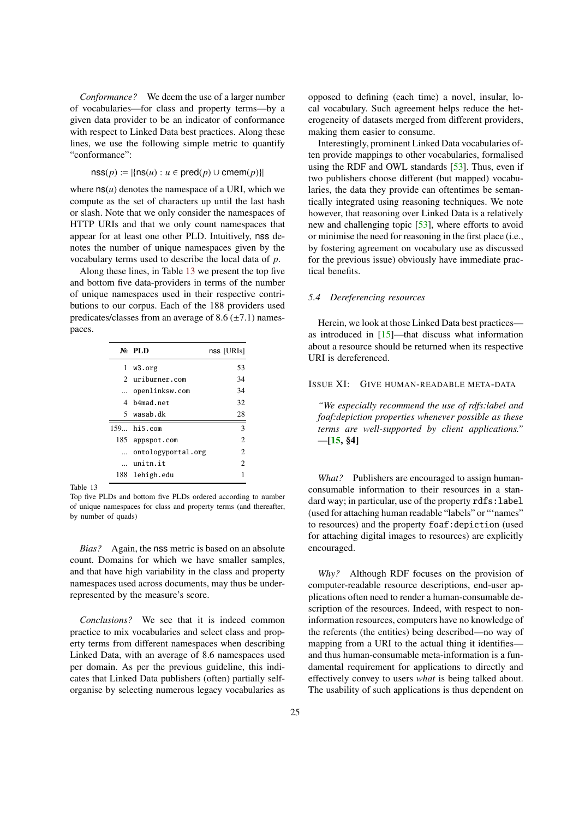*Conformance?* We deem the use of a larger number of vocabularies—for class and property terms—by a given data provider to be an indicator of conformance with respect to Linked Data best practices. Along these lines, we use the following simple metric to quantify "conformance":

$$
\mathsf{nss}(p) \coloneqq |\{\mathsf{ns}(u) : u \in \mathsf{pred}(p) \cup \mathsf{cmem}(p)\}|
$$

where  $ns(u)$  denotes the namespace of a URI, which we compute as the set of characters up until the last hash or slash. Note that we only consider the namespaces of HTTP URIs and that we only count namespaces that appear for at least one other PLD. Intuitively, nss denotes the number of unique namespaces given by the vocabulary terms used to describe the local data of *p*.

Along these lines, in Table [13](#page-24-1) we present the top five and bottom five data-providers in terms of the number of unique namespaces used in their respective contributions to our corpus. Each of the 188 providers used predicates/classes from an average of 8.6  $(\pm 7.1)$  namespaces.

|     | $N_0$ PLD          | nss [URIs]     |
|-----|--------------------|----------------|
| 1.  | w3.org             | 53             |
|     | 2 uriburner.com    | 34             |
|     | openlinksw.com     | 34             |
|     | 4 b4mad.net        | 32             |
|     | 5 wasab.dk         | 28             |
|     | 159 hi5.com        | 3              |
| 185 | appspot.com        | $\mathfrak{D}$ |
|     | ontologyportal.org | 2              |
|     | unitn.it           | $\mathfrak{D}$ |
| 188 | lehigh.edu         |                |

Table 13

<span id="page-24-1"></span>Top five PLDs and bottom five PLDs ordered according to number of unique namespaces for class and property terms (and thereafter, by number of quads)

*Bias?* Again, the nss metric is based on an absolute count. Domains for which we have smaller samples, and that have high variability in the class and property namespaces used across documents, may thus be underrepresented by the measure's score.

*Conclusions?* We see that it is indeed common practice to mix vocabularies and select class and property terms from different namespaces when describing Linked Data, with an average of 8.6 namespaces used per domain. As per the previous guideline, this indicates that Linked Data publishers (often) partially selforganise by selecting numerous legacy vocabularies as opposed to defining (each time) a novel, insular, local vocabulary. Such agreement helps reduce the heterogeneity of datasets merged from different providers, making them easier to consume.

Interestingly, prominent Linked Data vocabularies often provide mappings to other vocabularies, formalised using the RDF and OWL standards [\[53\]](#page-39-13). Thus, even if two publishers choose different (but mapped) vocabularies, the data they provide can oftentimes be semantically integrated using reasoning techniques. We note however, that reasoning over Linked Data is a relatively new and challenging topic [\[53\]](#page-39-13), where efforts to avoid or minimise the need for reasoning in the first place (i.e., by fostering agreement on vocabulary use as discussed for the previous issue) obviously have immediate practical benefits.

## <span id="page-24-0"></span>*5.4 Dereferencing resources*

Herein, we look at those Linked Data best practices as introduced in  $[15]$ —that discuss what information about a resource should be returned when its respective URI is dereferenced.

# <span id="page-24-2"></span>ISSUE XI: GIVE HUMAN-READABLE META-DATA

*"We especially recommend the use of rdfs:label and foaf:depiction properties whenever possible as these terms are well-supported by client applications."*  $-$ [\[15,](#page-38-10) §4]

*What?* Publishers are encouraged to assign humanconsumable information to their resources in a standard way; in particular, use of the property rdfs: label (used for attaching human readable "labels" or "'names" to resources) and the property foaf:depiction (used for attaching digital images to resources) are explicitly encouraged.

*Why?* Although RDF focuses on the provision of computer-readable resource descriptions, end-user applications often need to render a human-consumable description of the resources. Indeed, with respect to noninformation resources, computers have no knowledge of the referents (the entities) being described—no way of mapping from a URI to the actual thing it identifies and thus human-consumable meta-information is a fundamental requirement for applications to directly and effectively convey to users *what* is being talked about. The usability of such applications is thus dependent on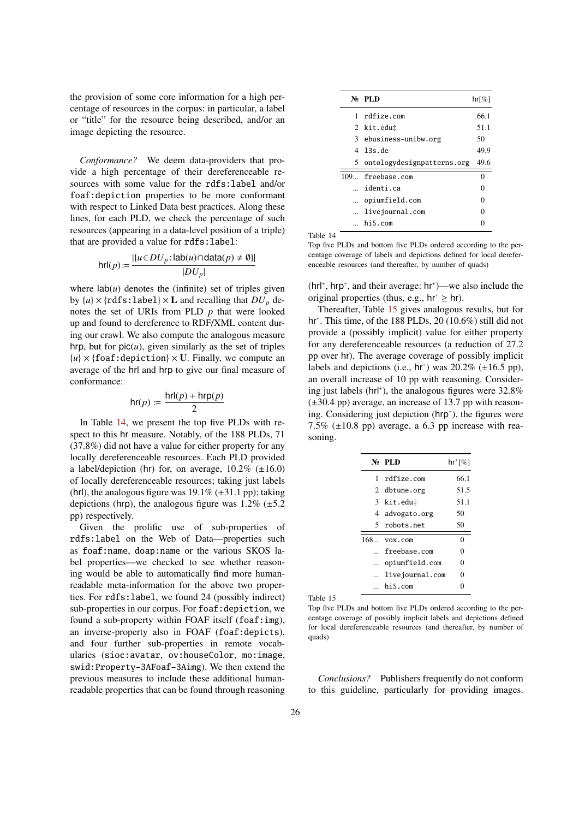the provision of some core information for a high percentage of resources in the corpus: in particular, a label or "title" for the resource being described, and/or an image depicting the resource.

*Conformance?* We deem data-providers that provide a high percentage of their dereferenceable resources with some value for the rdfs:label and/or foaf:depiction properties to be more conformant with respect to Linked Data best practices. Along these lines, for each PLD, we check the percentage of such resources (appearing in a data-level position of a triple) that are provided a value for rdfs:label:

$$
\mathsf{hrl}(p) := \frac{|\{u \in DU_p : \mathsf{lab}(u) \cap \mathsf{data}(p) \neq \emptyset\}|}{|DU_p|}
$$

where  $\text{lab}(u)$  denotes the (infinite) set of triples given by  $\{u\} \times \{r$  dfs: label}  $\times$  L and recalling that  $DU_p$  denotes the set of URIs from PLD *p* that were looked up and found to dereference to RDF/XML content during our crawl. We also compute the analogous measure hrp, but for  $pic(u)$ , given similarly as the set of triples  ${u} \times {$  foaf: depiction}  $\times$  U. Finally, we compute an average of the hrl and hrp to give our final measure of conformance:

$$
\mathsf{hr}(p) \coloneqq \frac{\mathsf{hrl}(p) + \mathsf{hrp}(p)}{2}
$$

In Table [14,](#page-25-0) we present the top five PLDs with respect to this hr measure. Notably, of the 188 PLDs, 71 (37.8%) did not have a value for either property for any locally dereferenceable resources. Each PLD provided a label/depiction (hr) for, on average,  $10.2\%$  ( $\pm 16.0$ ) of locally dereferenceable resources; taking just labels (hrl), the analogous figure was  $19.1\%$  ( $\pm 31.1$  pp); taking depictions (hrp), the analogous figure was  $1.2\%$  ( $\pm$ 5.2) pp) respectively.

Given the prolific use of sub-properties of rdfs:label on the Web of Data—properties such as foaf:name, doap:name or the various SKOS label properties—we checked to see whether reasoning would be able to automatically find more humanreadable meta-information for the above two properties. For rdfs:label, we found 24 (possibly indirect) sub-properties in our corpus. For foaf:depiction, we found a sub-property within FOAF itself (foaf:img), an inverse-property also in FOAF (foaf:depicts), and four further sub-properties in remote vocabularies (sioc:avatar, ov:houseColor, mo:image, swid:Property-3AFoaf-3Aimg). We then extend the previous measures to include these additional humanreadable properties that can be found through reasoning

| hr $\lceil\% \rceil$<br>66.1<br>51.1 |
|--------------------------------------|
|                                      |
|                                      |
|                                      |
| 50                                   |
| 49.9                                 |
| 49.6                                 |
|                                      |
| 0                                    |
| 0                                    |
| 0                                    |
|                                      |
|                                      |

Table 14

<span id="page-25-0"></span>Top five PLDs and bottom five PLDs ordered according to the percentage coverage of labels and depictions defined for local dereferenceable resources (and thereafter, by number of quads)

 $(hrl<sup>+</sup>, hrp<sup>+</sup>, and their average: hr<sup>+</sup>)$ —we also include the original properties (thus, e.g.,  $hr^* \geq hr$ ).

Thereafter, Table [15](#page-25-1) gives analogous results, but for hr<sup>+</sup>. This time, of the 188 PLDs, 20 (10.6%) still did not provide a (possibly implicit) value for either property for any dereferenceable resources (a reduction of 27.2 pp over hr). The average coverage of possibly implicit labels and depictions (i.e.,  $hr^*$ ) was 20.2% ( $\pm 16.5$  pp), an overall increase of 10 pp with reasoning. Considering just labels ( $hrl^+$ ), the analogous figures were 32.8%  $(\pm 30.4 \text{ pp})$  average, an increase of 13.7 pp with reasoning. Considering just depiction (hrp<sup>+</sup>), the figures were 7.5%  $(\pm 10.8 \text{ pp})$  average, a 6.3 pp increase with reasoning.

|      | N <sub>o</sub> PLD | hr <sup>+</sup> [%] |
|------|--------------------|---------------------|
|      | 1 rdfize.com       | 66.1                |
|      | 2 dbtune.org       | 51.5                |
| 3    | kit.edu‡           | 51.1                |
| 4    | advogato.org       | 50                  |
| 5    | robots.net         | 50                  |
| 168. | VOX.COM            | $\Omega$            |
|      | freebase.com       | 0                   |
|      | opiumfield.com     | 0                   |
|      | livejournal.com    | 0                   |
|      | hi5.com            | O                   |

Table 15

<span id="page-25-1"></span>Top five PLDs and bottom five PLDs ordered according to the percentage coverage of possibly implicit labels and depictions defined for local dereferenceable resources (and thereafter, by number of quads)

*Conclusions?* Publishers frequently do not conform to this guideline, particularly for providing images.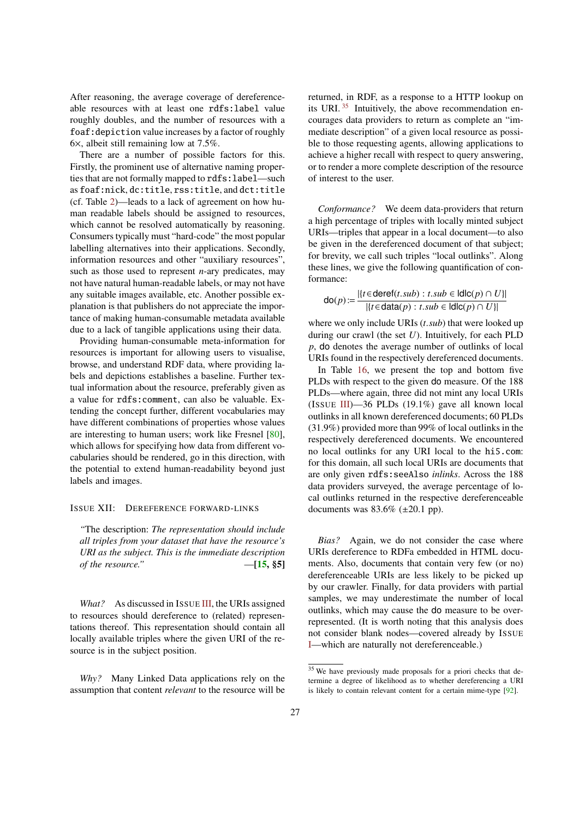After reasoning, the average coverage of dereferenceable resources with at least one rdfs:label value roughly doubles, and the number of resources with a foaf:depiction value increases by a factor of roughly 6×, albeit still remaining low at 7.5%.

There are a number of possible factors for this. Firstly, the prominent use of alternative naming properties that are not formally mapped to rdfs:label—such as foaf:nick, dc:title, rss:title, and dct:title (cf. Table [2\)](#page-11-0)—leads to a lack of agreement on how human readable labels should be assigned to resources, which cannot be resolved automatically by reasoning. Consumers typically must "hard-code" the most popular labelling alternatives into their applications. Secondly, information resources and other "auxiliary resources", such as those used to represent *n*-ary predicates, may not have natural human-readable labels, or may not have any suitable images available, etc. Another possible explanation is that publishers do not appreciate the importance of making human-consumable metadata available due to a lack of tangible applications using their data.

Providing human-consumable meta-information for resources is important for allowing users to visualise, browse, and understand RDF data, where providing labels and depictions establishes a baseline. Further textual information about the resource, preferably given as a value for rdfs:comment, can also be valuable. Extending the concept further, different vocabularies may have different combinations of properties whose values are interesting to human users; work like Fresnel [\[80\]](#page-40-31), which allows for specifying how data from different vocabularies should be rendered, go in this direction, with the potential to extend human-readability beyond just labels and images.

<span id="page-26-1"></span>ISSUE XII: DEREFERENCE FORWARD-LINKS

*"*The description: *The representation should include all triples from your dataset that have the resource's URI as the subject. This is the immediate description of the resource."*  $-[15, §5]$  $-[15, §5]$  $-[15, §5]$ 

*What?* As discussed in ISSUE [III,](#page-15-1) the URIs assigned to resources should dereference to (related) representations thereof. This representation should contain all locally available triples where the given URI of the resource is in the subject position.

*Why?* Many Linked Data applications rely on the assumption that content *relevant* to the resource will be returned, in RDF, as a response to a HTTP lookup on its URI. [35](#page-26-0) Intuitively, the above recommendation encourages data providers to return as complete an "immediate description" of a given local resource as possible to those requesting agents, allowing applications to achieve a higher recall with respect to query answering, or to render a more complete description of the resource of interest to the user.

*Conformance?* We deem data-providers that return a high percentage of triples with locally minted subject URIs—triples that appear in a local document—to also be given in the dereferenced document of that subject; for brevity, we call such triples "local outlinks". Along these lines, we give the following quantification of conformance:

$$
\mathsf{do}(p) := \frac{|\{t \in \mathsf{deref}(t, sub) : t. sub \in \mathsf{ldlc}(p) \cap U\}|}{|\{t \in \mathsf{data}(p) : t. sub \in \mathsf{ldlc}(p) \cap U\}|}
$$

where we only include URIs (*t.sub*) that were looked up<br>during our crawl (the set *II*) Intuitively for each PI D during our crawl (the set *U*). Intuitively, for each PLD *p*, do denotes the average number of outlinks of local URIs found in the respectively dereferenced documents.

In Table [16,](#page-27-0) we present the top and bottom five PLDs with respect to the given do measure. Of the 188 PLDs—where again, three did not mint any local URIs (ISSUE [III\)](#page-15-1)—36 PLDs (19.1%) gave all known local outlinks in all known dereferenced documents; 60 PLDs (31.9%) provided more than 99% of local outlinks in the respectively dereferenced documents. We encountered no local outlinks for any URI local to the hi5.com: for this domain, all such local URIs are documents that are only given rdfs:seeAlso *inlinks*. Across the 188 data providers surveyed, the average percentage of local outlinks returned in the respective dereferenceable documents was  $83.6\%$  ( $\pm 20.1$  pp).

*Bias?* Again, we do not consider the case where URIs dereference to RDFa embedded in HTML documents. Also, documents that contain very few (or no) dereferenceable URIs are less likely to be picked up by our crawler. Finally, for data providers with partial samples, we may underestimate the number of local outlinks, which may cause the do measure to be overrepresented. (It is worth noting that this analysis does not consider blank nodes—covered already by ISSUE [I—](#page-13-3)which are naturally not dereferenceable.)

<span id="page-26-0"></span> $35$  We have previously made proposals for a priori checks that determine a degree of likelihood as to whether dereferencing a URI is likely to contain relevant content for a certain mime-type [\[92\]](#page-40-32).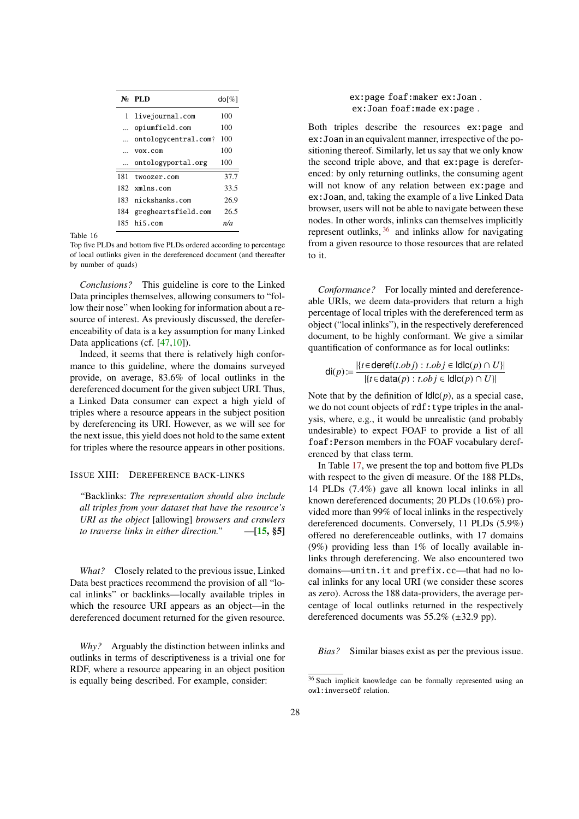|     | N <sub>o</sub> PLD   | $d \sigma$ [%] |
|-----|----------------------|----------------|
| 1   | livejournal.com      | 100            |
|     | opiumfield.com       | 100            |
|     | ontologycentral.com† | 100            |
|     | VOX.COM              | 100            |
|     | ontologyportal.org   | 100            |
| 181 | twoozer.com          | 37.7           |
|     | 182 xmlns.com        | 33.5           |
| 183 | nickshanks.com       | 26.9           |
| 184 | gregheartsfield.com  | 26.5           |
| 185 | hi5.com              | n/a            |

Table 16

<span id="page-27-0"></span>Top five PLDs and bottom five PLDs ordered according to percentage of local outlinks given in the dereferenced document (and thereafter by number of quads)

*Conclusions?* This guideline is core to the Linked Data principles themselves, allowing consumers to "follow their nose" when looking for information about a resource of interest. As previously discussed, the dereferenceability of data is a key assumption for many Linked Data applications (cf. [\[47,](#page-39-21)[10\]](#page-38-5)).

Indeed, it seems that there is relatively high conformance to this guideline, where the domains surveyed provide, on average, 83.6% of local outlinks in the dereferenced document for the given subject URI. Thus, a Linked Data consumer can expect a high yield of triples where a resource appears in the subject position by dereferencing its URI. However, as we will see for the next issue, this yield does not hold to the same extent for triples where the resource appears in other positions.

#### <span id="page-27-2"></span>ISSUE XIII: DEREFERENCE BACK-LINKS

*"*Backlinks: *The representation should also include all triples from your dataset that have the resource's URI as the object* [allowing] *browsers and crawlers to traverse links in either direction."* —[\[15,](#page-38-10) §5]

*What?* Closely related to the previous issue, Linked Data best practices recommend the provision of all "local inlinks" or backlinks—locally available triples in which the resource URI appears as an object—in the dereferenced document returned for the given resource.

*Why?* Arguably the distinction between inlinks and outlinks in terms of descriptiveness is a trivial one for RDF, where a resource appearing in an object position is equally being described. For example, consider:

ex:page foaf:maker ex:Joan . ex:Joan foaf:made ex:page .

Both triples describe the resources ex:page and ex:Joan in an equivalent manner, irrespective of the positioning thereof. Similarly, let us say that we only know the second triple above, and that ex:page is dereferenced: by only returning outlinks, the consuming agent will not know of any relation between ex:page and ex:Joan, and, taking the example of a live Linked Data browser, users will not be able to navigate between these nodes. In other words, inlinks can themselves implicitly represent outlinks,  $36 \overline{)}$  $36 \overline{)}$  and inlinks allow for navigating from a given resource to those resources that are related to it.

*Conformance?* For locally minted and dereferenceable URIs, we deem data-providers that return a high percentage of local triples with the dereferenced term as object ("local inlinks"), in the respectively dereferenced document, to be highly conformant. We give a similar quantification of conformance as for local outlinks:

$$
\mathsf{di}(p) := \frac{|\{t \in \mathsf{deref}(t.obj) : t.obj \in \mathsf{Idlc}(p) \cap U\}|}{|\{t \in \mathsf{data}(p) : t.obj \in \mathsf{Idlc}(p) \cap U\}|}
$$

Note that by the definition of  $\text{Idlc}(p)$ , as a special case, we do not count objects of rdf: type triples in the analysis, where, e.g., it would be unrealistic (and probably undesirable) to expect FOAF to provide a list of all foaf:Person members in the FOAF vocabulary dereferenced by that class term.

In Table [17,](#page-28-0) we present the top and bottom five PLDs with respect to the given di measure. Of the 188 PLDs, 14 PLDs (7.4%) gave all known local inlinks in all known dereferenced documents; 20 PLDs (10.6%) provided more than 99% of local inlinks in the respectively dereferenced documents. Conversely, 11 PLDs (5.9%) offered no dereferenceable outlinks, with 17 domains (9%) providing less than 1% of locally available inlinks through dereferencing. We also encountered two domains—unitn.it and prefix.cc—that had no local inlinks for any local URI (we consider these scores as zero). Across the 188 data-providers, the average percentage of local outlinks returned in the respectively dereferenced documents was 55.2% (±32.9 pp).

*Bias?* Similar biases exist as per the previous issue.

<span id="page-27-1"></span><sup>36</sup> Such implicit knowledge can be formally represented using an owl:inverseOf relation.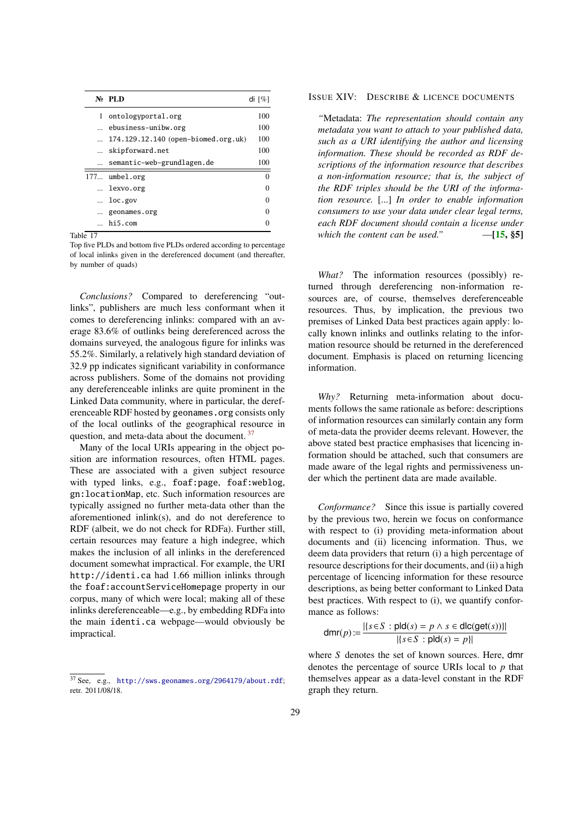|          | $N_2$ PLD                           | di $\lceil \% \rceil$ |
|----------|-------------------------------------|-----------------------|
| 1        | ontologyportal.org                  | 100                   |
|          | ebusiness-unibw.org                 | 100                   |
|          | 174.129.12.140 (open-biomed.org.uk) | 100                   |
|          | skipforward.net                     | 100                   |
|          | semantic-web-grundlagen.de          | 100                   |
|          | 177 umbel.org                       |                       |
|          | lexvo.org                           |                       |
| $\cdots$ | loc.gov                             | 0                     |
|          | geonames.org                        |                       |
|          | hi5.com                             |                       |

Table 17

<span id="page-28-0"></span>Top five PLDs and bottom five PLDs ordered according to percentage of local inlinks given in the dereferenced document (and thereafter, by number of quads)

*Conclusions?* Compared to dereferencing "outlinks", publishers are much less conformant when it comes to dereferencing inlinks: compared with an average 83.6% of outlinks being dereferenced across the domains surveyed, the analogous figure for inlinks was 55.2%. Similarly, a relatively high standard deviation of 32.9 pp indicates significant variability in conformance across publishers. Some of the domains not providing any dereferenceable inlinks are quite prominent in the Linked Data community, where in particular, the dereferenceable RDF hosted by geonames.org consists only of the local outlinks of the geographical resource in question, and meta-data about the document.<sup>[37](#page-28-1)</sup>

Many of the local URIs appearing in the object position are information resources, often HTML pages. These are associated with a given subject resource with typed links, e.g., foaf:page, foaf:weblog, gn:locationMap, etc. Such information resources are typically assigned no further meta-data other than the aforementioned inlink(s), and do not dereference to RDF (albeit, we do not check for RDFa). Further still, certain resources may feature a high indegree, which makes the inclusion of all inlinks in the dereferenced document somewhat impractical. For example, the URI http://identi.ca had 1.66 million inlinks through the foaf:accountServiceHomepage property in our corpus, many of which were local; making all of these inlinks dereferenceable—e.g., by embedding RDFa into the main identi.ca webpage—would obviously be impractical.

# <span id="page-28-2"></span>ISSUE XIV: DESCRIBE & LICENCE DOCUMENTS

*"*Metadata: *The representation should contain any metadata you want to attach to your published data, such as a URI identifying the author and licensing information. These should be recorded as RDF descriptions of the information resource that describes a non-information resource; that is, the subject of the RDF triples should be the URI of the information resource.* [...] *In order to enable information consumers to use your data under clear legal terms, each RDF document should contain a license under which the content can be used.*" - [\[15,](#page-38-10) §5]

*What?* The information resources (possibly) returned through dereferencing non-information resources are, of course, themselves dereferenceable resources. Thus, by implication, the previous two premises of Linked Data best practices again apply: locally known inlinks and outlinks relating to the information resource should be returned in the dereferenced document. Emphasis is placed on returning licencing information.

*Why?* Returning meta-information about documents follows the same rationale as before: descriptions of information resources can similarly contain any form of meta-data the provider deems relevant. However, the above stated best practice emphasises that licencing information should be attached, such that consumers are made aware of the legal rights and permissiveness under which the pertinent data are made available.

*Conformance?* Since this issue is partially covered by the previous two, herein we focus on conformance with respect to (i) providing meta-information about documents and (ii) licencing information. Thus, we deem data providers that return (i) a high percentage of resource descriptions for their documents, and (ii) a high percentage of licencing information for these resource descriptions, as being better conformant to Linked Data best practices. With respect to (i), we quantify conformance as follows:

$$
dmr(p) := \frac{|\{s \in S : \mathsf{pld}(s) = p \land s \in \mathsf{dlc}(\mathsf{get}(s))\}|}{|\{s \in S : \mathsf{pld}(s) = p\}|}
$$

where *S* denotes the set of known sources. Here, dmr denotes the percentage of source URIs local to *p* that themselves appear as a data-level constant in the RDF graph they return.

<span id="page-28-1"></span><sup>37</sup> See, e.g., <http://sws.geonames.org/2964179/about.rdf>; retr. 2011/08/18.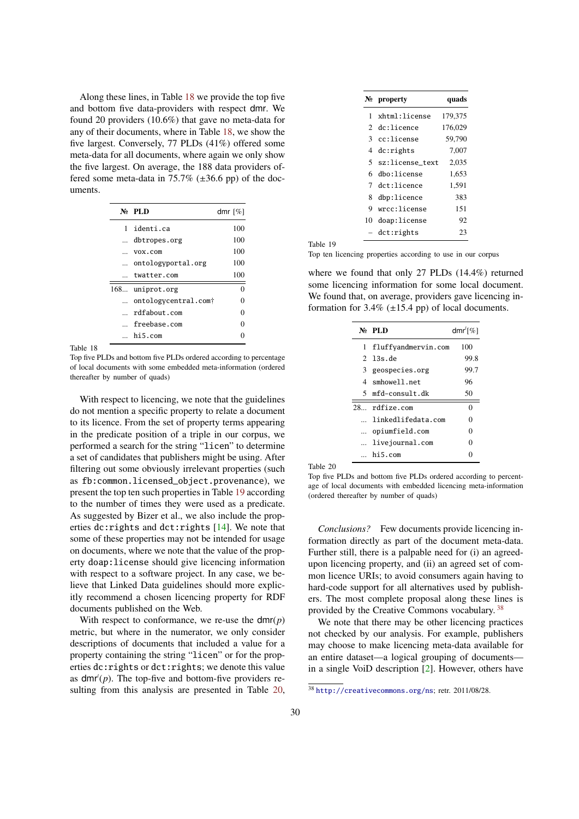Along these lines, in Table [18](#page-29-0) we provide the top five and bottom five data-providers with respect dmr. We found 20 providers (10.6%) that gave no meta-data for any of their documents, where in Table [18,](#page-29-0) we show the five largest. Conversely, 77 PLDs (41%) offered some meta-data for all documents, where again we only show the five largest. On average, the 188 data providers offered some meta-data in  $75.7\%$  ( $\pm 36.6$  pp) of the documents.

| $N_0$ PLD            | dmr $[\%]$ |
|----------------------|------------|
| 1 identi.ca          | 100        |
| dbtropes.org         | 100        |
| VOX.COM              | 100        |
| ontologyportal.org   | 100        |
| twatter.com          | 100        |
| 168 uniprot.org      |            |
| ontologycentral.com† |            |
| rdfabout.com         |            |
| freebase.com         |            |
| hi5.com              |            |
|                      |            |

Table 18

<span id="page-29-0"></span>Top five PLDs and bottom five PLDs ordered according to percentage of local documents with some embedded meta-information (ordered thereafter by number of quads)

With respect to licencing, we note that the guidelines do not mention a specific property to relate a document to its licence. From the set of property terms appearing in the predicate position of a triple in our corpus, we performed a search for the string "licen" to determine a set of candidates that publishers might be using. After filtering out some obviously irrelevant properties (such as fb:common.licensed\_object.provenance), we present the top ten such properties in Table [19](#page-29-1) according to the number of times they were used as a predicate. As suggested by Bizer et al., we also include the properties dc:rights and dct:rights [\[14\]](#page-38-20). We note that some of these properties may not be intended for usage on documents, where we note that the value of the property doap:license should give licencing information with respect to a software project. In any case, we believe that Linked Data guidelines should more explicitly recommend a chosen licencing property for RDF documents published on the Web.

With respect to conformance, we re-use the  $dmr(p)$ metric, but where in the numerator, we only consider descriptions of documents that included a value for a property containing the string "licen" or for the properties dc:rights or dct:rights; we denote this value as  $dmr'(p)$ . The top-five and bottom-five providers resulting from this analysis are presented in Table [20,](#page-29-2)

| property<br>Nº. |                 | quads   |
|-----------------|-----------------|---------|
| 1               | xhtml:license   | 179,375 |
| $\mathcal{L}$   | dc:licence      | 176,029 |
| 3               | cc:license      | 59,790  |
| 4               | dc: right       | 7,007   |
| 5               | sz:license_text | 2,035   |
| 6               | dbo:license     | 1,653   |
| 7               | dct:licence     | 1,591   |
| 8               | dbp:licence     | 383     |
| 9               | wrcc:license    | 151     |
| 10              | doap:license    | 92      |
|                 | $dct:$ rights   | 23      |

Table 19

<span id="page-29-1"></span>Top ten licencing properties according to use in our corpus

where we found that only 27 PLDs (14.4%) returned some licencing information for some local document. We found that, on average, providers gave licencing information for 3.4%  $(\pm 15.4 \text{ pp})$  of local documents.

|              | N <sub>o</sub> PLD  | dmr <sup><math>1</math></sup> [%] |
|--------------|---------------------|-----------------------------------|
| $\mathbf{1}$ | fluffyandmervin.com | 100                               |
| 2.           | 13s.de              | 99.8                              |
| 3            | geospecies.org      | 99.7                              |
| 4            | smhowell.net        | 96                                |
| 5            | mfd-consult.dk      | 50                                |
| 28.          | rdfize.com          | 0                                 |
|              | linkedlifedata.com  | 0                                 |
|              | opiumfield.com      | 0                                 |
|              | livejournal.com     | 0                                 |
|              | $h$ i $5.c$ om      |                                   |

Table 20

<span id="page-29-2"></span>Top five PLDs and bottom five PLDs ordered according to percentage of local documents with embedded licencing meta-information (ordered thereafter by number of quads)

*Conclusions?* Few documents provide licencing information directly as part of the document meta-data. Further still, there is a palpable need for (i) an agreedupon licencing property, and (ii) an agreed set of common licence URIs; to avoid consumers again having to hard-code support for all alternatives used by publishers. The most complete proposal along these lines is provided by the Creative Commons vocabulary.<sup>[38](#page-29-3)</sup>

We note that there may be other licencing practices not checked by our analysis. For example, publishers may choose to make licencing meta-data available for an entire dataset—a logical grouping of documents in a single VoiD description [\[2\]](#page-38-31). However, others have

<span id="page-29-3"></span><sup>38</sup> <http://creativecommons.org/ns>; retr. 2011/08/28.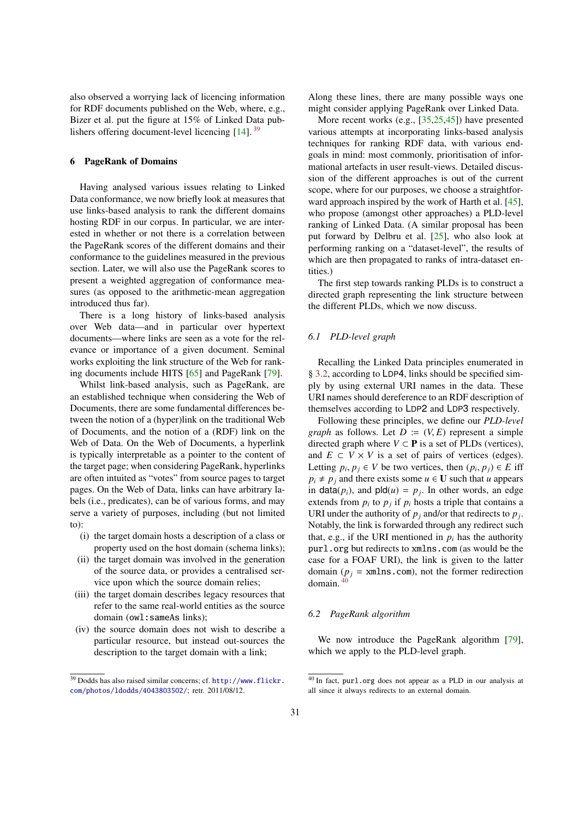also observed a worrying lack of licencing information for RDF documents published on the Web, where, e.g., Bizer et al. put the figure at 15% of Linked Data pub-lishers offering document-level licencing [\[14\]](#page-38-20). [39](#page-30-1)

#### <span id="page-30-0"></span>6 PageRank of Domains

Having analysed various issues relating to Linked Data conformance, we now briefly look at measures that use links-based analysis to rank the different domains hosting RDF in our corpus. In particular, we are interested in whether or not there is a correlation between the PageRank scores of the different domains and their conformance to the guidelines measured in the previous section. Later, we will also use the PageRank scores to present a weighted aggregation of conformance measures (as opposed to the arithmetic-mean aggregation introduced thus far).

There is a long history of links-based analysis over Web data—and in particular over hypertext documents—where links are seen as a vote for the relevance or importance of a given document. Seminal works exploiting the link structure of the Web for ranking documents include HITS [\[65\]](#page-40-33) and PageRank [\[79\]](#page-40-34).

Whilst link-based analysis, such as PageRank, are an established technique when considering the Web of Documents, there are some fundamental differences between the notion of a (hyper)link on the traditional Web of Documents, and the notion of a (RDF) link on the Web of Data. On the Web of Documents, a hyperlink is typically interpretable as a pointer to the content of the target page; when considering PageRank, hyperlinks are often intuited as "votes" from source pages to target pages. On the Web of Data, links can have arbitrary labels (i.e., predicates), can be of various forms, and may serve a variety of purposes, including (but not limited to):

- (i) the target domain hosts a description of a class or property used on the host domain (schema links);
- (ii) the target domain was involved in the generation of the source data, or provides a centralised service upon which the source domain relies;
- (iii) the target domain describes legacy resources that refer to the same real-world entities as the source domain (owl:sameAs links);
- (iv) the source domain does not wish to describe a particular resource, but instead out-sources the description to the target domain with a link;

Along these lines, there are many possible ways one might consider applying PageRank over Linked Data.

More recent works (e.g., [\[35,](#page-39-29)[25,](#page-38-32)[45\]](#page-39-19)) have presented various attempts at incorporating links-based analysis techniques for ranking RDF data, with various endgoals in mind: most commonly, prioritisation of informational artefacts in user result-views. Detailed discussion of the different approaches is out of the current scope, where for our purposes, we choose a straightforward approach inspired by the work of Harth et al. [\[45\]](#page-39-19), who propose (amongst other approaches) a PLD-level ranking of Linked Data. (A similar proposal has been put forward by Delbru et al. [\[25\]](#page-38-32), who also look at performing ranking on a "dataset-level", the results of which are then propagated to ranks of intra-dataset entities.)

The first step towards ranking PLDs is to construct a directed graph representing the link structure between the different PLDs, which we now discuss.

# *6.1 PLD-level graph*

Recalling the Linked Data principles enumerated in § [3.2,](#page-7-4) according to LDP4, links should be specified simply by using external URI names in the data. These URI names should dereference to an RDF description of themselves according to LDP2 and LDP3 respectively.

Following these principles, we define our *PLD-level graph* as follows. Let  $D := (V, E)$  represent a simple directed graph where  $V \subset \mathbf{P}$  is a set of PLDs (vertices), and  $E \subset V \times V$  is a set of pairs of vertices (edges). Letting  $p_i, p_j \in V$  be two vertices, then  $(p_i, p_j) \in E$  iff  $p_i \neq p_i$  and there exists some  $u \in \mathbb{I}$  such that *u* appears  $p_i \neq p_j$  and there exists some  $u \in U$  such that *u* appears in data( $p_i$ ), and  $p \cdot d(u) = p_j$ . In other words, an edge extends from  $p_i$  to  $p_j$  if  $p_i$  hosts a triple that contains a URI under the authority of  $p_j$  and/or that redirects to  $p_j$ . Notably, the link is forwarded through any redirect such that, e.g., if the URI mentioned in  $p_i$  has the authority purl.org but redirects to xmlns.com (as would be the case for a FOAF URI), the link is given to the latter domain ( $p_i$  = xmlns.com), not the former redirection domain.  $40$ 

# *6.2 PageRank algorithm*

We now introduce the PageRank algorithm [\[79\]](#page-40-34), which we apply to the PLD-level graph.

<span id="page-30-1"></span><sup>39</sup> Dodds has also raised similar concerns; cf. [http://www.flickr.](http://www.flickr.com/photos/ldodds/4043803502/) [com/photos/ldodds/4043803502/](http://www.flickr.com/photos/ldodds/4043803502/); retr. 2011/08/12.

<span id="page-30-2"></span><sup>40</sup> In fact, purl.org does not appear as a PLD in our analysis at all since it always redirects to an external domain.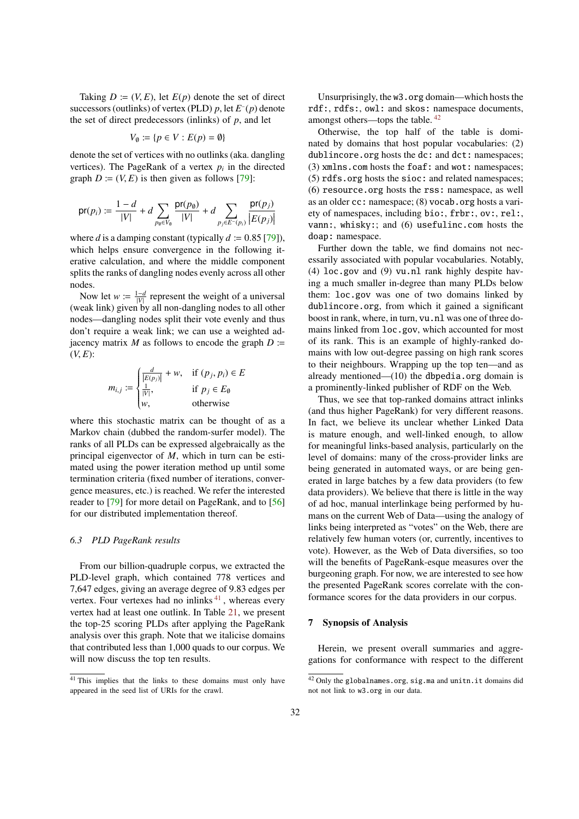Taking  $D := (V, E)$ , let  $E(p)$  denote the set of direct successors (outlinks) of vertex (PLD)  $p$ , let  $E^{-}(p)$  denote the set of direct predecessors (inlinks) of *p*, and let

$$
V_{\emptyset} := \{ p \in V : E(p) = \emptyset \}
$$

denote the set of vertices with no outlinks (aka. dangling vertices). The PageRank of a vertex  $p_i$  in the directed graph  $D := (V, E)$  is then given as follows [\[79\]](#page-40-34):

$$
\mathsf{pr}(p_i) := \frac{1 - d}{|V|} + d \sum_{p_\emptyset \in V_\emptyset} \frac{\mathsf{pr}(p_\emptyset)}{|V|} + d \sum_{p_j \in E^-(p_i)} \frac{\mathsf{pr}(p_j)}{|E(p_j)|}
$$

where *d* is a damping constant (typically  $d := 0.85$  [\[79\]](#page-40-34)), which helps ensure convergence in the following iterative calculation, and where the middle component splits the ranks of dangling nodes evenly across all other nodes.

Now let  $w := \frac{1-d}{|V|}$  represent the weight of a universal (weak link) given by all non-dangling nodes to all other nodes—dangling nodes split their vote evenly and thus don't require a weak link; we can use a weighted adjacency matrix *M* as follows to encode the graph  $D$  :=  $(V, E)$ :

$$
m_{i,j} := \begin{cases} \frac{d}{|E(p_j)|} + w, & \text{if } (p_j, p_i) \in E\\ \frac{1}{|V|}, & \text{if } p_j \in E_\emptyset\\ w, & \text{otherwise} \end{cases}
$$

where this stochastic matrix can be thought of as a Markov chain (dubbed the random-surfer model). The ranks of all PLDs can be expressed algebraically as the principal eigenvector of *M*, which in turn can be estimated using the power iteration method up until some termination criteria (fixed number of iterations, convergence measures, etc.) is reached. We refer the interested reader to [\[79\]](#page-40-34) for more detail on PageRank, and to [\[56\]](#page-39-0) for our distributed implementation thereof.

## <span id="page-31-3"></span>*6.3 PLD PageRank results*

From our billion-quadruple corpus, we extracted the PLD-level graph, which contained 778 vertices and 7,647 edges, giving an average degree of 9.83 edges per vertex. Four vertexes had no inlinks<sup>[41](#page-31-1)</sup>, whereas every vertex had at least one outlink. In Table [21,](#page-32-0) we present the top-25 scoring PLDs after applying the PageRank analysis over this graph. Note that we italicise domains that contributed less than 1,000 quads to our corpus. We will now discuss the top ten results.

Unsurprisingly, the w3.org domain—which hosts the rdf:, rdfs:, owl: and skos: namespace documents, amongst others—tops the table. <sup>[42](#page-31-2)</sup>

Otherwise, the top half of the table is dominated by domains that host popular vocabularies: (2) dublincore.org hosts the dc: and dct: namespaces; (3) xmlns.com hosts the foaf: and wot: namespaces; (5) rdfs.org hosts the sioc: and related namespaces; (6) resource.org hosts the rss: namespace, as well as an older cc: namespace; (8) vocab.org hosts a variety of namespaces, including bio:, frbr:, ov:, rel:, vann:, whisky:; and (6) usefulinc.com hosts the doap: namespace.

Further down the table, we find domains not necessarily associated with popular vocabularies. Notably, (4) loc.gov and (9) vu.nl rank highly despite having a much smaller in-degree than many PLDs below them: loc.gov was one of two domains linked by dublincore.org, from which it gained a significant boost in rank, where, in turn, vu.nl was one of three domains linked from loc.gov, which accounted for most of its rank. This is an example of highly-ranked domains with low out-degree passing on high rank scores to their neighbours. Wrapping up the top ten—and as already mentioned—(10) the dbpedia.org domain is a prominently-linked publisher of RDF on the Web.

Thus, we see that top-ranked domains attract inlinks (and thus higher PageRank) for very different reasons. In fact, we believe its unclear whether Linked Data is mature enough, and well-linked enough, to allow for meaningful links-based analysis, particularly on the level of domains: many of the cross-provider links are being generated in automated ways, or are being generated in large batches by a few data providers (to few data providers). We believe that there is little in the way of ad hoc, manual interlinkage being performed by humans on the current Web of Data—using the analogy of links being interpreted as "votes" on the Web, there are relatively few human voters (or, currently, incentives to vote). However, as the Web of Data diversifies, so too will the benefits of PageRank-esque measures over the burgeoning graph. For now, we are interested to see how the presented PageRank scores correlate with the conformance scores for the data providers in our corpus.

## <span id="page-31-0"></span>7 Synopsis of Analysis

Herein, we present overall summaries and aggregations for conformance with respect to the different

<span id="page-31-1"></span><sup>&</sup>lt;sup>41</sup> This implies that the links to these domains must only have appeared in the seed list of URIs for the crawl.

<span id="page-31-2"></span><sup>42</sup> Only the globalnames.org, sig.ma and unitn.it domains did not not link to w3.org in our data.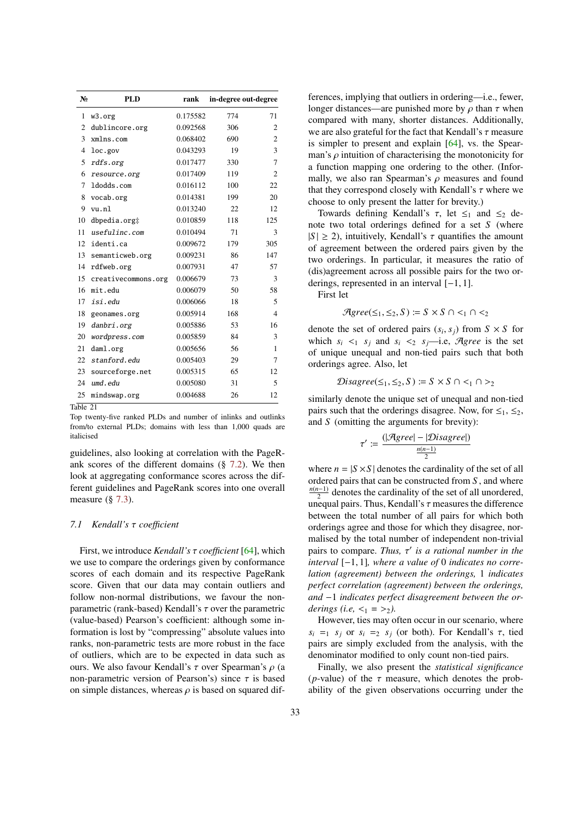| $N_2$ | <b>PLD</b>          | rank     | in-degree out-degree           |
|-------|---------------------|----------|--------------------------------|
| 1     | w3.org              | 0.175582 | 774<br>71                      |
| 2     | dublincore.org      | 0.092568 | 306<br>$\overline{c}$          |
| 3     | xmlns.com           | 0.068402 | 690<br>$\overline{c}$          |
| 4     | loc.gov             | 0.043293 | 3<br>19                        |
| 5     | rdfs.org            | 0.017477 | 330<br>7                       |
| 6     | resource.org        | 0.017409 | 119<br>$\overline{c}$          |
| 7     | ldodds.com          | 0.016112 | 100<br>22                      |
| 8     | vocab.org           | 0.014381 | 199<br>20                      |
| 9     | vu.nl               | 0.013240 | 12<br>22                       |
| 10    | dbpedia.org:        | 0.010859 | 118<br>125                     |
| 11    | usefulinc.com       | 0.010494 | 3<br>71                        |
| 12    | identi.ca           | 0.009672 | 179<br>305                     |
| 13    | semanticweb.org     | 0.009231 | 86<br>147                      |
| 14    | rdfweb.org          | 0.007931 | 47<br>57                       |
| 15    | creativecommons.org | 0.006679 | 73<br>3                        |
| 16    | mit.edu             | 0.006079 | 50<br>58                       |
| 17    | isi.edu             | 0.006066 | 5<br>18                        |
| 18    | geonames.org        | 0.005914 | 168<br>$\overline{\mathbf{4}}$ |
| 19    | danbri.org          | 0.005886 | 53<br>16                       |
| 20    | wordpress.com       | 0.005859 | 84<br>3                        |
| 21    | daml.org            | 0.005656 | 56<br>1                        |
| 22    | stanford.edu        | 0.005403 | 29<br>7                        |
| 23    | sourceforge.net     | 0.005315 | 65<br>12                       |
| 24    | umd.edu             | 0.005080 | 31<br>5                        |
| 25    | mindswap.org        | 0.004688 | 26<br>12                       |

Table 21

<span id="page-32-0"></span>Top twenty-five ranked PLDs and number of inlinks and outlinks from/to external PLDs; domains with less than 1,000 quads are italicised

guidelines, also looking at correlation with the PageRank scores of the different domains (§ [7.2\)](#page-33-0). We then look at aggregating conformance scores across the different guidelines and PageRank scores into one overall measure (§ [7.3\)](#page-35-0).

## *7.1 Kendall's* τ *coefficient*

First, we introduce *Kendall's* τ *coefficient* [\[64\]](#page-40-35), which we use to compare the orderings given by conformance scores of each domain and its respective PageRank score. Given that our data may contain outliers and follow non-normal distributions, we favour the nonparametric (rank-based) Kendall's  $\tau$  over the parametric (value-based) Pearson's coefficient: although some information is lost by "compressing" absolute values into ranks, non-parametric tests are more robust in the face of outliers, which are to be expected in data such as ours. We also favour Kendall's  $\tau$  over Spearman's  $\rho$  (a non-parametric version of Pearson's) since  $\tau$  is based on simple distances, whereas  $\rho$  is based on squared differences, implying that outliers in ordering—i.e., fewer, longer distances—are punished more by  $\rho$  than  $\tau$  when compared with many, shorter distances. Additionally, we are also grateful for the fact that Kendall's  $\tau$  measure is simpler to present and explain [\[64\]](#page-40-35), vs. the Spearman's  $\rho$  intuition of characterising the monotonicity for a function mapping one ordering to the other. (Informally, we also ran Spearman's  $\rho$  measures and found that they correspond closely with Kendall's  $\tau$  where we choose to only present the latter for brevity.)

Towards defining Kendall's  $\tau$ , let  $\leq_1$  and  $\leq_2$  denote two total orderings defined for a set *S* (where  $|S| \ge 2$ ), intuitively, Kendall's  $\tau$  quantifies the amount of agreement between the ordered pairs given by the two orderings. In particular, it measures the ratio of (dis)agreement across all possible pairs for the two orderings, represented in an interval [−1, 1].

First let

 $\mathcal{A} \text{gree}(\leq_1, \leq_2, S) := S \times S \cap \leq_1 \cap \leq_2$ 

denote the set of ordered pairs  $(s_i, s_j)$  from  $S \times S$  for which  $s_i \leq s_j$  and  $s_j \leq s_j$  is the set which  $s_i \leq 1$   $s_j$  and  $s_i \leq 2$   $s_j$ —i.e, Agree is the set of unique unequal and non-tied pairs such that both orderings agree. Also, let

$$
Disagree(\leq_1, \leq_2, S) := S \times S \cap \{1 \cap \geq_2
$$

similarly denote the unique set of unequal and non-tied pairs such that the orderings disagree. Now, for  $\leq_1, \leq_2$ , and *S* (omitting the arguments for brevity):

$$
\tau' := \frac{(|\mathcal{A}green| - |\mathcal{D}isagree|)}{\frac{n(n-1)}{2}}
$$

where  $n = |S \times S|$  denotes the cardinality of the set of all ordered pairs that can be constructed from *S* , and where *n*(*n*−1)  $\frac{2^{n-1}}{2}$  denotes the cardinality of the set of all unordered, unequal pairs. Thus, Kendall's  $\tau$  measures the difference between the total number of all pairs for which both orderings agree and those for which they disagree, normalised by the total number of independent non-trivial pairs to compare. *Thus,*  $\tau'$  *is a rational number in the*<br>*interval*  $[-1, 1]$  *where a value of 0 indicates no correinterval* [−1, 1]*, where a value of* <sup>0</sup> *indicates no correlation (agreement) between the orderings,* 1 *indicates perfect correlation (agreement) between the orderings, and* −1 *indicates perfect disagreement between the orderings (i.e,*  $\lt_1 = \gt_2$ ).

However, ties may often occur in our scenario, where  $s_i =_1 s_j$  or  $s_i =_2 s_j$  (or both). For Kendall's  $\tau$ , tied pairs are simply excluded from the analysis, with the denominator modified to only count non-tied pairs.

Finally, we also present the *statistical significance* (*p*-value) of the  $\tau$  measure, which denotes the probability of the given observations occurring under the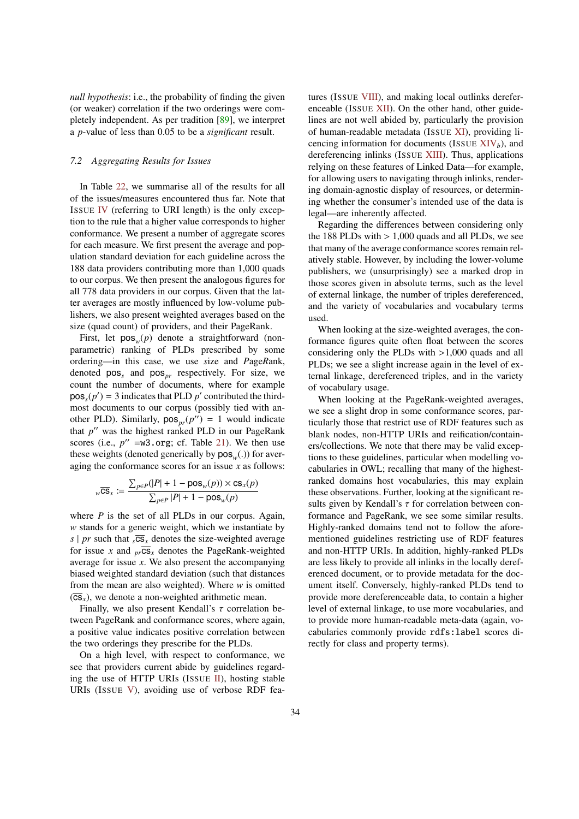*null hypothesis*: i.e., the probability of finding the given (or weaker) correlation if the two orderings were completely independent. As per tradition [\[89\]](#page-40-36), we interpret <sup>a</sup> *<sup>p</sup>*-value of less than <sup>0</sup>.<sup>05</sup> to be a *significant* result.

#### <span id="page-33-0"></span>*7.2 Aggregating Results for Issues*

In Table [22,](#page-34-0) we summarise all of the results for all of the issues/measures encountered thus far. Note that ISSUE [IV](#page-17-2) (referring to URI length) is the only exception to the rule that a higher value corresponds to higher conformance. We present a number of aggregate scores for each measure. We first present the average and population standard deviation for each guideline across the 188 data providers contributing more than 1,000 quads to our corpus. We then present the analogous figures for all 778 data providers in our corpus. Given that the latter averages are mostly influenced by low-volume publishers, we also present weighted averages based on the size (quad count) of providers, and their PageRank.

First, let  $pos_w(p)$  denote a straightforward (nonparametric) ranking of PLDs prescribed by some ordering—in this case, we use *s*ize and *P*age*R*ank, denoted  $pos<sub>s</sub>$  and  $pos<sub>pr</sub>$  respectively. For size, we count the number of documents, where for example  $pos<sub>s</sub>(p') = 3$  indicates that PLD *p*' contributed the thirdmost documents to our corpus (possibly tied with another PLD). Similarly,  $pos_{pr}(p'') = 1$  would indicate that  $p''$  was the highest ranked PLD in our PageRank scores (i.e.,  $p'' = w3.org$ ; cf. Table [21\)](#page-32-0). We then use these weights (denoted generically by  $pos_w(.)$ ) for averaging the conformance scores for an issue *x* as follows:

$$
\sum_{w \in \mathbf{S}_x} := \frac{\sum_{p \in P}(|P| + 1 - \text{pos}_w(p)) \times \text{cs}_x(p)}{\sum_{p \in P} |P| + 1 - \text{pos}_w(p)}
$$

where  $P$  is the set of all PLDs in our corpus. Again, *w* stands for a generic weight, which we instantiate by *s* | *pr* such that  $s\overline{\text{cs}}_x$  denotes the size-weighted average for issue *x* and  $p_r \overline{\text{cs}}_x$  denotes the PageRank-weighted average for issue *x*. We also present the accompanying biased weighted standard deviation (such that distances from the mean are also weighted). Where *w* is omitted  $(\overline{\text{cs}}_x)$ , we denote a non-weighted arithmetic mean.

Finally, we also present Kendall's  $\tau$  correlation between PageRank and conformance scores, where again, a positive value indicates positive correlation between the two orderings they prescribe for the PLDs.

On a high level, with respect to conformance, we see that providers current abide by guidelines regard-ing the use of HTTP URIs (ISSUE [II\)](#page-14-2), hosting stable URIs (ISSUE [V\)](#page-17-3), avoiding use of verbose RDF features (ISSUE [VIII\)](#page-21-3), and making local outlinks dereferenceable (ISSUE [XII\)](#page-26-1). On the other hand, other guidelines are not well abided by, particularly the provision of human-readable metadata (ISSUE [XI\)](#page-24-2), providing licencing information for documents (ISSUE  $XIV<sub>b</sub>$  $XIV<sub>b</sub>$ ), and dereferencing inlinks (ISSUE [XIII\)](#page-27-2). Thus, applications relying on these features of Linked Data—for example, for allowing users to navigating through inlinks, rendering domain-agnostic display of resources, or determining whether the consumer's intended use of the data is legal—are inherently affected.

Regarding the differences between considering only the 188 PLDs with  $> 1,000$  quads and all PLDs, we see that many of the average conformance scores remain relatively stable. However, by including the lower-volume publishers, we (unsurprisingly) see a marked drop in those scores given in absolute terms, such as the level of external linkage, the number of triples dereferenced, and the variety of vocabularies and vocabulary terms used.

When looking at the size-weighted averages, the conformance figures quite often float between the scores considering only the PLDs with >1,000 quads and all PLDs; we see a slight increase again in the level of external linkage, dereferenced triples, and in the variety of vocabulary usage.

When looking at the PageRank-weighted averages, we see a slight drop in some conformance scores, particularly those that restrict use of RDF features such as blank nodes, non-HTTP URIs and reification/containers/collections. We note that there may be valid exceptions to these guidelines, particular when modelling vocabularies in OWL; recalling that many of the highestranked domains host vocabularies, this may explain these observations. Further, looking at the significant results given by Kendall's  $\tau$  for correlation between conformance and PageRank, we see some similar results. Highly-ranked domains tend not to follow the aforementioned guidelines restricting use of RDF features and non-HTTP URIs. In addition, highly-ranked PLDs are less likely to provide all inlinks in the locally dereferenced document, or to provide metadata for the document itself. Conversely, highly-ranked PLDs tend to provide more dereferenceable data, to contain a higher level of external linkage, to use more vocabularies, and to provide more human-readable meta-data (again, vocabularies commonly provide rdfs:label scores directly for class and property terms).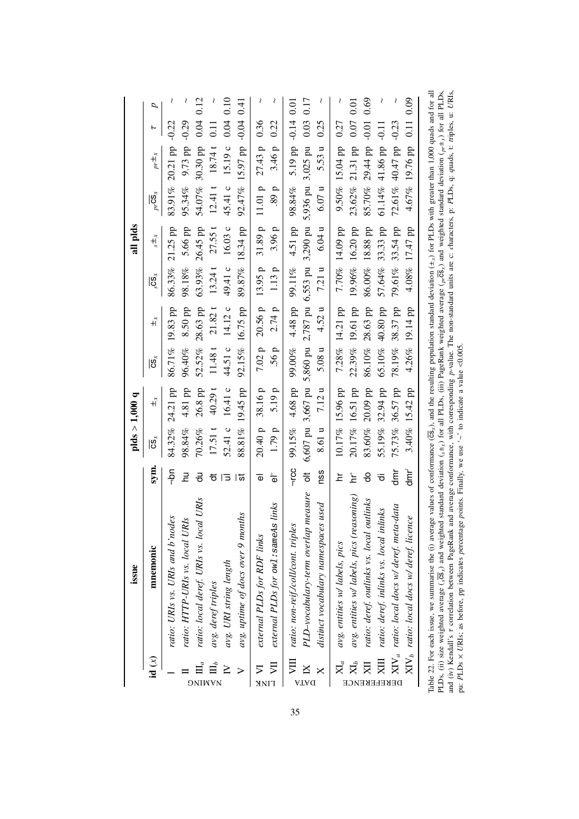<span id="page-34-0"></span>

|                                        | issue                                                                                                                                                                                                                                                                                                                                                                                                                                                                                                                                                                                                                                                                                                                                                                                |                  |         | plds > 1,000 q  |         |                 |          | all plds                      |                                             |                                                                         |                 |      |
|----------------------------------------|--------------------------------------------------------------------------------------------------------------------------------------------------------------------------------------------------------------------------------------------------------------------------------------------------------------------------------------------------------------------------------------------------------------------------------------------------------------------------------------------------------------------------------------------------------------------------------------------------------------------------------------------------------------------------------------------------------------------------------------------------------------------------------------|------------------|---------|-----------------|---------|-----------------|----------|-------------------------------|---------------------------------------------|-------------------------------------------------------------------------|-----------------|------|
| id(x)                                  | mnemonic                                                                                                                                                                                                                                                                                                                                                                                                                                                                                                                                                                                                                                                                                                                                                                             | sym.             | ပြီး    | ř,              | ျွတိ    | $\ddot{x}$      | င္ဘြီ    | $x_{\pm}^{x}$                 | $\frac{1}{p}r\overline{\mathbf{CS}}_{\chi}$ | $pr \pm x$                                                              | ٣               | ρ    |
|                                        | ratio: URIs vs. URIs and b'nodes                                                                                                                                                                                                                                                                                                                                                                                                                                                                                                                                                                                                                                                                                                                                                     | −bn              | 84.32%  | 24.21 pp        | 86.71%  | 19.83 pp        | 86.33%   | 21.25 pp                      | 83.91%                                      | 20.21 pp                                                                | $-0.22$         | ι    |
|                                        | ratio: HTTP-URIs vs. local URIs                                                                                                                                                                                                                                                                                                                                                                                                                                                                                                                                                                                                                                                                                                                                                      | Ξ                | 98.84%  | 4.81 pp         | 96.40%  | 8.50 pp         | 98.18%   | 5.66 pp                       | 95.34%                                      | 9.73 pp                                                                 | $-0.29$         |      |
| <b>DNIMAN</b>                          | ratio: local deref. URIs vs. local URIs                                                                                                                                                                                                                                                                                                                                                                                                                                                                                                                                                                                                                                                                                                                                              | 킁                | 70.26%  | 26.8 pp         |         | 52.52% 28.63 pp |          | 63.93% 26.45 pp               |                                             | 54.07% 30.30 pp                                                         | 0.04            | 0.12 |
| $\mathbb{H}$                           | avg. deref triples                                                                                                                                                                                                                                                                                                                                                                                                                                                                                                                                                                                                                                                                                                                                                                   | ぉ                | 17.51t  | 40.29t          | 11.48 t | $21.82$ t       | 13.24 t  | $27.55$ t                     | 12.41t                                      | 18.74t                                                                  | $\Xi$           |      |
|                                        | avg. URI string length                                                                                                                                                                                                                                                                                                                                                                                                                                                                                                                                                                                                                                                                                                                                                               | ョ                | 52.41c  | 16.41c          | 44.51 c | 14.12c          | 49.41 c  | 16.03c                        | 45.41 c                                     | 15.19c                                                                  | 0.04            | 0.10 |
|                                        | avg. uptime of docs over 9 months                                                                                                                                                                                                                                                                                                                                                                                                                                                                                                                                                                                                                                                                                                                                                    | ಕ                | 88.81%  | 19.45 pp        | 92.15%  | 16.75 pp        | 89.87%   | 18.34 pp                      | 92.47%                                      | 15.97 pp                                                                | $-0.04$         | 0.41 |
| <b>TIMK</b>                            | external PLDs for RDF links                                                                                                                                                                                                                                                                                                                                                                                                                                                                                                                                                                                                                                                                                                                                                          | ᠊ᢐ               | 20.40 p | 38.16 p         | 7.02 p  | 20.56 p         | 13.95 p  | 31.89 p                       | 11.01 p                                     | 27.43 p                                                                 | 0.36            | ι    |
|                                        | links<br>external PLDs for owl:sameAs                                                                                                                                                                                                                                                                                                                                                                                                                                                                                                                                                                                                                                                                                                                                                | $\frac{1}{\Phi}$ | 1.79 p  | 5.19 p          | .56 p   | 2.74p           | 1.13p    | 3.96 p                        | 89 p                                        | 3.46 p                                                                  | 0.22            | ι    |
|                                        | ratio: non-reif./coll/cont. triples                                                                                                                                                                                                                                                                                                                                                                                                                                                                                                                                                                                                                                                                                                                                                  | -rcc             | 99.15%  | 4.68 pp         |         |                 |          | 99.00% 4.48 pp 99.11% 4.51 pp | 98.84%                                      | 5.19 pp -0.14 0.01                                                      |                 |      |
| $\overline{\mathbf{N}}$<br><b>ATAC</b> | PLD-vocabulary-term overlap measure                                                                                                                                                                                                                                                                                                                                                                                                                                                                                                                                                                                                                                                                                                                                                  | tio              |         |                 |         |                 |          |                               |                                             | 6,607 pu 3,667 pu 5,860 pu 2,787 pu 6,553 pu 3,290 pu 5,936 pu 3,025 pu | 0.03            | 0.17 |
|                                        | used<br>distinct vocabulary namespaces                                                                                                                                                                                                                                                                                                                                                                                                                                                                                                                                                                                                                                                                                                                                               | nss              | 8.61 u  | 7.12 u          | 5.08 u  | 4.52 u          | 7.21u    | 6.04u                         | 6.07u                                       | 5.53 u                                                                  | 0.25            | ι    |
| $\rm \overline{M}_a$                   | avg. entities w/ labels, pics                                                                                                                                                                                                                                                                                                                                                                                                                                                                                                                                                                                                                                                                                                                                                        | 호                |         | 10.17% 15.96 pp |         | 7.28% 14.21 pp  |          | 7.70% 14.09 pp                |                                             | 9.50% 15.04 pp                                                          | 0.27            | ι    |
| $\rm \overline{X}{}$                   | avg. entities w/ labels, pics (reasoning)                                                                                                                                                                                                                                                                                                                                                                                                                                                                                                                                                                                                                                                                                                                                            | $\vec{a}^+$      |         | 20.17% 16.51 pp |         | 22.39% 19.61 pp |          | 19.96% 16.20 pp               |                                             | 23.62% 21.31 pp                                                         | 0.07            | 0.01 |
| $\overline{\text{K}}$                  | ratio: deref. outlinks vs. local outlinks                                                                                                                                                                                                                                                                                                                                                                                                                                                                                                                                                                                                                                                                                                                                            | 응                | 83.60%  | 20.09 pp        |         | 86.10% 28.63 pp |          | 86.00% 18.88 pp               |                                             | 85.70% 29.44 pp                                                         | $-0.01$         | 0.69 |
| DEKELEKENCE                            | ratio: deref. inlinks vs. local inlinks                                                                                                                                                                                                                                                                                                                                                                                                                                                                                                                                                                                                                                                                                                                                              | ᠄᠊ᡠ              | 55.19%  | 32.94 pp        | 65.10%  | 40.80 pp        |          | 57.64% 33.33 pp               | $61.14\%$                                   | 41.86 pp                                                                | $\frac{11}{2}$  | ι    |
|                                        | XIV <sub>a</sub> ratio: local docs w/ deref. meta-data                                                                                                                                                                                                                                                                                                                                                                                                                                                                                                                                                                                                                                                                                                                               | ξ                | 75.73%  | 36.57 pp        | 78.19%  | 38.37 pp        | 79.61%   | 33.54 pp                      |                                             | 72.61% 40.47 pp                                                         | $-0.23$         |      |
|                                        | XIV <sub>b</sub> ratio: local docs w/ deref. licence                                                                                                                                                                                                                                                                                                                                                                                                                                                                                                                                                                                                                                                                                                                                 | dmr <sup>1</sup> | 3.40%   | 15.42 pp        | 4.26%   | pp<br>19.14     | $4.08\%$ | 17.47 pp                      | 4.67%                                       | 19.76 pp                                                                | $\frac{11}{11}$ | 0.09 |
|                                        | PLDs, (ii) size weighted average ( $\cos x$ ) and weighted standard deviation ( $x=x$ ) for all PLDs, (iii) PageRank weighted average ( $\rho_r$ Gs <sub>x</sub> ) and weighted standard deviation ( $\rho_r \pm x$ ) for all PLDs,<br>and (iv) Kendall's 7 correlation between PageRank and average conformance, with corresponding p-value. The non-standard units are c: characters, p: PLDs, q: quads, t: rriples, u: URLs,<br>Table 22. For each issue, we summarise the (i) average values of conformance (G <sub>5</sub> ,), and the resulting population standard deviation (± <sub>x</sub> ) for PLDs with greater than 1,000 quads and for all<br>pu: PLDs $\times$ URIs; as before, pp indicates percentage points. Finally, we use ' $\sim$ ' to indicate a value <0.005 |                  |         |                 |         |                 |          |                               |                                             |                                                                         |                 |      |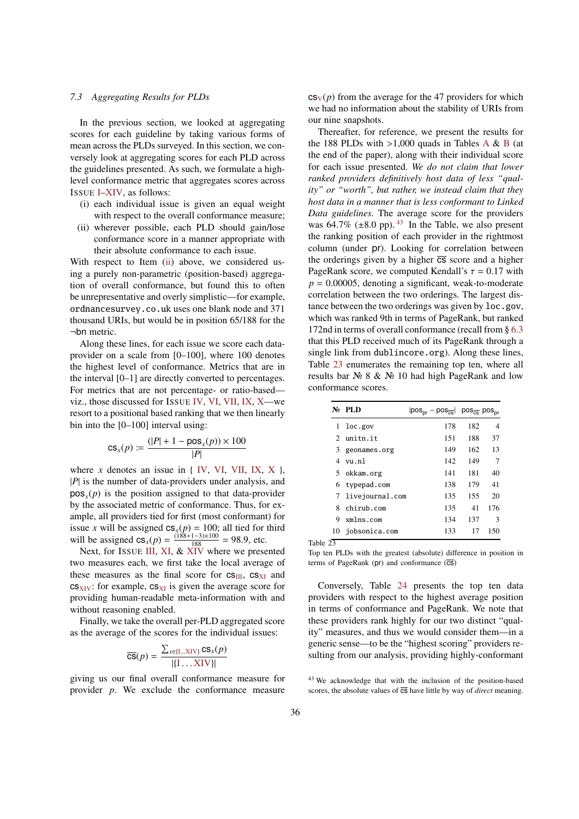#### <span id="page-35-0"></span>*7.3 Aggregating Results for PLDs*

In the previous section, we looked at aggregating scores for each guideline by taking various forms of mean across the PLDs surveyed. In this section, we conversely look at aggregating scores for each PLD across the guidelines presented. As such, we formulate a highlevel conformance metric that aggregates scores across ISSUE [I–](#page-13-3)[XIV,](#page-28-2) as follows:

- (i) each individual issue is given an equal weight with respect to the overall conformance measure;
- <span id="page-35-1"></span>(ii) wherever possible, each PLD should gain/lose conformance score in a manner appropriate with their absolute conformance to each issue.

With respect to Item [\(ii\)](#page-35-1) above, we considered using a purely non-parametric (position-based) aggregation of overall conformance, but found this to often be unrepresentative and overly simplistic—for example, ordnancesurvey.co.uk uses one blank node and 371 thousand URIs, but would be in position 65/188 for the ¬bn metric.

Along these lines, for each issue we score each dataprovider on a scale from [0–100], where 100 denotes the highest level of conformance. Metrics that are in the interval [0–1] are directly converted to percentages. For metrics that are not percentage- or ratio-based viz., those discussed for ISSUE [IV,](#page-17-2) [VI,](#page-19-1) [VII,](#page-20-2) [IX,](#page-22-1) [X—](#page-23-2)we resort to a positional based ranking that we then linearly bin into the [0–100] interval using:

$$
cs_x(p) := \frac{(|P| + 1 - pos_x(p)) \times 100}{|P|}
$$

where  $x$  denotes an issue in  $\{$  [IV,](#page-17-2) [VI,](#page-19-1) [VII,](#page-20-2) [IX,](#page-22-1) [X](#page-23-2) $\}$ , |*P*| is the number of data-providers under analysis, and  $pos_x(p)$  is the position assigned to that data-provider by the associated metric of conformance. Thus, for example, all providers tied for first (most conformant) for issue *x* will be assigned  $cs_x(p) = 100$ ; all tied for third will be assigned  $cs_x(p) = \frac{(188+1-3) \times 100}{188}$ Il be assigned  $cs_x(p) = \frac{(188+1-3) \times 100}{188} = 98.9$ , etc.<br>Next, for ISSUE [III,](#page-15-1) [XI,](#page-24-2) & [XIV](#page-28-2) where we presented

two measures each, we first take the local average of these measures as the final score for  $cs_{III}$  $cs_{III}$  $cs_{III}$ ,  $cs_{XI}$  $cs_{XI}$  $cs_{XI}$  and  $cs_{XIV}$  $cs_{XIV}$  $cs_{XIV}$ : for example,  $cs_{XI}$  $cs_{XI}$  $cs_{XI}$  is given the average score for providing human-readable meta-information with and without reasoning enabled.

Finally, we take the overall per-PLD aggregated score as the average of the scores for the individual issues:

$$
\overline{\text{CS}}(p) = \frac{\sum_{x \in \{\text{I...XIV}\}} \text{CS}_x(p)}{|\{\text{I...XIV}\}|}
$$

giving us our final overall conformance measure for provider *p*. We exclude the conformance measure  $\cos<sub>V</sub>(p)$  $\cos<sub>V</sub>(p)$  $\cos<sub>V</sub>(p)$  from the average for the 47 providers for which we had no information about the stability of URIs from our nine snapshots.

Thereafter, for reference, we present the results for the 188 PLDs with  $>1,000$  quads in Tables [A](#page-41-0) & [B](#page-41-1) (at the end of the paper), along with their individual score for each issue presented. *We do not claim that lower ranked providers definitively host data of less "quality" or "worth", but rather, we instead claim that they host data in a manner that is less conformant to Linked Data guidelines.* The average score for the providers was 64.7%  $(\pm 8.0 \text{ pp})$ .<sup>[43](#page-35-2)</sup> In the Table, we also present the ranking position of each provider in the rightmost column (under pr). Looking for correlation between the orderings given by a higher  $\overline{cs}$  score and a higher PageRank score, we computed Kendall's  $\tau = 0.17$  with  $p = 0.00005$ , denoting a significant, weak-to-moderate correlation between the two orderings. The largest distance between the two orderings was given by loc.gov, which was ranked 9th in terms of PageRank, but ranked 172nd in terms of overall conformance (recall from § [6.3](#page-31-3) that this PLD received much of its PageRank through a single link from dublincore.org). Along these lines, Table [23](#page-35-3) enumerates the remaining top ten, where all results bar № 8 & № 10 had high PageRank and low conformance scores.

|    | $N_2$ PLD       | $ pos_{\text{pr}} - pos_{\overline{\text{cs}}}  $ pos $_{\overline{\text{cs}}}$ pos <sub>pr</sub> |     |                |
|----|-----------------|---------------------------------------------------------------------------------------------------|-----|----------------|
| 1  | loc.gov         | 178                                                                                               | 182 | $\overline{4}$ |
|    | unitn.it        | 151                                                                                               | 188 | 37             |
| 3  | geonames.org    | 149                                                                                               | 162 | 13             |
| 4  | vu.nl           | 142                                                                                               | 149 | 7              |
| 5. | okkam.org       | 141                                                                                               | 181 | 40             |
| 6  | typepad.com     | 138                                                                                               | 179 | 41             |
|    | livejournal.com | 135                                                                                               | 155 | 20             |
| 8  | chirub.com      | 135                                                                                               | 41  | 176            |
| Q  | xmlns.com       | 134                                                                                               | 137 | 3              |
| 10 | jobsonica.com   | 133                                                                                               | 17  | 150            |
|    |                 |                                                                                                   |     |                |

Table 23

<span id="page-35-3"></span>Top ten PLDs with the greatest (absolute) difference in position in terms of PageRank (pr) and conformance  $(\overline{\text{cs}})$ 

Conversely, Table [24](#page-36-1) presents the top ten data providers with respect to the highest average position in terms of conformance and PageRank. We note that these providers rank highly for our two distinct "quality" measures, and thus we would consider them—in a generic sense—to be the "highest scoring" providers resulting from our analysis, providing highly-conformant

<span id="page-35-2"></span><sup>43</sup> We acknowledge that with the inclusion of the position-based scores, the absolute values of  $\overline{cs}$  have little by way of *direct* meaning.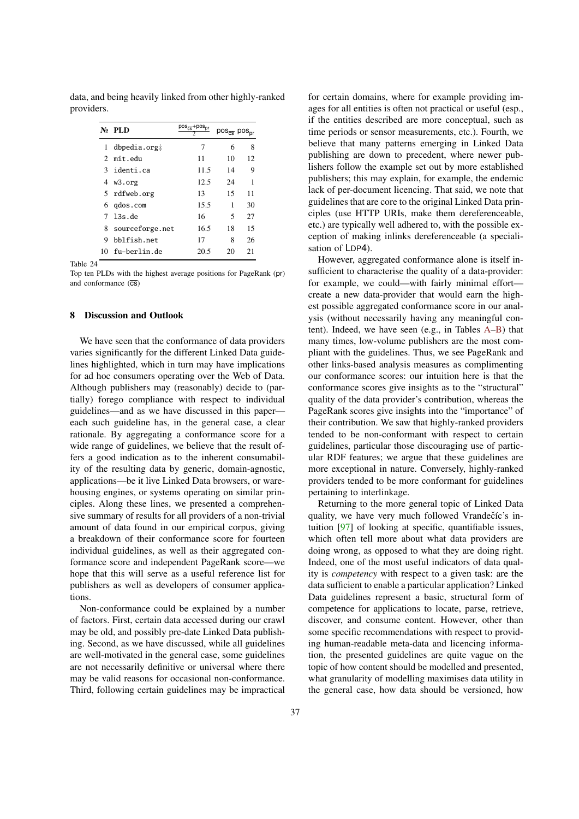|    | $N_0$ PLD       | pos <sub>cs</sub> +pos <sub>pr</sub> | $pos_{\overline{\text{cs}}} pos_{\text{pr}}$ |    |
|----|-----------------|--------------------------------------|----------------------------------------------|----|
| 1  | dbpedia.org:    | 7                                    | 6                                            | 8  |
| 2  | mit.edu         | 11                                   | 10                                           | 12 |
| 3  | identi.ca       | 11.5                                 | 14                                           | 9  |
| 4  | w3.org          | 12.5                                 | 24                                           | 1  |
| 5. | rdfweb.org      | 13                                   | 15                                           | 11 |
| 6  | gdos.com        | 15.5                                 | 1                                            | 30 |
| 7  | 13s.de          | 16                                   | 5                                            | 27 |
| 8  | sourceforge.net | 16.5                                 | 18                                           | 15 |
| 9  | bblfish.net     | 17                                   | 8                                            | 26 |
| 10 | fu-berlin.de    | 20.5                                 | 20                                           | 21 |

data, and being heavily linked from other highly-ranked providers.

Table 24

<span id="page-36-1"></span>Top ten PLDs with the highest average positions for PageRank (pr) and conformance  $(\overline{\text{cs}})$ 

#### <span id="page-36-0"></span>8 Discussion and Outlook

We have seen that the conformance of data providers varies significantly for the different Linked Data guidelines highlighted, which in turn may have implications for ad hoc consumers operating over the Web of Data. Although publishers may (reasonably) decide to (partially) forego compliance with respect to individual guidelines—and as we have discussed in this paper each such guideline has, in the general case, a clear rationale. By aggregating a conformance score for a wide range of guidelines, we believe that the result offers a good indication as to the inherent consumability of the resulting data by generic, domain-agnostic, applications—be it live Linked Data browsers, or warehousing engines, or systems operating on similar principles. Along these lines, we presented a comprehensive summary of results for all providers of a non-trivial amount of data found in our empirical corpus, giving a breakdown of their conformance score for fourteen individual guidelines, as well as their aggregated conformance score and independent PageRank score—we hope that this will serve as a useful reference list for publishers as well as developers of consumer applications.

Non-conformance could be explained by a number of factors. First, certain data accessed during our crawl may be old, and possibly pre-date Linked Data publishing. Second, as we have discussed, while all guidelines are well-motivated in the general case, some guidelines are not necessarily definitive or universal where there may be valid reasons for occasional non-conformance. Third, following certain guidelines may be impractical

for certain domains, where for example providing images for all entities is often not practical or useful (esp., if the entities described are more conceptual, such as time periods or sensor measurements, etc.). Fourth, we believe that many patterns emerging in Linked Data publishing are down to precedent, where newer publishers follow the example set out by more established publishers; this may explain, for example, the endemic lack of per-document licencing. That said, we note that guidelines that are core to the original Linked Data principles (use HTTP URIs, make them dereferenceable, etc.) are typically well adhered to, with the possible exception of making inlinks dereferenceable (a specialisation of LDP4).

However, aggregated conformance alone is itself insufficient to characterise the quality of a data-provider: for example, we could—with fairly minimal effort create a new data-provider that would earn the highest possible aggregated conformance score in our analysis (without necessarily having any meaningful content). Indeed, we have seen (e.g., in Tables [A–](#page-41-0)[B\)](#page-41-1) that many times, low-volume publishers are the most compliant with the guidelines. Thus, we see PageRank and other links-based analysis measures as complimenting our conformance scores: our intuition here is that the conformance scores give insights as to the "structural" quality of the data provider's contribution, whereas the PageRank scores give insights into the "importance" of their contribution. We saw that highly-ranked providers tended to be non-conformant with respect to certain guidelines, particular those discouraging use of particular RDF features; we argue that these guidelines are more exceptional in nature. Conversely, highly-ranked providers tended to be more conformant for guidelines pertaining to interlinkage.

Returning to the more general topic of Linked Data quality, we have very much followed Vrandečíc's intuition [\[97\]](#page-40-12) of looking at specific, quantifiable issues, which often tell more about what data providers are doing wrong, as opposed to what they are doing right. Indeed, one of the most useful indicators of data quality is *competency* with respect to a given task: are the data sufficient to enable a particular application? Linked Data guidelines represent a basic, structural form of competence for applications to locate, parse, retrieve, discover, and consume content. However, other than some specific recommendations with respect to providing human-readable meta-data and licencing information, the presented guidelines are quite vague on the topic of how content should be modelled and presented, what granularity of modelling maximises data utility in the general case, how data should be versioned, how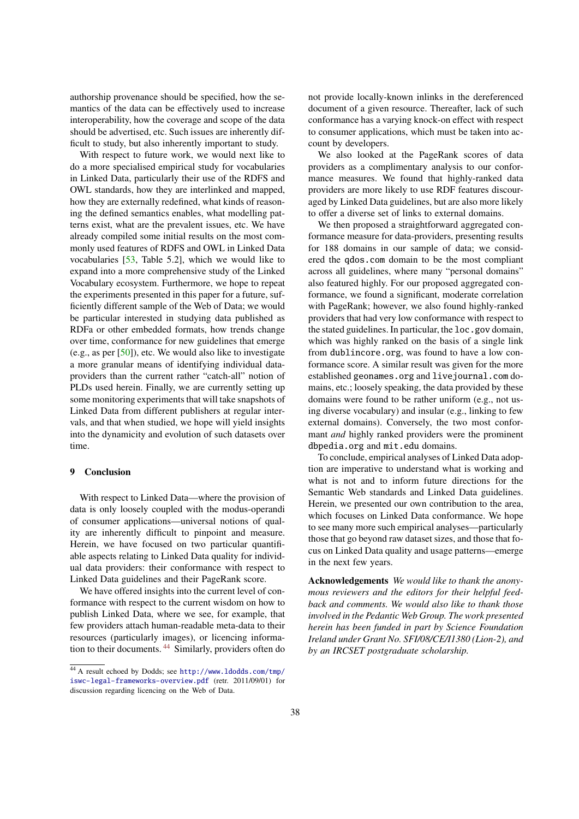authorship provenance should be specified, how the semantics of the data can be effectively used to increase interoperability, how the coverage and scope of the data should be advertised, etc. Such issues are inherently difficult to study, but also inherently important to study.

With respect to future work, we would next like to do a more specialised empirical study for vocabularies in Linked Data, particularly their use of the RDFS and OWL standards, how they are interlinked and mapped, how they are externally redefined, what kinds of reasoning the defined semantics enables, what modelling patterns exist, what are the prevalent issues, etc. We have already compiled some initial results on the most commonly used features of RDFS and OWL in Linked Data vocabularies [\[53,](#page-39-13) Table 5.2], which we would like to expand into a more comprehensive study of the Linked Vocabulary ecosystem. Furthermore, we hope to repeat the experiments presented in this paper for a future, sufficiently different sample of the Web of Data; we would be particular interested in studying data published as RDFa or other embedded formats, how trends change over time, conformance for new guidelines that emerge (e.g., as per  $[50]$ ), etc. We would also like to investigate a more granular means of identifying individual dataproviders than the current rather "catch-all" notion of PLDs used herein. Finally, we are currently setting up some monitoring experiments that will take snapshots of Linked Data from different publishers at regular intervals, and that when studied, we hope will yield insights into the dynamicity and evolution of such datasets over time.

# <span id="page-37-0"></span>9 Conclusion

With respect to Linked Data—where the provision of data is only loosely coupled with the modus-operandi of consumer applications—universal notions of quality are inherently difficult to pinpoint and measure. Herein, we have focused on two particular quantifiable aspects relating to Linked Data quality for individual data providers: their conformance with respect to Linked Data guidelines and their PageRank score.

We have offered insights into the current level of conformance with respect to the current wisdom on how to publish Linked Data, where we see, for example, that few providers attach human-readable meta-data to their resources (particularly images), or licencing information to their documents. [44](#page-37-1) Similarly, providers often do not provide locally-known inlinks in the dereferenced document of a given resource. Thereafter, lack of such conformance has a varying knock-on effect with respect to consumer applications, which must be taken into account by developers.

We also looked at the PageRank scores of data providers as a complimentary analysis to our conformance measures. We found that highly-ranked data providers are more likely to use RDF features discouraged by Linked Data guidelines, but are also more likely to offer a diverse set of links to external domains.

We then proposed a straightforward aggregated conformance measure for data-providers, presenting results for 188 domains in our sample of data; we considered the qdos.com domain to be the most compliant across all guidelines, where many "personal domains" also featured highly. For our proposed aggregated conformance, we found a significant, moderate correlation with PageRank; however, we also found highly-ranked providers that had very low conformance with respect to the stated guidelines. In particular, the loc.gov domain, which was highly ranked on the basis of a single link from dublincore.org, was found to have a low conformance score. A similar result was given for the more established geonames.org and livejournal.com domains, etc.; loosely speaking, the data provided by these domains were found to be rather uniform (e.g., not using diverse vocabulary) and insular (e.g., linking to few external domains). Conversely, the two most conformant *and* highly ranked providers were the prominent dbpedia.org and mit.edu domains.

To conclude, empirical analyses of Linked Data adoption are imperative to understand what is working and what is not and to inform future directions for the Semantic Web standards and Linked Data guidelines. Herein, we presented our own contribution to the area, which focuses on Linked Data conformance. We hope to see many more such empirical analyses—particularly those that go beyond raw dataset sizes, and those that focus on Linked Data quality and usage patterns—emerge in the next few years.

Acknowledgements *We would like to thank the anonymous reviewers and the editors for their helpful feedback and comments. We would also like to thank those involved in the Pedantic Web Group. The work presented herein has been funded in part by Science Foundation Ireland under Grant No. SFI/08/CE/I1380 (Lion-2), and by an IRCSET postgraduate scholarship.*

<span id="page-37-1"></span><sup>44</sup> A result echoed by Dodds; see [http://www.ldodds.com/tmp/](http://www.ldodds.com/tmp/iswc-legal-frameworks-overview.pdf) [iswc-legal-frameworks-overview.pdf](http://www.ldodds.com/tmp/iswc-legal-frameworks-overview.pdf) (retr. 2011/09/01) for discussion regarding licencing on the Web of Data.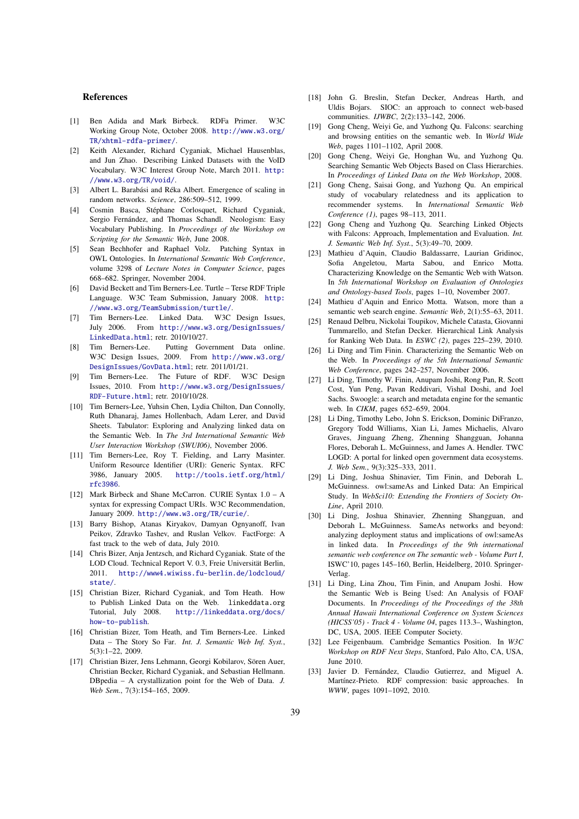#### References

- <span id="page-38-24"></span>[1] Ben Adida and Mark Birbeck. RDFa Primer. W3C Working Group Note, October 2008. [http://www.w3.org/](http://www.w3.org/TR/xhtml-rdfa-primer/) [TR/xhtml-rdfa-primer/](http://www.w3.org/TR/xhtml-rdfa-primer/).
- <span id="page-38-31"></span>[2] Keith Alexander, Richard Cyganiak, Michael Hausenblas, and Jun Zhao. Describing Linked Datasets with the VoID Vocabulary. W3C Interest Group Note, March 2011. [http:](http://www.w3.org/TR/void/) [//www.w3.org/TR/void/](http://www.w3.org/TR/void/).
- <span id="page-38-27"></span>[3] Albert L. Barabási and Réka Albert. Emergence of scaling in random networks. *Science*, 286:509–512, 1999.
- <span id="page-38-30"></span>[4] Cosmin Basca, Stéphane Corlosquet, Richard Cyganiak, Sergio Fernández, and Thomas Schandl. Neologism: Easy Vocabulary Publishing. In *Proceedings of the Workshop on Scripting for the Semantic Web*, June 2008.
- <span id="page-38-16"></span>[5] Sean Bechhofer and Raphael Volz. Patching Syntax in OWL Ontologies. In *International Semantic Web Conference*, volume 3298 of *Lecture Notes in Computer Science*, pages 668–682. Springer, November 2004.
- <span id="page-38-22"></span>[6] David Beckett and Tim Berners-Lee. Turtle – Terse RDF Triple Language. W3C Team Submission, January 2008. [http:](http://www.w3.org/TeamSubmission/turtle/) [//www.w3.org/TeamSubmission/turtle/](http://www.w3.org/TeamSubmission/turtle/).
- <span id="page-38-1"></span>[7] Tim Berners-Lee. Linked Data. W3C Design Issues, July 2006. From [http://www.w3.org/DesignIssues/](http://www.w3.org/DesignIssues/LinkedData.html) [LinkedData.html](http://www.w3.org/DesignIssues/LinkedData.html); retr. 2010/10/27.
- <span id="page-38-3"></span>[8] Tim Berners-Lee. Putting Government Data online. W3C Design Issues, 2009. From [http://www.w3.org/](http://www.w3.org/DesignIssues/GovData.html) [DesignIssues/GovData.html](http://www.w3.org/DesignIssues/GovData.html); retr. 2011/01/21.
- <span id="page-38-28"></span>[9] Tim Berners-Lee. The Future of RDF. W3C Design Issues, 2010. From [http://www.w3.org/DesignIssues/](http://www.w3.org/DesignIssues/RDF-Future.html) [RDF-Future.html](http://www.w3.org/DesignIssues/RDF-Future.html); retr. 2010/10/28.
- <span id="page-38-5"></span>[10] Tim Berners-Lee, Yuhsin Chen, Lydia Chilton, Dan Connolly, Ruth Dhanaraj, James Hollenbach, Adam Lerer, and David Sheets. Tabulator: Exploring and Analyzing linked data on the Semantic Web. In *The 3rd International Semantic Web User Interaction Workshop (SWUI06)*, November 2006.
- <span id="page-38-23"></span>[11] Tim Berners-Lee, Roy T. Fielding, and Larry Masinter. Uniform Resource Identifier (URI): Generic Syntax. RFC 3986, January 2005. [http://tools.ietf.org/html/](http://tools.ietf.org/html/rfc3986) [rfc3986](http://tools.ietf.org/html/rfc3986).
- <span id="page-38-21"></span>[12] Mark Birbeck and Shane McCarron. CURIE Syntax 1.0 – A syntax for expressing Compact URIs. W3C Recommendation, January 2009. <http://www.w3.org/TR/curie/>.
- <span id="page-38-6"></span>[13] Barry Bishop, Atanas Kiryakov, Damyan Ognyanoff, Ivan Peikov, Zdravko Tashev, and Ruslan Velkov. FactForge: A fast track to the web of data, July 2010.
- <span id="page-38-20"></span>[14] Chris Bizer, Anja Jentzsch, and Richard Cyganiak. State of the LOD Cloud. Technical Report V. 0.3, Freie Universität Berlin, 2011. [http://www4.wiwiss.fu-berlin.de/lodcloud/](http://www4.wiwiss.fu-berlin.de/lodcloud/state/) [state/](http://www4.wiwiss.fu-berlin.de/lodcloud/state/).
- <span id="page-38-10"></span>[15] Christian Bizer, Richard Cyganiak, and Tom Heath. How to Publish Linked Data on the Web. linkeddata.org Tutorial, July 2008. [http://linkeddata.org/docs/](http://linkeddata.org/docs/how-to-publish) [how-to-publish](http://linkeddata.org/docs/how-to-publish).
- <span id="page-38-0"></span>[16] Christian Bizer, Tom Heath, and Tim Berners-Lee. Linked Data – The Story So Far. *Int. J. Semantic Web Inf. Syst.*, 5(3):1–22, 2009.
- <span id="page-38-2"></span>[17] Christian Bizer, Jens Lehmann, Georgi Kobilarov, Sören Auer, Christian Becker, Richard Cyganiak, and Sebastian Hellmann. DBpedia – A crystallization point for the Web of Data. *J. Web Sem.*, 7(3):154–165, 2009.
- <span id="page-38-13"></span>[18] John G. Breslin, Stefan Decker, Andreas Harth, and Uldis Bojars. SIOC: an approach to connect web-based communities. *IJWBC*, 2(2):133–142, 2006.
- <span id="page-38-19"></span>[19] Gong Cheng, Weiyi Ge, and Yuzhong Qu. Falcons: searching and browsing entities on the semantic web. In *World Wide Web*, pages 1101–1102, April 2008.
- <span id="page-38-25"></span>[20] Gong Cheng, Weiyi Ge, Honghan Wu, and Yuzhong Qu. Searching Semantic Web Objects Based on Class Hierarchies. In *Proceedings of Linked Data on the Web Workshop*, 2008.
- <span id="page-38-18"></span>[21] Gong Cheng, Saisai Gong, and Yuzhong Qu. An empirical study of vocabulary relatedness and its application to recommender systems. In *International Semantic Web Conference (1)*, pages 98–113, 2011.
- <span id="page-38-7"></span>[22] Gong Cheng and Yuzhong Qu. Searching Linked Objects with Falcons: Approach, Implementation and Evaluation. *Int. J. Semantic Web Inf. Syst.*, 5(3):49–70, 2009.
- <span id="page-38-17"></span>[23] Mathieu d'Aquin, Claudio Baldassarre, Laurian Gridinoc, Sofia Angeletou, Marta Sabou, and Enrico Motta. Characterizing Knowledge on the Semantic Web with Watson. In *5th International Workshop on Evaluation of Ontologies and Ontology-based Tools*, pages 1–10, November 2007.
- <span id="page-38-9"></span>[24] Mathieu d'Aquin and Enrico Motta. Watson, more than a semantic web search engine. *Semantic Web*, 2(1):55–63, 2011.
- <span id="page-38-32"></span>[25] Renaud Delbru, Nickolai Toupikov, Michele Catasta, Giovanni Tummarello, and Stefan Decker. Hierarchical Link Analysis for Ranking Web Data. In *ESWC (2)*, pages 225–239, 2010.
- <span id="page-38-12"></span>[26] Li Ding and Tim Finin. Characterizing the Semantic Web on the Web. In *Proceedings of the 5th International Semantic Web Conference*, pages 242–257, November 2006.
- <span id="page-38-8"></span>[27] Li Ding, Timothy W. Finin, Anupam Joshi, Rong Pan, R. Scott Cost, Yun Peng, Pavan Reddivari, Vishal Doshi, and Joel Sachs. Swoogle: a search and metadata engine for the semantic web. In *CIKM*, pages 652–659, 2004.
- <span id="page-38-4"></span>[28] Li Ding, Timothy Lebo, John S. Erickson, Dominic DiFranzo, Gregory Todd Williams, Xian Li, James Michaelis, Alvaro Graves, Jinguang Zheng, Zhenning Shangguan, Johanna Flores, Deborah L. McGuinness, and James A. Hendler. TWC LOGD: A portal for linked open government data ecosystems. *J. Web Sem.*, 9(3):325–333, 2011.
- <span id="page-38-14"></span>[29] Li Ding, Joshua Shinavier, Tim Finin, and Deborah L. McGuinness. owl:sameAs and Linked Data: An Empirical Study. In *WebSci10: Extending the Frontiers of Society On-Line*, April 2010.
- <span id="page-38-15"></span>[30] Li Ding, Joshua Shinavier, Zhenning Shangguan, and Deborah L. McGuinness. SameAs networks and beyond: analyzing deployment status and implications of owl:sameAs in linked data. In *Proceedings of the 9th international semantic web conference on The semantic web - Volume Part I*, ISWC'10, pages 145–160, Berlin, Heidelberg, 2010. Springer-Verlag.
- <span id="page-38-11"></span>[31] Li Ding, Lina Zhou, Tim Finin, and Anupam Joshi. How the Semantic Web is Being Used: An Analysis of FOAF Documents. In *Proceedings of the Proceedings of the 38th Annual Hawaii International Conference on System Sciences (HICSS'05) - Track 4 - Volume 04*, pages 113.3–, Washington, DC, USA, 2005. IEEE Computer Society.
- <span id="page-38-29"></span>[32] Lee Feigenbaum. Cambridge Semantics Position. In *W3C Workshop on RDF Next Steps*, Stanford, Palo Alto, CA, USA, June 2010.
- <span id="page-38-26"></span>[33] Javier D. Fernández, Claudio Gutierrez, and Miguel A. Martínez-Prieto. RDF compression: basic approaches. In *WWW*, pages 1091–1092, 2010.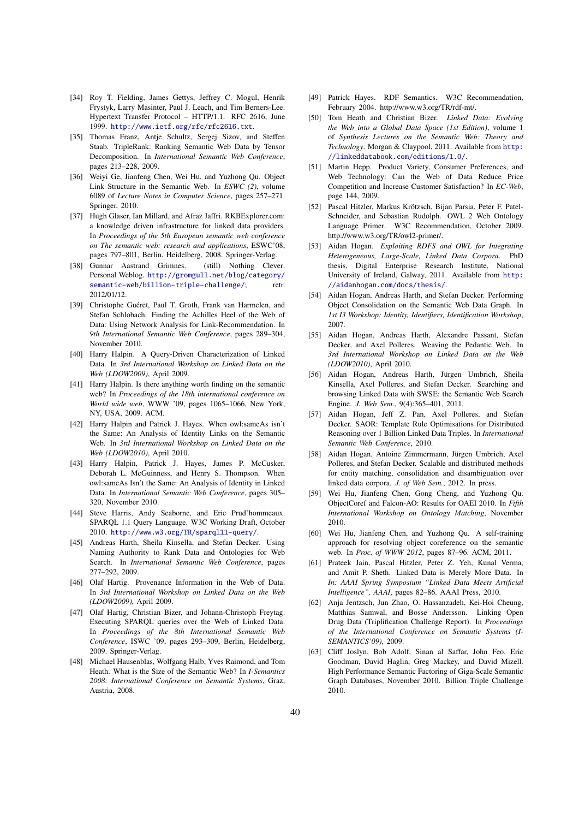- <span id="page-39-18"></span>[34] Roy T. Fielding, James Gettys, Jeffrey C. Mogul, Henrik Frystyk, Larry Masinter, Paul J. Leach, and Tim Berners-Lee. Hypertext Transfer Protocol – HTTP/1.1. RFC 2616, June 1999. <http://www.ietf.org/rfc/rfc2616.txt>.
- <span id="page-39-29"></span>[35] Thomas Franz, Antje Schultz, Sergej Sizov, and Steffen Staab. TripleRank: Ranking Semantic Web Data by Tensor Decomposition. In *International Semantic Web Conference*, pages 213–228, 2009.
- <span id="page-39-5"></span>[36] Weiyi Ge, Jianfeng Chen, Wei Hu, and Yuzhong Qu. Object Link Structure in the Semantic Web. In *ESWC (2)*, volume 6089 of *Lecture Notes in Computer Science*, pages 257–271. Springer, 2010.
- <span id="page-39-17"></span>[37] Hugh Glaser, Ian Millard, and Afraz Jaffri. RKBExplorer.com: a knowledge driven infrastructure for linked data providers. In *Proceedings of the 5th European semantic web conference on The semantic web: research and applications*, ESWC'08, pages 797–801, Berlin, Heidelberg, 2008. Springer-Verlag.
- <span id="page-39-3"></span>[38] Gunnar Aastrand Grimnes. (still) Nothing Clever. Personal Weblog. [http://gromgull.net/blog/category/](http://gromgull.net/blog/category/semantic-web/billion-triple-challenge/) [semantic-web/billion-triple-challenge/](http://gromgull.net/blog/category/semantic-web/billion-triple-challenge/); retr. 2012/01/12.
- <span id="page-39-7"></span>[39] Christophe Guéret, Paul T. Groth, Frank van Harmelen, and Stefan Schlobach. Finding the Achilles Heel of the Web of Data: Using Network Analysis for Link-Recommendation. In *9th International Semantic Web Conference*, pages 289–304, November 2010.
- <span id="page-39-15"></span>[40] Harry Halpin. A Query-Driven Characterization of Linked Data. In *3rd International Workshop on Linked Data on the Web (LDOW2009)*, April 2009.
- <span id="page-39-16"></span>[41] Harry Halpin. Is there anything worth finding on the semantic web? In *Proceedings of the 18th international conference on World wide web*, WWW '09, pages 1065–1066, New York, NY, USA, 2009. ACM.
- <span id="page-39-9"></span>[42] Harry Halpin and Patrick J. Hayes. When owl:sameAs isn't the Same: An Analysis of Identity Links on the Semantic Web. In *3rd International Workshop on Linked Data on the Web (LDOW2010)*, April 2010.
- <span id="page-39-10"></span>[43] Harry Halpin, Patrick J. Hayes, James P. McCusker, Deborah L. McGuinness, and Henry S. Thompson. When owl:sameAs Isn't the Same: An Analysis of Identity in Linked Data. In *International Semantic Web Conference*, pages 305– 320, November 2010.
- <span id="page-39-27"></span>[44] Steve Harris, Andy Seaborne, and Eric Prud'hommeaux. SPARQL 1.1 Query Language. W3C Working Draft, October 2010. <http://www.w3.org/TR/sparql11-query/>.
- <span id="page-39-19"></span>[45] Andreas Harth, Sheila Kinsella, and Stefan Decker. Using Naming Authority to Rank Data and Ontologies for Web Search. In *International Semantic Web Conference*, pages 277–292, 2009.
- <span id="page-39-14"></span>[46] Olaf Hartig. Provenance Information in the Web of Data. In *3rd International Workshop on Linked Data on the Web (LDOW2009)*, April 2009.
- <span id="page-39-21"></span>[47] Olaf Hartig, Christian Bizer, and Johann-Christoph Freytag. Executing SPARQL queries over the Web of Linked Data. In *Proceedings of the 8th International Semantic Web Conference*, ISWC '09, pages 293–309, Berlin, Heidelberg, 2009. Springer-Verlag.
- <span id="page-39-2"></span>[48] Michael Hausenblas, Wolfgang Halb, Yves Raimond, and Tom Heath. What is the Size of the Semantic Web? In *I-Semantics 2008: International Conference on Semantic Systems*, Graz, Austria, 2008.
- <span id="page-39-12"></span>[49] Patrick Hayes. RDF Semantics. W3C Recommendation, February 2004. http://www.w3.org/TR/rdf-mt/.
- <span id="page-39-8"></span>[50] Tom Heath and Christian Bizer. *Linked Data: Evolving the Web into a Global Data Space (1st Edition)*, volume 1 of *Synthesis Lectures on the Semantic Web: Theory and Technology*. Morgan & Claypool, 2011. Available from [http:](http://linkeddatabook.com/editions/1.0/) [//linkeddatabook.com/editions/1.0/](http://linkeddatabook.com/editions/1.0/).
- <span id="page-39-4"></span>[51] Martin Hepp. Product Variety, Consumer Preferences, and Web Technology: Can the Web of Data Reduce Price Competition and Increase Customer Satisfaction? In *EC-Web*, page 144, 2009.
- <span id="page-39-23"></span>[52] Pascal Hitzler, Markus Krötzsch, Bijan Parsia, Peter F. Patel-Schneider, and Sebastian Rudolph. OWL 2 Web Ontology Language Primer. W3C Recommendation, October 2009. http://www.w3.org/TR/owl2-primer/.
- <span id="page-39-13"></span>[53] Aidan Hogan. *Exploiting RDFS and OWL for Integrating Heterogeneous, Large-Scale, Linked Data Corpora*. PhD thesis, Digital Enterprise Research Institute, National University of Ireland, Galway, 2011. Available from [http:](http://aidanhogan.com/docs/thesis/) [//aidanhogan.com/docs/thesis/](http://aidanhogan.com/docs/thesis/).
- <span id="page-39-20"></span>[54] Aidan Hogan, Andreas Harth, and Stefan Decker. Performing Object Consolidation on the Semantic Web Data Graph. In *1st I3 Workshop: Identity, Identifiers, Identification Workshop*, 2007.
- <span id="page-39-1"></span>[55] Aidan Hogan, Andreas Harth, Alexandre Passant, Stefan Decker, and Axel Polleres. Weaving the Pedantic Web. In *3rd International Workshop on Linked Data on the Web (LDOW2010)*, April 2010.
- <span id="page-39-0"></span>[56] Aidan Hogan, Andreas Harth, Jürgen Umbrich, Sheila Kinsella, Axel Polleres, and Stefan Decker. Searching and browsing Linked Data with SWSE: the Semantic Web Search Engine. *J. Web Sem.*, 9(4):365–401, 2011.
- <span id="page-39-22"></span>[57] Aidan Hogan, Jeff Z. Pan, Axel Polleres, and Stefan Decker. SAOR: Template Rule Optimisations for Distributed Reasoning over 1 Billion Linked Data Triples. In *International Semantic Web Conference*, 2010.
- <span id="page-39-11"></span>[58] Aidan Hogan, Antoine Zimmermann, Jürgen Umbrich, Axel Polleres, and Stefan Decker. Scalable and distributed methods for entity matching, consolidation and disambiguation over linked data corpora. *J. of Web Sem.*, 2012. In press.
- <span id="page-39-24"></span>[59] Wei Hu, Jianfeng Chen, Gong Cheng, and Yuzhong Qu. ObjectCoref and Falcon-AO: Results for OAEI 2010. In *Fifth International Workshop on Ontology Matching*, November 2010.
- <span id="page-39-26"></span>[60] Wei Hu, Jianfeng Chen, and Yuzhong Qu. A self-training approach for resolving object coreference on the semantic web. In *Proc. of WWW 2012*, pages 87–96. ACM, 2011.
- <span id="page-39-28"></span>[61] Prateek Jain, Pascal Hitzler, Peter Z. Yeh, Kunal Verma, and Amit P. Sheth. Linked Data is Merely More Data. In *In: AAAI Spring Symposium "Linked Data Meets Artificial Intelligence", AAAI*, pages 82–86. AAAI Press, 2010.
- <span id="page-39-25"></span>[62] Anja Jentzsch, Jun Zhao, O. Hassanzadeh, Kei-Hoi Cheung, Matthias Samwal, and Bosse Andersson. Linking Open Drug Data (Triplification Challenge Report). In *Proceedings of the International Conference on Semantic Systems (I-SEMANTICS'09)*, 2009.
- <span id="page-39-6"></span>[63] Cliff Joslyn, Bob Adolf, Sinan al Saffar, John Feo, Eric Goodman, David Haglin, Greg Mackey, and David Mizell. High Performance Semantic Factoring of Giga-Scale Semantic Graph Databases, November 2010. Billion Triple Challenge 2010.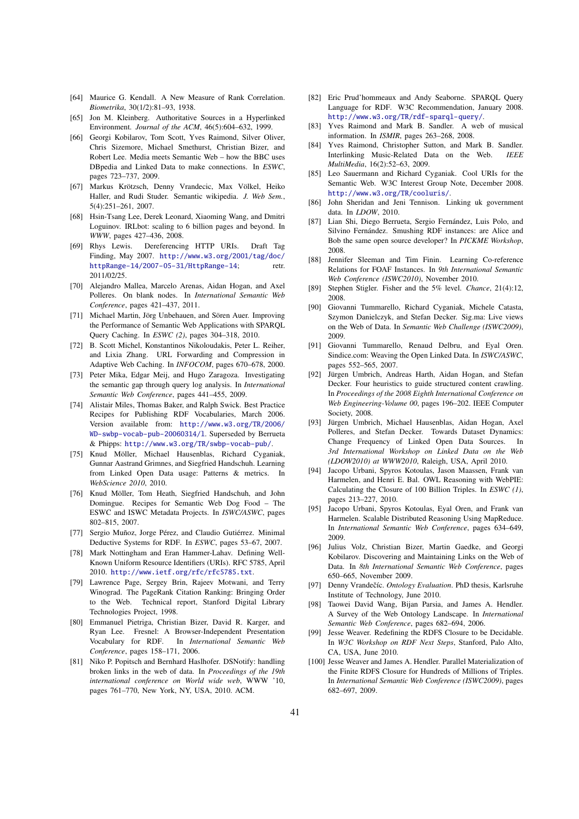- <span id="page-40-35"></span>[64] Maurice G. Kendall. A New Measure of Rank Correlation. *Biometrika*, 30(1/2):81–93, 1938.
- <span id="page-40-33"></span>[65] Jon M. Kleinberg. Authoritative Sources in a Hyperlinked Environment. *Journal of the ACM*, 46(5):604–632, 1999.
- <span id="page-40-0"></span>[66] Georgi Kobilarov, Tom Scott, Yves Raimond, Silver Oliver, Chris Sizemore, Michael Smethurst, Christian Bizer, and Robert Lee. Media meets Semantic Web – how the BBC uses DBpedia and Linked Data to make connections. In *ESWC*, pages 723–737, 2009.
- <span id="page-40-21"></span>[67] Markus Krötzsch, Denny Vrandecic, Max Völkel, Heiko Haller, and Rudi Studer. Semantic wikipedia. *J. Web Sem.*, 5(4):251–261, 2007.
- <span id="page-40-13"></span>[68] Hsin-Tsang Lee, Derek Leonard, Xiaoming Wang, and Dmitri Loguinov. IRLbot: scaling to 6 billion pages and beyond. In *WWW*, pages 427–436, 2008.
- <span id="page-40-16"></span>[69] Rhys Lewis. Dereferencing HTTP URIs. Draft Tag Finding, May 2007. [http://www.w3.org/2001/tag/doc/](http://www.w3.org/2001/tag/doc/httpRange-14/2007-05-31/HttpRange-14) [httpRange-14/2007-05-31/HttpRange-14](http://www.w3.org/2001/tag/doc/httpRange-14/2007-05-31/HttpRange-14); retr. 2011/02/25.
- <span id="page-40-4"></span>[70] Alejandro Mallea, Marcelo Arenas, Aidan Hogan, and Axel Polleres. On blank nodes. In *International Semantic Web Conference*, pages 421–437, 2011.
- <span id="page-40-18"></span>[71] Michael Martin, Jörg Unbehauen, and Sören Auer. Improving the Performance of Semantic Web Applications with SPARQL Query Caching. In *ESWC (2)*, pages 304–318, 2010.
- <span id="page-40-19"></span>[72] B. Scott Michel, Konstantinos Nikoloudakis, Peter L. Reiher, and Lixia Zhang. URL Forwarding and Compression in Adaptive Web Caching. In *INFOCOM*, pages 670–678, 2000.
- <span id="page-40-7"></span>[73] Peter Mika, Edgar Meij, and Hugo Zaragoza. Investigating the semantic gap through query log analysis. In *International Semantic Web Conference*, pages 441–455, 2009.
- <span id="page-40-17"></span>[74] Alistair Miles, Thomas Baker, and Ralph Swick. Best Practice Recipes for Publishing RDF Vocabularies, March 2006. Version available from: [http://www.w3.org/TR/2006/](http://www.w3.org/TR/2006/WD-swbp-vocab-pub-20060314/l) [WD-swbp-vocab-pub-20060314/l](http://www.w3.org/TR/2006/WD-swbp-vocab-pub-20060314/l). Superseded by Berrueta & Phipps: <http://www.w3.org/TR/swbp-vocab-pub/>.
- <span id="page-40-8"></span>[75] Knud Möller, Michael Hausenblas, Richard Cyganiak, Gunnar Aastrand Grimnes, and Siegfried Handschuh. Learning from Linked Open Data usage: Patterns & metrics. In *WebScience 2010*, 2010.
- <span id="page-40-9"></span>[76] Knud Möller, Tom Heath, Siegfried Handschuh, and John Domingue. Recipes for Semantic Web Dog Food – The ESWC and ISWC Metadata Projects. In *ISWC/ASWC*, pages 802–815, 2007.
- <span id="page-40-28"></span>[77] Sergio Muñoz, Jorge Pérez, and Claudio Gutiérrez. Minimal Deductive Systems for RDF. In *ESWC*, pages 53–67, 2007.
- <span id="page-40-15"></span>[78] Mark Nottingham and Eran Hammer-Lahav. Defining Well-Known Uniform Resource Identifiers (URIs). RFC 5785, April 2010. <http://www.ietf.org/rfc/rfc5785.txt>.
- <span id="page-40-34"></span>[79] Lawrence Page, Sergey Brin, Rajeev Motwani, and Terry Winograd. The PageRank Citation Ranking: Bringing Order to the Web. Technical report, Stanford Digital Library Technologies Project, 1998.
- <span id="page-40-31"></span>[80] Emmanuel Pietriga, Christian Bizer, David R. Karger, and Ryan Lee. Fresnel: A Browser-Independent Presentation Vocabulary for RDF. In *International Semantic Web Conference*, pages 158–171, 2006.
- <span id="page-40-20"></span>[81] Niko P. Popitsch and Bernhard Haslhofer. DSNotify: handling broken links in the web of data. In *Proceedings of the 19th international conference on World wide web*, WWW '10, pages 761–770, New York, NY, USA, 2010. ACM.
- <span id="page-40-11"></span>[82] Eric Prud'hommeaux and Andy Seaborne. SPARQL Query Language for RDF. W3C Recommendation, January 2008. <http://www.w3.org/TR/rdf-sparql-query/>.
- <span id="page-40-30"></span>[83] Yves Raimond and Mark B. Sandler. A web of musical information. In *ISMIR*, pages 263–268, 2008.
- <span id="page-40-10"></span>[84] Yves Raimond, Christopher Sutton, and Mark B. Sandler. Interlinking Music-Related Data on the Web. *IEEE MultiMedia*, 16(2):52–63, 2009.
- <span id="page-40-14"></span>[85] Leo Sauermann and Richard Cyganiak. Cool URIs for the Semantic Web. W3C Interest Group Note, December 2008. <http://www.w3.org/TR/cooluris/>.
- <span id="page-40-1"></span>[86] John Sheridan and Jeni Tennison. Linking uk government data. In *LDOW*, 2010.
- <span id="page-40-25"></span>[87] Lian Shi, Diego Berrueta, Sergio Fernández, Luis Polo, and Silvino Fernández. Smushing RDF instances: are Alice and Bob the same open source developer? In *PICKME Workshop*, 2008.
- <span id="page-40-24"></span>[88] Jennifer Sleeman and Tim Finin. Learning Co-reference Relations for FOAF Instances. In *9th International Semantic Web Conference (ISWC2010)*, November 2010.
- <span id="page-40-36"></span>[89] Stephen Stigler. Fisher and the 5% level. *Chance*, 21(4):12, 2008.
- <span id="page-40-3"></span>[90] Giovanni Tummarello, Richard Cyganiak, Michele Catasta, Szymon Danielczyk, and Stefan Decker. Sig.ma: Live views on the Web of Data. In *Semantic Web Challenge (ISWC2009)*, 2009.
- <span id="page-40-2"></span>[91] Giovanni Tummarello, Renaud Delbru, and Eyal Oren. Sindice.com: Weaving the Open Linked Data. In *ISWC/ASWC*, pages 552–565, 2007.
- <span id="page-40-32"></span>[92] Jürgen Umbrich, Andreas Harth, Aidan Hogan, and Stefan Decker. Four heuristics to guide structured content crawling. In *Proceedings of the 2008 Eighth International Conference on Web Engineering-Volume 00*, pages 196–202. IEEE Computer Society, 2008.
- <span id="page-40-6"></span>[93] Jürgen Umbrich, Michael Hausenblas, Aidan Hogan, Axel Polleres, and Stefan Decker. Towards Dataset Dynamics: Change Frequency of Linked Open Data Sources. In *3rd International Workshop on Linked Data on the Web (LDOW2010) at WWW2010*, Raleigh, USA, April 2010.
- <span id="page-40-23"></span>[94] Jacopo Urbani, Spyros Kotoulas, Jason Maassen, Frank van Harmelen, and Henri E. Bal. OWL Reasoning with WebPIE: Calculating the Closure of 100 Billion Triples. In *ESWC (1)*, pages 213–227, 2010.
- <span id="page-40-27"></span>[95] Jacopo Urbani, Spyros Kotoulas, Eyal Oren, and Frank van Harmelen. Scalable Distributed Reasoning Using MapReduce. In *International Semantic Web Conference*, pages 634–649, 2009.
- <span id="page-40-22"></span>[96] Julius Volz, Christian Bizer, Martin Gaedke, and Georgi Kobilarov. Discovering and Maintaining Links on the Web of Data. In *8th International Semantic Web Conference*, pages 650–665, November 2009.
- <span id="page-40-12"></span>[97] Denny Vrandečíc. Ontology Evaluation. PhD thesis, Karlsruhe Institute of Technology, June 2010.
- <span id="page-40-5"></span>[98] Taowei David Wang, Bijan Parsia, and James A. Hendler. A Survey of the Web Ontology Landscape. In *International Semantic Web Conference*, pages 682–694, 2006.
- <span id="page-40-29"></span>[99] Jesse Weaver. Redefining the RDFS Closure to be Decidable. In *W3C Workshop on RDF Next Steps*, Stanford, Palo Alto, CA, USA, June 2010.
- <span id="page-40-26"></span>[100] Jesse Weaver and James A. Hendler. Parallel Materialization of the Finite RDFS Closure for Hundreds of Millions of Triples. In *International Semantic Web Conference (ISWC2009)*, pages 682–697, 2009.